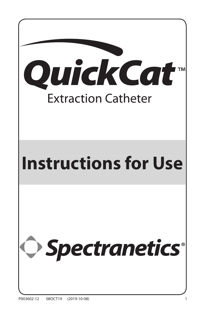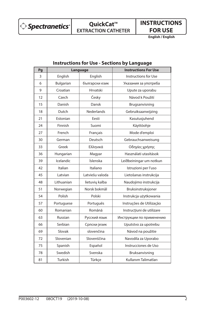Spectranetics<sup>®</sup>

# **QuickCat™ EXTRACTION CATHETER**

**INSTRUCTIONS FOR USE**

**English / English**

| Pg | Language   |                 | <b>Instructions For Use</b> |
|----|------------|-----------------|-----------------------------|
| 3  | English    | English         | Instructions for Use        |
| 6  | Bulgarian  | български език  | Указания за употреба        |
| 9  | Croatian   | Hrvatski        | Upute za uporabu            |
| 12 | Czech      | Česky           | Návod k Použití             |
| 15 | Danish     | Dansk           | Brugsanvisning              |
| 18 | Dutch      | Nederlands      | Gebruiksaanwijzing          |
| 21 | Estonian   | Eesti           | Kasutusjuhend               |
| 24 | Finnish    | Suomi           | Käyttöohje                  |
| 27 | French     | Français        | Mode d'emploi               |
| 30 | German     | Deutsch         | Gebrauchsanweisung          |
| 33 | Greek      | Ελληνικά        | Οδηγίες χρήσης              |
| 36 | Hungarian  | Magyar          | Használati utasítások       |
| 39 | Icelandic  | Íslenska        | Leiðbeiningar um notkun     |
| 42 | Italian    | Italiano        | Istruzioni per l'uso        |
| 45 | Latvian    | Latviešu valoda | Lietošanas instrukcija      |
| 48 | Lithuanian | lietuvių kalba  | Naudojimo instrukcija       |
| 51 | Norwegian  | Norsk bokmål    | Bruksinstruksjoner          |
| 54 | Polish     | Polski          | Instrukcja użytkowania      |
| 57 | Portuguese | Português       | Instruções de Utilização    |
| 60 | Romanian   | Română          | Instrucțiuni de utilizare   |
| 63 | Russian    | Русский язык    | Инструкции по применению    |
| 66 | Serbian    | Српски језик    | Uputstvo za upotrebu        |
| 69 | Slovak     | slovenčina      | Návod na použitie           |
| 72 | Slovenian  | Slovenščina     | Navodila za Uporabo         |
| 75 | Spanish    | Español         | Instrucciones de Uso        |
| 78 | Swedish    | Svenska         | Bruksanvisning              |
| 81 | Turkish    | Türkçe          | Kullanım Talimatları        |

# **Instructions for Use - Sections by Language**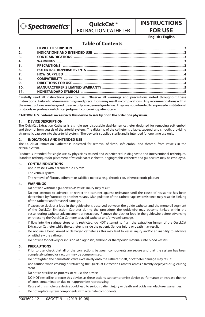

## **QuickCat™ EXTRACTION CATHETER**

# **INSTRUCTIONS FOR USE**

**English / English**

## **Table of Contents**

| 1.               |  |
|------------------|--|
| 2.               |  |
| 3.               |  |
| $\overline{4}$ . |  |
| 5.               |  |
| 6.               |  |
| 7.               |  |
| 8.               |  |
| 9.               |  |
| 10.              |  |
| 11.              |  |

**Carefully read all instructions prior to use. Observe all warnings and precautions noted throughout these instructions. Failure to observe warnings and precautions may result in complications. Any recommendations within these instructions are designed to serve only as a general guideline. They are not intended to supersede institutional protocols or professional clinical judgment concerning patient care.**

**CAUTION: U.S. Federal Law restricts this device to sale by or on the order of a physician.**

#### **1. DEVICE DESCRIPTION**

The QuickCat Extraction Catheter is a single use, disposable dual-lumen catheter designed for removing soft emboli and thrombi from vessels of the arterial system. The distal tip of the catheter is pliable, tapered, and smooth, providing atraumatic passage into the arterial system. The device is supplied sterile and is intended for one time use only.

#### **2. INDICATIONS AND INTENDED USE**

The QuickCat Extraction Catheter is indicated for removal of fresh, soft emboli and thrombi from vessels in the arterial system.

Product is intended for single use by physicians trained and experienced in diagnostic and interventional techniques. Standard techniques for placement of vascular access sheath, angiographic catheters and guidewires may be employed.

#### **3. CONTRAINDICATIONS**

- Use in vessels with a diameter  $<$  1.5 mm
- The venous system
- The removal of fibrous, adherent or calcified material (e.g. chronic clot, atherosclerotic plaque)

#### **4. WARNINGS**

- Do not use without a guidewire, as vessel injury may result.
- Do not attempt to advance or retract the catheter against resistance until the cause of resistance has been determined by fluoroscopy or other means. Manipulation of the catheter against resistance may result in kinking of the catheter and/or vessel damage.
- If excessive slack or a loop in the guidewire is observed between the guide catheter and the monorail segment of the QuickCat Extraction Catheter during the procedure, the guidewire may become kinked within the vessel during catheter advancement or retraction. Remove the slack or loop in the guidewire before advancing or retracting the QuickCat Catheter to avoid catheter and/or vessel damage.
- If flow into the syringe stops or is restricted, do NOT attempt to flush the extraction lumen of the QuickCat Extraction Catheter while the catheter is inside the patient. Serious injury or death may result.
- Do not use a bent, kinked or damaged catheter as this may lead to vessel injury and/or an inability to advance or withdraw the catheter.
- Do not use for delivery or infusion of diagnostic, embolic, or therapeutic materials into blood vessels.

#### **5. PRECAUTIONS**

- Prior to use, check that all of the connections between components are secure and that the system has been completely primed or vacuum may be compromised.
- Do not tighten the hemostatic valve excessively onto the catheter shaft, or catheter damage may result.
- Use caution when crossing or retracting the QuickCat Extraction Catheter across a freshly deployed drug-eluting stent.
- Do not re-sterilize, re-process, or re-use the device.
- DO NOT resterilize or reuse this device, as these actions can compromise device performance or increase the risk of cross-contamination due to inappropriate reprocessing.
- Reuse of this single use device could lead to serious patient injury or death and voids manufacturer warranties.
- Do not replace system components with alternate components.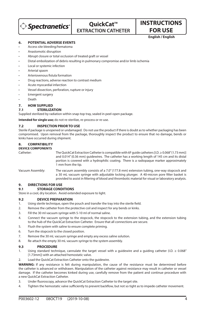

# **OuickCat™ EXTRACTION CATHETER**

## **FOR USE English / English**

**INSTRUCTIONS** 

#### **6. POTENTIAL ADVERSE EVENTS**

- Access site bleeding/hematoma
- Anastomotic disruption
- Abrupt closure or total occlusion of treated graft or vessel
- Distal embolization of debris resulting in pulmonary compromise and/or limb ischemia
- Local or systemic infection
- Arterial spasm
- Arteriovenous fistula formation
- Drug reactions, adverse reaction to contrast medium
- Acute myocardial infarction
- Vessel dissection, perforation, rupture or injury
- **Emergent surgery**
- Death

### **7. HOW SUPPLIED**

#### **7.1 STERILIZATION**

Supplied sterilized by radiation within snap-top tray, sealed in peel-open package.

**Intended for single use;** do not re-sterilize, re-process or re-use.

#### **7.2 INSPECTION PRIOR TO USE**

Sterile if package is unopened or undamaged. Do not use the product if there is doubt as to whether packaging has been compromised. Upon removal from the package, thoroughly inspect the product to ensure that no damage, bends or kinks have occurred during shipment.

#### **8. COMPATIBILITY DEVICE COMPONENTS**

Catheter: The QuickCat Extraction Catheter is compatible with 6F guide catheters [I.D. ≥ 0.068" (1.73 mm)] and 0.014" (0.36 mm) guidewires. The catheter has a working length of 145 cm and its distal portion is covered with a hydrophilic coating. There is a radiopaque marker approximately 1 mm from the tip.

#### Vacuum Assembly: The vacuum assembly consists of a 7.0" (177.8 mm) extension tubing, one-way stopcock and a 30 mL vacuum syringe with adjustable locking plunger. A 40-micron pore filter basket is provided to assist in filtering of blood and thrombotic material for visual or laboratory analysis.

#### **9. DIRECTIONS FOR USE**

#### **9.1 STORAGE CONDITIONS**

Store in a cool, dry location. Avoid extended exposure to light.

#### **9.2 DEVICE PREPARATION**

- 1. Using sterile technique, open the pouch and transfer the tray into the sterile field.
- 2. Remove the catheter from the protective coil and inspect for any bends or kinks.
- 3. Fill the 30 ml vacuum syringe with 5-10 ml of normal saline.
- 4. Connect the vacuum syringe to the stopcock, the stopcock to the extension tubing, and the extension tubing to the hub of the QuickCat Extraction Catheter. Ensure that all connections are secure.
- 5. Flush the system with saline to ensure complete priming.
- 6. Turn the stopcock to the closed position.
- 7. Remove the 30 mL vacuum syringe and empty any excess saline solution.
- 8. Re-attach the empty 30 mL vacuum syringe to the system assembly.

#### **9.3 PROCEDURE**

- 1. Using standard technique, cannulate the target vessel with a quidewire and a quiding catheter (I.D.  $\geq 0.068''$ [1.73mm]) with an attached hemostatic valve.
- Load the QuickCat Extraction Catheter onto the guidewire.

**WARNING:** If any resistance is felt during manipulation, the cause of the resistance must be determined before the catheter is advanced or withdrawn. Manipulation of the catheter against resistance may result in catheter or vessel damage. If the catheter becomes kinked during use, carefully remove from the patient and continue procedure with a new QuickCat Extraction Catheter.

- 3. Under fluoroscopy, advance the QuickCat Extraction Catheter to the target site.
- 4. Tighten the hemostatic valve sufficiently to prevent backflow, but not so tight as to impede catheter movement.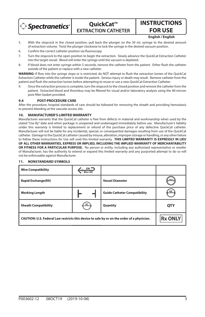

**OuickCat™ EXTRACTION CATHETER**

# **INSTRUCTIONS FOR USE**

**English / English**

- 5. With the stopcock in the closed position, pull back the plunger on the 30 mL syringe to the desired amount of extraction volume. Twist the plunger clockwise to lock the syringe in the desired vacuum position.
- 6. Confirm the correct catheter position via fluoroscopy.
- 7. Turn the stopcock to the open position to begin the extraction. Slowly advance the QuickCat Extraction Catheter into the target vessel. Blood will enter the syringe until the vacuum is depleted.
- 8. If blood does not enter syringe within 5 seconds, remove the catheter from the patient. Either flush the catheter outside of the patient or replace with a new catheter.

WARNING: If flow into the syringe stops or is restricted, do NOT attempt to flush the extraction lumen of the QuickCat Extraction Catheter while the catheter is inside the patient. Serious injury or death may result. Remove catheter from the patient and flush the extraction lumen before attempting to reuse or use a new QuickCat Extraction Catheter.

Once the extraction process is complete, turn the stopcock to the closed position and remove the catheter from the patient. Extracted blood and thrombus may be filtered for visual and/or laboratory analysis using the 40-micron pore filter basket provided.

#### **9.4 POST-PROCEDURE CARE**

After the procedure, hospital standards of care should be followed for removing the sheath and providing hemostasis to prevent bleeding at the vascular access site.

#### **10. MANUFACTURER'S LIMITED WARRANTY**

Manufacturer warrants that the QuickCat catheter is free from defects in material and workmanship when used by the stated "Use By" date and when package is unopened and undamaged immediately before use. Manufacturer's liability under this warranty is limited to replacement or refund of the purchase price of any defective QuickCat catheter. Manufacturer will not be liable for any incidental, special, or consequential damages resulting from use of the QuickCat catheter. Damage to the QuickCat catheter caused by misuse, alteration, improper storage or handling, or any other failure to follow these Instructions for Use will void this limited warranty. **THIS LIMITED WARRANTY IS EXPRESSLY IN LIEU OF ALL OTHER WARRANTIES, EXPRESS OR IMPLIED, INCLUDING THE IMPLIED WARRANTY OF MERCHANTABILITY OR FITNESS FOR A PARTICULAR PURPOSE.** No person or entity, including any authorized representative or reseller of Manufacturer, has the authority to extend or expand this limited warranty and any purported attempt to do so will not be enforceable against Manufacturer.

#### **11. NONSTANDARD SYMBOLS**

| <b>Wire Compatibility</b>                                                                  | $GW =$<br>$\hat{ }$ Max OD |                                     |                |
|--------------------------------------------------------------------------------------------|----------------------------|-------------------------------------|----------------|
| <b>Rapid Exchange(RX)</b>                                                                  |                            | <b>Vessel Diameter</b>              | mm             |
| <b>Working Length</b>                                                                      |                            | <b>Guide Catheter Compatibility</b> | GC             |
| <b>Sheath Compatibility</b>                                                                | SC                         | Quantity                            | <b>QTY</b>     |
| CAUTION: U.S. Federal Law restricts this device to sale by or on the order of a physician. |                            |                                     | <b>Rx ONLY</b> |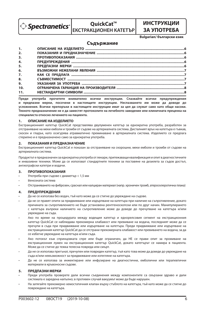

## **OuickCat™ ЕКСТРАКЦИОНЕН КАТЕТЪР**

## **ИНСТРУКЦИИ ЗА УПОТРЕБА**

**Bulgarian/ български език**

### **Съдържание**

| 1.             |  |
|----------------|--|
| 2.             |  |
| 3.             |  |
| 4.             |  |
| 5.             |  |
| 6.             |  |
| 7.             |  |
| 8.             |  |
| 9 <sub>1</sub> |  |
| 10.            |  |
| 11.            |  |
|                |  |

**Преди употреба прочетете внимателно всички инструкции. Спазвайте всички предупреждения и предпазни мерки, посочени в настоящите инструкции. Неспазването им може да доведе до усложнения. Всички препоръки в настоящите инструкции имат за цел да служат само като общи насоки. Тяхното предназначение не е да заместят протоколите на лечебното заведение или клиничната преценка на специалиста относно лечението на пациента.**

#### **1. ОПИСАНИЕ НА ИЗДЕЛИЕТО**

Екстракционният катетър QuickCat представлява двулуменен катетър за еднократна употреба, разработен за отстраняване на меки емболи и тромби от съдове на артериалната система. Дисталният връх на катетъра е гъвкав, скосен и гладък, като осигурява атравматично преминаване в артериалната система. Изделието се предлага стерилно и е предназначено само за еднократна употреба.

#### **2. ПОКАЗАНИЯ И ПРЕДНАЗНАЧЕНИЕ**

Екстракционният катетър QuickCat е показан за отстраняване на скорошни, меки емболи и тромби от съдове на артериалната система.

Продуктът е предназначен за еднократна употреба от лекари, притежаващи квалификация и опит в диагностичните и инвазивни техники. Може да се използват стандартните техники за поставяне на дезилета за съдов достъп, ангиографски катетри и водачи.

#### **3. ПРОТИВОПОКАЗАНИЯ**

- Употреба при съдове с диаметър < 1,5 мм
- Венозната система
- Отстраняването на фиброзен, сраснал или калциран материал (напр. хроничен тромб, атеросклеротична плака)

#### **4. ПРЕДУПРЕЖДЕНИЯ**

- Да не се използва без водач, тъй като може да се стигне до увреждане на съдове.
- Да не се правят опити за придвижване или издърпване на катетъра при наличие на съпротивление, докато причината за съпротивлението не бъде установена рентгеноскопски или по друг начин. Манипулирането с катетъра въпреки наличието на съпротивление може да доведе до пречупване на катетъра и/или увреждане на съда.
- Ако по време на процедурата между водещия катетър и еднорелсовия сегмент на екстракционния катетър QuickCat се наблюдава прекомерна хлабавост или превиване на водача, последният може да се пречупи в съда при придвижване или издърпване на катетъра. Преди придвижване или издърпване на екстракционния катетър QuickCat да се отстрани прекомерната хлабавост или превиването на водача, за да се избегне увреждане на катетъра и/или съда.
- Ако потокът към спринцовката спре или бъде ограничен, да НЕ се прави опит за промиване на екстракционния лумен на екстракционния катетър QuickCat, докато катетърът се намира в пациента. Може да се стигне до тежка телесна повреда или смърт.
- Да не се използва прегънат, пречупен или повреден катетър, тъй като това може да доведе до увреждане на съда и/или невъзможност за придвижване или изтегляне на катетъра.
- Да не се използва за инжектиране или инфузиране на диагностични, емболични или терапевтични материали в кръвоносни съдове.

#### **5. ПРЕДПАЗНИ МЕРКИ**

- Преди употреба проверете дали всички съединения между компонентите са свързани здраво и дали системата е заредена напълно; в противен случай вакуумът може да бъде нарушен.
- На затягайте прекомерно хемостатичния клапан върху стъблото на катетъра, тъй като може да се стигне до повреждане на катетъра.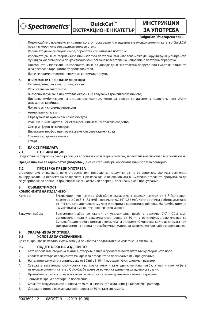$\Diamond$  Spectranetics  $\Diamond$ 

# **OuickCat™ ЕКСТРАКЦИОНЕН КАТЕТЪР**

## **ЗА УПОТРЕБА Bulgarian/ български език**

**ИНСТРУКЦИИ** 

- Подхождайте с повишено внимание, когато прокарвате или издърпвате екстракционния катетър QuickCat през наскоро поставен медикаментозен стент.
- Изделието да не се стерилизира, обработва или използва повторно.
- Изделието да НЕ се стерилизира или използва повторно, тъй като това може да наруши функционирането му или да увеличи риска от кръстосано замърсяване вследствие на неправилна повторна обработка.
- Повторното използване на изделието може да доведе до тежка телесна повреда или смърт на пациента и да обезсили гаранциите от производителя.
- Да не се подменят компонентите на системата с други.

#### **6. ВЪЗМОЖНИ НЕЖЕЛАНИ ЯВЛЕНИЯ**

- Кървене/хематом в мястото на достъп
- Разкъсване на анастомоза
- Внезапно запушване или тотална оклузия на лекувания трансплантат или съд
- Дистална емболизация на откъснатите частици, която да доведе до дихателна недостатъчност и/или исхемия на крайници
- Локална или системна инфекция
- Артериален спазъм
- Образуване на артериовенозна фистула
- Реакции към лекарства, нежелана реакция към контрастно средство
- Остър инфаркт на миокарда
- Дисекация, перфорация, разкъсване или увреждане на съд
- Спешна хирургична намеса
- Смърт

#### **7. КАК СЕ ПРЕДЛАГА**

#### **7.1 СТЕРИЛИЗАЦИЯ**

Предоставя се стерилизирано с радиация в поставка със затварящ се капак, запечатана в лесно отваряща се опаковка.

**Предназначено за еднократна употреба.** Да не се стерилизира, обработва или използва повторно.

#### **7.2 ПРОВЕРКА ПРЕДИ УПОТРЕБА**

Стерилно, ако опаковката не е отворена или повредена. Продуктът да не се използва, ако има съмнение за нарушаване на целостта на опаковката. При изваждане от опаковката внимателно огледайте продукта, за да се уверите, че по време на транспорта не са настъпили повреди, прегъвания или пречупвания.

### **8. СЪВМЕСТИМОСТ**

#### **КОМПОНЕНТИ НА ИЗДЕЛИЕТО**

Катетър: Екстракционният катетър QuickCat е съвместим с водещи катетри от 6 F [вътрешен диаметър ≥ 0,068" (1,73 мм)] и водачи от 0,014" (0,36 мм). Катетърът има работна дължина от 145 cm, като дисталната му част е покрита с хидрофилна обвивка. На приблизително 1 мм от върха има рентгеноконтрастен маркер.

Вакуумен набор: Вакуумният набор се състои от удължителна тръба с дължина 7,0" (177,8 мм), еднопосочен кран и вакуумна спринцовка от 30 ml с регулируемо заключващо се бутало. Предоставен е филтър с големина на отворите 40 микрона, който да спомага при филтрирането на кръвта и тромботичния материал за визуален или лабораторен анализ.

#### **9. УКАЗАНИЯ ЗА УПОТРЕБА**

#### **9.1 УСЛОВИЯ ЗА СЪХРАНЕНИЕ**

Да се съхранява на хладно, сухо място. Да се избягва продължително излагане на светлина.

#### **9.2 ПОДГОТОВКА НА ИЗДЕЛИЕТО**

- 1. Като използвате стерилна техника, отворете плика и пренесете поставката върху стерилното поле.
- 2. Свалете катетъра от защитната макара и го огледайте за прегъвания или пречупвания.
- 3. Напълнете вакуумната спринцовка от 30 ml с 5-10 ml нормален физиологичен разтвор.
- 4. Свържете вакуумната спринцовка към крана, него към удължителната тръба, а нея към муфата на екстракционния катетър QuickCat. Уверете се, всички съединения са здраво свързани.
- 5. Промийте системата с физиологичен разтвор, за да гарантирате, че е напълно заредена.
- 6. Завъртете крана в затворено положение.
- 7. Откачете вакуумната спринцовка от 30 ml и изпразнете излишния физиологичен разтвор.
- 8. Свържете отново вакуумната спринцовка от 30 ml към системата.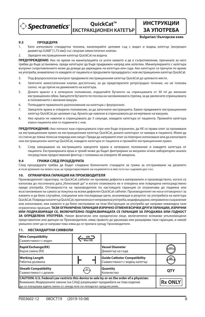

**OuickCat™ ЕКСТРАКЦИОНЕН КАТЕТЪР** 

**ИНСТРУКЦИИ ЗА УПОТРЕБА Bulgarian/ български език**

#### **9.3 ПРОЦЕДУРА**

- 1. Като използвате стандартна техника, канюлирайте целевия съд с водач и водещ катетър (вътрешен диаметър 0,068" [1,73 мм]) със свързан хемостатичен клапан.
- 2. Заредете екстракционния катетър QuickCat на водача.

**ПРЕДУПРЕЖДЕНИЕ:** Ако по време на манипулацията се усети каквото и да е съпротивление, причината за него трябва да бъде установена, преди катетърът да бъде придвижен напред или изтеглен. Манипулирането с катетъра въпреки съпротивлението може да доведе до увреждане на катетъра или съда. Ако катетърът се пречупи по време на употреба, внимателно го извадете от пациента и продължете процедурата с нов екстракционен катетър QuickCat.

- 3. Под флуороскопски контрол придвижете екстракционния катетър QuickCat до целевото място.
- 4. Затегнете хемостатичния клапан достатъчно, за да предотвратите ретроградно течение, но не толкова силно, че да пречи на движението на катетъра.
- 5. Докато кранът е в затворено положение, издърпайте буталото на спринцовката от 30 ml до желания екстракционен обем. Завъртете буталото по посока на часовниковата стрелка, за да заключите спринцовката в положението с желания вакуум.
- 6. Потвърдете правилното разположение на катетъра с флуороскоп.
- 7. Завъртете крана в отворено положение, за да започнете екстракцията. Бавно придвижете екстракционния катетър QuickCat до целевия съд. Кръвта ще навлезе в спринцовката до изчерпване на вакуума.
- 8. Ако кръвта не навлезе в спринцовката до 5 секунди, извадете катетъра от пациента. Промийте катетъра извън пациента или го подменете с нов.

**ПРЕДУПРЕЖДЕНИЕ:** Ако потокът към спринцовката спре или бъде ограничен, да НЕ се прави опит за промиване на екстракционния лумен на екстракционния катетър QuickCat, докато катетърът се намира в пациента. Може да се стигне до тежка телесна повреда или смърт. Преди да направите опит за повторно използване или да използвате нов екстракционен катетър QuickCat, извадете катетъра от пациента и промийте екстракционния лумен.

9. След завършване на екстракцията завъртете крана в затворено положение и извадете катетъра от пациента. Екстрахираната кръв и тромб може да бъдат филтрирани за визуален и/или лабораторен анализ посредством предоставения филтър с големина на отворите 40 микрона.

#### **9.4 ГРИЖИ СЛЕД ПРОЦЕДУРАТА**

След процедурата трябва да бъдат следвани болничните стандарти за грижа за отстраняване на дезилето и осигуряване на хемостаза за предотвратяване на кървенето в мястото на съдовия достъп.

#### **10. ОГРАНИЧЕНА ГАРАНЦИЯ НА ПРОИЗВОДИТЕЛЯ**

Производителят гарантира, че QuickCat catheter не проявява дефекти в материалите и производството, когато се използва до посочената дата "Използвай до" и когато опаковката не е отворена или повредена непосредствено преди употреба. Отговорността на производителя по настоящата гаранция се ограничава до подмяна или възстановяване на сумата за покупка на всеки дефектен QuickCat catheter. Производителят не носи отговорност за каквито и да било случайни, специални или последващи щети, възникващи в резултат на употребата на катетъра QuickCat. Повреда на катетър QuickCat, причинена от неправилна употреба, модифициране, неправилно съхранение или използване, или каквото и да било неспазване на тези Инструкции за употреба ще направи невалидна тази ограничена гаранция. **ТАЗИ ОГРАНИЧЕНА ГАРАНЦИЯ ИЗРИЧНО ОТМЕНЯ ВСИЧКИ ДРУГИ ГАРАНЦИИ, ИЗРИЧНИ ИЛИ ПОДРАЗБИРАЩИ СЕ, ВКЛЮЧИТЕЛНО ПОДРАЗБИРАЩАТА СЕ ГАРАНЦИЯ ЗА ПРОДАЖБА ИЛИ ГОДНОСТ ЗА ОПРЕДЕЛЕНА УПОТРЕБА**. Никое физическо или юридическо лице, включително всякакви упълномощени

представители или дилъри на Производителя, няма правото да удължава или разширява тази гаранция, и никой умишлен опит да се направи това няма да се прилага срещу Производителя.

#### **11. НЕСТАНДАРТНИ СИМВОЛИ**

| <b>Wire Compatibility</b><br>Съвместимост с водач                                                                                                                                                                                            | $GW =$<br>Max OD |                                                                     |                |
|----------------------------------------------------------------------------------------------------------------------------------------------------------------------------------------------------------------------------------------------|------------------|---------------------------------------------------------------------|----------------|
| <b>Rapid Exchange(RX)</b><br>Бърза смяна (RX)                                                                                                                                                                                                |                  | <b>Vessel Diameter</b><br>Диаметър на съда                          | mm             |
| <b>Working Length</b><br>Работна дължина                                                                                                                                                                                                     |                  | <b>Guide Catheter Compatibility</b><br>Съвместимост с водещ катетър | GC             |
| <b>Sheath Compatibility</b><br>Съвместимост с дезиле                                                                                                                                                                                         |                  | Quantity<br>Количество                                              | <b>OTY</b>     |
| CAUTION: U.S. Federal Law restricts this device to sale by or on the order of a physician.<br>Внимание: Федералните закони (на САЩ) разрешават продажбата на това изделие<br>да се извършва единствено от лекар или по лекарско предписание. |                  |                                                                     | <b>Rx ONLY</b> |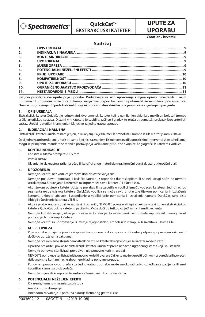

# **QuickCat™ EKSTRAKCIJSKI KATETER**

# **UPUTE ZA UPORABU**

**Croatian / hrvatski**

## **Sadržaj**

| 1.               |  |
|------------------|--|
| 2.               |  |
| 3.               |  |
| $\overline{4}$ . |  |
| 5.               |  |
| 6.               |  |
| 7.               |  |
| 8.               |  |
| 9.               |  |
| 10.              |  |
| 11.              |  |

**Pažljivo pročitajte sve upute prije uporabe. Pridržavajte se svih upozorenja i mjera opreza navedenih u ovim uputama. U protivnom može doći do komplikacija. Sve preporuke u ovim uputama služe samo kao opće smjernice. One ne mogu zamijeniti protokole institucije ni profesionalnu kliničku procjenu u vezi s liječenjem pacijenta.**

#### **1. OPIS UREĐAJA**

Ekstrakcijski kateter QuickCat je jednokratni, dvolumenski kateter koji je namijenjen uklanjaju mekih embolusa i tromba iz žila arterijskog sustava. Distalni vrh katetera je savitljiv, zašiljen i gladak te pruža atraumatski prolazak kroz arterijski sustav. Uređaj je sterilan i namijenjen isključivo za jednokratnu uporabu.

#### **2. INDIKACIJA I NAMJENA**

Ekstrakcijski kateter QuickCat namijenjen je uklanjanju svježih, mekih embolusa i tromba iz žila u arterijskom sustavu.

Ovaj jednokratni uređaj smiju koristiti samo liječnici sa znanjem i iskustvom na dijagnostičkim i intervencijskim tehnikama. Mogu se primijeniti i standardne tehnike postavljanja vaskularne pristupne ovojnice, angiografskih katetera i vodilica.

#### **3. KONTRAINDIKACIJE**

- Koristite u žilama promjera < 1,5 mm
- Venski sustav
- Uklanjanje vlaknastog, prijanjajućeg ili kalcificiranog materijala (npr. kronični ugrušak, aterosklerotični plak)

### **4. UPOZORENJA**

- Nemojte koristiti bez vodilice jer može doći do oštećivanja žile.
- Nemojte pokušavati pomicati ili izvlačiti kateter uz otpor dok fluoroskopijom ili na neki drugi način ne utvrdite uzrok otpora. Upravljanje kateterom uz otpor može saviti kateter i/ili oštetiti žilu.
- Ako tijekom postupka kateter postane prelabav ili se zapetlja u vodilici između vodećeg katetera i jednotračnog segmenta ekstrakcijskog katetera QuickCat, vodilica se može saviti unutar žile tijekom pomicanja ili izvlačenja katetera. Uklonite labavost ili zapetljanje u vodilici prije pomicanja ili izvlačenja katetera QuickCat kako biste izbjegli oštećivanje katetera i/ili žile.
- Ako se protok unutar štrcaljke zaustavi ili ograniči, NEMOJTE pokušavati ispirati ekstrakcijski lumen ekstrakcijskog katetera QuickCat dok je kateter u pacijentu. Može doći do teškog ozljeđivanja ili smrti pacijenta.
- Nemojte koristiti savijen, iskrivljen ili oštećen kateter jer to može uzrokovati ozljeđivanje žile i/ili nemogućnost pomicanja ili izvlačenja katetera.
- Nemojte koristiti za ubrizgavanje ili infuziju dijagnostičkih, embolijskih i terapijskih sredstava u krvne žile.

#### **5. MJERE OPREZA**

- Prije uporabe provjerite jesu li svi spojevi komponenata dobro povezani i sustav potpuno pripremljen kako ne bi došlo do ugrožavanja vakuuma.
- Nemojte prekomjerno stezati hemostatski ventil na katetersku cjevčicu jer se kateter može oštetiti.
- Oprezno prelazite i povlačite ekstrakcijski kateter QuickCat preko nedavno ugrađenog stenta koji ispušta lijek.
- Nemojte ponovno sterilizirati, prerađivati niti ponovno koristiti uređaj.
- NEMOJTE ponovno sterilizirati niti ponovno koristiti ovaj uređaj jer to može ugroziti učinkovitost uređaja ili povećati rizik unakrsne kontaminacije zbog neprikladne ponovne prerade.
- Ponovna uporaba ovog uređaja za jednokratnu upotrebu može uzrokovati teško ozljeđivanje pacijenta ili smrt i poništava jamstva proizvođača.
- Nemojte mijenjati komponente sustava alternativnim komponentama.

#### **6. POTENCIJALNI NEŽELJENI EFEKTI**

- Krvarenje/hematom na mjestu pristupa
- Anastomozna disrupcija
- Iznenadno zatvaranje ili potpuna okluzija tretiranog grafta ili žile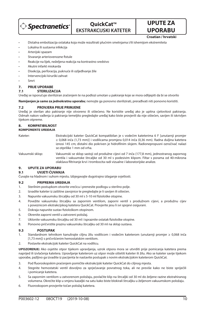

# **QuickCat™ EKSTRAKCIJSKI KATETER**

**UPORABU Croatian / hrvatski**

**UPUTE ZA** 

- Distalna embolizacija ostataka koja može rezultirati plućnim smetnjama i/ili ishemijom ekstremiteta
- Lokalna ili sustavna infekcija
- Arterijski spazam
- Stvaranje arteriovenozne fistule
- Reakcije na lijek, neželjena reakcija na kontrastno sredstvo
- Akutni infarkt miokarda
- Disekcija, perforacija, puknuće ili ozljeđivanje žile
- Intervencijski kirurški zahvat
- Smrt

## **7. PRIJE UPORABE**

#### **7.1 STERILIZACIJA**

Uređaj se isporučuje steriliziran zračenjem te na podlozi umotan u pakiranje koje se mora odlijepiti da bi se otvorilo

**Namijenjen je samo za jednokratnu uporabu**; nemojte ga ponovno sterilizirati, prerađivati niti ponovno koristiti.

#### **7.2 PROVJERA PRIJE PRIMJENE**

Uređaj je sterilan ako pakiranje nije otvoreno ili oštećeno. Ne koristite uređaj ako je upitna cjelovitost pakiranja. Odmah nakon vađenja iz pakiranja temeljito pregledajte uređaj kako biste provjerili da nije oštećen, savijen ili iskrivljen tijekom otpreme.

#### **8. KOMPATIBILNOST KOMPONENTE UREĐAJA**

Kateter: Ekstrakcijski kateter QuickCat kompatibilan je s vodećim kateterima 6 F [unutarnji promjer ≥ 0,068 inča (1,73 mm)] i vodilicama promjera 0,014 inča (0,36 mm). Radna duljina katetera iznosi 145 cm; distalni dio pokriven je hidrofilnim slojem. Radionepropusni oznsčivač nalazi se otprilike 1 mm od vrha.

Vakuumski sklop: Vakuumski se sklop sastoji od produžne cijevi od 7 inča (177,8 mm), jednostranog zapornog ventila i vakuumske štrcaljke od 30 ml s podesivim klipom. Filtar s porama od 40-mikrona olakšava filtriranje krvi i trombocita radi vizualne i laboratorijske analize.

#### **9. UPUTE ZA UPORABU**

#### **9.1 UVJETI ČUVANJA**

Čuvajte na hladnom i suhom mjestu. Izbjegavajte dugotrajno izlaganje svjetlosti.

#### **9.2 PRIPREMA UREĐAJA**

- 1. Sterilnim postupkom otvorite vrećicu i prenesite podlogu u sterilno polje.
- 2. Izvadite kateter iz zaštitne zavojnice te pregledajte je li savijen ili oštećen.
- 3. Napunite vakuumsku štrcaljku od 30 ml s 5-10 ml fiziološke otopine.
- 4. Povežite vakuumsku štrcaljku sa zapornim ventilom, zaporni ventil s produžnom cijevi, a produžnu cijev s poveznicom ekstrakcijskog katetera QuickCat. Provjerite jesu li svi spojevi osigurani.
- 5. Dokraja napunite sustav fiziološkom otopinom.
- 6. Okrenite zaporni ventil u zatvoreni položaj.
- 7. Uklonite vakuumsku štrcaljku od 30 ml i ispraznite ostatak fiziološke otopine.
- 8. Ponovno pričvrstite praznu vakuumsku štrcaljku od 30 ml na sklop sustava.

#### **9.3 POSTUPAK**

- 1. Standardnom tehnikom kanulirajte ciljnu žilu vodilicom i vodećim kateterom (unutarnji promjer ≥ 0,068 inča [1,73 mm]) s pričvršćenim hemostatskim ventilom.
- 2. Postavite ekstrakcijski kateter QuickCat na vodilicu.

**UPOZORENJE:** Ako osjetite otpor tijekom upravljanja, uzrok otpora mora se utvrditi prije pomicanja katetera prema naprijed ili izvlačenja katetera. Upravljanje kateterom uz otpor može oštetiti kateter ili žilu. Ako se kateter savije tijekom uporabe, pažljivo ga izvadite iz pacijenta te nastavite postupak s novim ekstrakcijskim kateterom QuickCat.

- 3. Pod fluoroskopskim praćenjem pomičite ekstrakcijski kateter QuickCat do ciljnog mjesta.
- 4. Stegnite hemostatski ventil dovoljno za sprječavanje povratnog toka, ali ne previše kako ne biste spriječili i pomicanje katetera.
- 5. Sa zapornim ventilom u zatvorenom položaju, povlačite klip na štrcaljki od 30 ml do željene razine ekstrahiranog volumena. Okrećite klip u smjeru kazaljki na satu kako biste blokirali štrcaljku u željenom vakuumskom položaju.
- 6. Fluoroskopom provjerite točan položaj katetera.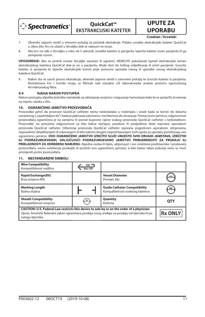

**QuickCat™ EKSTRAKCIJSKI KATETER**

## **UPORABU Croatian / hrvatski**

**UPUTE ZA** 

- 7. Okrenite zaporni ventil u otvoreni položaj za početak ekstrakcije. Polako uvodite ekstrakcijski kateter QuickCat u ciljnu žilu. Krv će ulaziti u štrcaljku dok se vakuum ne iscrpi.
- 8. Ako krv ne uđe u štrcaljku u roku od 5 sekundi, izvadite kateter iz pacijenta. Isperite kateter izvan pacijenta ili ga zamijenite novim.

**UPOZORENJE:** Ako se protok unutar štrcaljke zaustavi ili ograniči, NEMOJTE pokušavati ispirati ekstrakcijski lumen ekstrakcijskog katetera QuickCat dok je on u pacijentu. Može doći do teškog ozljeđivanja ili smrti pacijenta. Izvucite kateter iz pacijenta te isperite ekstrakcijski lumen prije ponovne uporabe starog ili uporabe novog ekstrakcijskog katetera QuickCat.

9. Nakon što se završi proces ekstrakcije, okrenite zaporni ventil u zatvoreni položaj te izvucite kateter iz pacijenta. Ekstrahirana krv i trombi mogu se filtrirati radi vizualne i/ili laboratorijske analize pomoću isporučenog 40-mikronskog filtra.

#### **9.4 NJEGA NAKON POSTUPKA**

Nakon postupka slijedite bolničke standarde za uklanjanje ovojnice i osiguranje hemostaze kako bi se spriječilo krvarenje na mjestu ulaska u žilu.

#### **10. OGRANIČENO JAMSTVO PROIZVOĐAČA**

Proizvođač jamči da proizvod QuickCat catheter nema nedostataka u materijalu i izradi kada se koristi do datuma označenog s "Upotrebljivo do" i kada je pakiranje zatvoreno i neoštećeno do otvaranja. Prema ovom jamstvu, odgovornost proizvođača ograničena je na zamjenu ili povrat kupovne cijene svakog proizvoda QuickCat catheter s nedostatkom. Proizvođač ne preuzima odgovornost za bilo kakve slučajne, posebne ili posljedične štete izazvane uporabom proizvoda QuickCat catheter. Oštećenja proizvoda QuickCat catheter izazvana pogrešnom uporabom, izmjenama, nepravilnim skladištenjem ili rukovanjem ili bilo kakvim drugim nepridržavanjem ovih uputa za uporabu poništavaju ovo ograničeno jamstvo. **OVO OGRANIČENO JAMSTVO IZRIČITO SLUŽI UMJESTO SVIH DRUGIH JAMSTAVA, IZRIČITIH ILI PODRAZUMIJEVANIH, UKLJUČUJUĆI PODRAZUMIJEVANO JAMSTVO PRIMJERENOSTI ZA PRODAJU ILI PRIKLADNOSTI ZA ODREĐENU NAMJENU.** Nijedna osoba ili tijelo, uključujući i sve ovlaštene predstavnike i prodavače proizvođača, nema ovlaštenja produljiti ili proširiti ovo ograničeno jamstvo, a bilo kakav takav pokušaj neće se moći primijeniti protiv proizvođača.

#### **Wire Compatibility**  $\frac{GW}{Max OD}$ Kompatibilnost vodilice **Vessel Diameter Rapid Exchange(RX)** Brza izmjena (RX) Promjer žile **Guide Catheter Compatibility Working Length** Radna duljina Kompatibilnost vodećeg katetera **Sheath Compatibility Quantity**  $s$ c Količina **QTY** Kompatibilnost ovojnice **CAUTION: U.S. Federal Law restricts this device to sale by or on the order of a physician. Rx ONLY** Oprez: Američki federalni zakon ograničava prodaju ovog uređaja na prodaju od liječnika ili po nalogu liječnika.

#### **11. NESTANDARDNI SIMBOLI**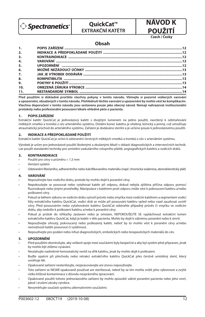

**QuickCat™ EXTRAKČNÍ KATÉTR**

# **NÁVOD K POUŽITÍ**

**Czech / Česky**

## **Obsah**

| 1.               |  |
|------------------|--|
| 2.               |  |
| 3.               |  |
| 4.               |  |
| 5.               |  |
| 6.               |  |
| $\overline{z}$ . |  |
| 8.               |  |
| 9 <sub>1</sub>   |  |
| 10.              |  |
| 11.              |  |

**Před použitím si důkladně pročtěte všechny pokyny v tomto návodu. Všímejte si pozorně veškerých varování a upozornění, obsažených v tomto návodu. Přehlédnutí těchto varování a upozornění by mohlo vést ke komplikacím. Všechna doporučení v tomto návodu jsou sestavena pouze jako obecný návod. Nemají nahrazovat institucionální protokoly nebo profesionální posouzení lékaře ohledně péče o pacienta.**

#### **1. POPIS ZAŘÍZENÍ**

Extrakční katétr QuickCat je jednorázový katétr s dvojitým lumenem na jedno použití, navržený k odstraňování měkkých vmetků a trombů z cév arteriálního systému. Distální konec katétru je ohebný, kónický a jemný, což umožňuje atraumatický průchod do arteriálního systému. Zařízení je dodáváno sterilní a je určeno pouze k jednorázovému použití.

#### **2. INDIKACE A PŘEDPOKLÁDANÉ POUŽITÍ**

Extrakční katétr QuickCat je určen k odstranění čerstvých měkkých vmetků a trombů z cév v arteriálním systému.

Výrobek je určen pro jednorázové použití školenými a zkušenými lékaři v oblasti diagnostických a intervenčních technik. Lze použít standardní techniky pro umístění vaskulárního vstupního pláště, angiografických katétrů a vodicích drátů.

#### **3. KONTRAINDIKACE**

- Použití pro cévy o průměru < 1,5 mm
- Venózní systém
- Odstranění fibrózního, adherentního nebo kalcifikovaného materiálu (např. chronická sraženina, aterosklerotický plát)

#### **4. VAROVÁNÍ**

- Nepoužívejte bez vodicího drátu, protože by mohlo dojít k poranění cévy.
- Nepokoušejte se posouvat nebo vytahovat katétr při odporu, dokud nebyla zjištěna příčina odporu pomocí uoroskopie nebo jinými prostředky. Manipulace s katétrem proti odporu může vést k pokroucení katétru a/nebo poškození cévy.
- Pokud se během výkonu ve vodicím drátu vytvoří průvěs nebo smyčka mezi vodicím katétrem a segmentem vodicí lišty extrakčního katétru QuickCat, vodicí drát se může při posouvání katétru vpřed nebo vzad zauzlovat uvnitř cévy. Před posouváním nebo vytahováním katétru QuickCat odstraňte případný průvěs či smyčku ve vodicím drátu, aby nedošlo k poškození katétru a/nebo k poranění cévy.
- Pokud je průtok do stříkačky zastaven nebo je omezen, NEPOKOUŠEJTE SE vypláchnout extrakční lumen extrakčního katétru QuickCat, když je katétr v těle pacienta. Mohlo by dojít k vážnému poranění nebo k úmrtí.
- Nepoužívejte ohnutý, pokroucený nebo poškozený katétr, neboť by to mohlo vést k poranění cévy a/nebo nemožnosti katétr posunout či vytáhnout.
- Nepoužívejte pro podání nebo infuzi diagnostických, embolických nebo terapeutických materiálů do cév.

#### **5. UPOZORNĚNÍ**

- Před použitím zkontrolujte, aby veškeré spoje mezi součástmi byly bezpečné a aby byl systém plně připraven, jinak by mohlo být ztíženo vysávání.
- Neutahujte nadměrně hemostatický ventil na dřík katétru, jinak by mohlo dojít k poškození.
- Buďte opatrní při přechodu nebo retrakci extrakčního katétru QuickCat přes čerstvě umístěný stent, který uvolňuje lék.
- Opakovaně zařízení nesterilizujte, nezpracovávejte ani znovu nepoužívejte.
- Toto zařízení se NESMÍ opakovaně používat ani sterilizovat, neboť by se tím mohla snížit jeho výkonnost a zvýšit riziko křížové kontaminace z důvodu nesprávného zpracování.
- Opakované použití tohoto jednorázového zařízení by mohlo způsobit vážné poranění pacienta nebo jeho smrt, jakož i zrušení záruky výrobce.
- Nevyměňujte součásti systému alternativními součástmi.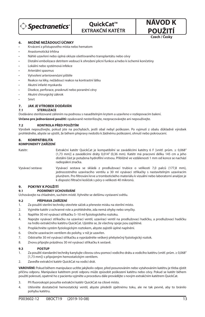

# **OuickCat™ EXTRAKČNÍ KATÉTR**

**POUŽITÍ Czech / Česky**

**NÁVOD K** 

#### **6. MOŽNÉ NEŽÁDOUCÍ ÚČINKY**

- Krvácení z přístupového místa nebo hematom
- Anastomotická trhlina
- Náhlé uzavření nebo úplná okluze ošetřovaného transplantátu nebo cévy
- Distální embolizace detritem vedoucí k ohrožení plicní funkce a/nebo k ischemii končetiny
- Lokální nebo systémová infekce
- Arteriální spasmus
- Vytvoření arteriovenózní píštěle
- Reakce na léky, nežádoucí reakce na kontrastní látku
- Akutní infarkt myokardu
- Disekce, perforace, prasknutí nebo poranění cévy
- Akutní chirurgický zákrok
- Smrt

#### **7. JAK JE VÝROBEK DODÁVÁN**

#### **7.1 STERILIZACE**

Dodáváno sterilizované zářením na podnosu s nasaditelným krytem a uzavřeno v rozlepovacím balení.

**Určeno pro jednorázové použití:** opakovaně nesterilizujte, nezpracovávejte ani nepoužívejte.

#### **7.2 KONTROLA PŘED POUŽITÍM**

Výrobek nepoužívejte, pokud jste na pochybách, jestli obal nebyl poškozen. Po vyjmutí z obalu důkladně výrobek prohlédněte, abyste se ujistili, že během přepravy nedošlo k žádnému poškození, ohnutí nebo pokroucení.

## **8. KOMPATIBILITA**

## **KOMPONENTY ZAŘÍZENÍ**

Katétr: Extrakční katétr QuickCat je kompatibilní se zaváděcími katétry 6 F [vnitř. prům. ≥ 0,068" (1,73 mm)] a zaváděcími dráty 0,014" (0,36 mm). Katétr má pracovní délku 145 cm a jeho distální část je potažena hydrofilní vrstvou. Přibližně ve vzdálenosti 1 mm od konce se nachází radiopákní značka.

Vysávací sestava: Vysávací sestava se skládá z prodlužovací trubice o velikosti 7,0 palců (177,8 mm), jednocestného uzavíracího ventilu a 30 ml vysávací stříkačky s nastavitelným uzavíracím plunžrem. Pro filtrování krve a trombotického materiálu k vizuální nebo laboratorní analýze je k dispozici filtrační košíček s póry o velikosti 40 mikronů.

#### **9. POKYNY K POUŽITÍ**

## **9.1 PODMÍNKY UCHOVÁVÁNÍ**

Uchovávejte na chladném, suchém místě. Vyhněte se delšímu vystavení světlu.

#### **9.2 PŘÍPRAVA ZAŘÍZENÍ**

- 1. Za použití sterilní techniky otevřete sáček a přeneste misku na sterilní místo.
- 2. Vyjměte katétr z ochranné role a prohlédněte, zda nemá ohyby nebo smyčky.
- 3. Naplňte 30 ml vysávací stříkačku 5–10 ml fyziologického roztoku.
- 4. Napojte vysávací stříkačku na uzavírací ventil, uzavírací ventil na prodlužovací hadičku, a prodlužovací hadičku na hrdlo extrakčního katétru QuickCat. Ujistěte se, že všechny spoje jsou zajištěné.
- 5. Propláchněte systém fyziologickým roztokem, abyste zajistili úplné naplnění.
- 6. Otočte uzavíracím ventilem do polohy, v níž je uzavřen.
- 7. Odstraňte 30 ml vysávací stříkačku a vyprázdněte veškerý přebytečný fyziologický roztok.
- 8. Znovu připojte prázdnou 30 ml vysávací stříkačku k sestavě.

#### **9.3 POSTUP**

- 1. Za použití standardní techniky kanylujte cílovou cévu pomocí vodicího drátu a vodicího katétru (vnitř. prům. ≥ 0,068" [1,73 mm]) s připojeným hemostatickým ventilem.
- 2. Zaveďte extrakční katétr QuickCat na vodicí drát.

**VAROVÁNÍ:** Pokud během manipulace ucítíte jakýkoliv odpor, před posunováním nebo vytahováním katétru je třeba zjistit příčinu odporu. Manipulace katétrem proti odporu může způsobit poškození katétru nebo cévy. Pokud se katétr během použití pokroutí, opatrně ho z pacienta vyjměte a proceduru dále provádějte s novým extrakčním katétrem QuickCat.

- 3. Při fluoroskopii posuňte extrakční katétr QuickCat na cílové místo.
- 4. Utěsněte dostatečně hemostatický ventil, abyste předešli zpětnému toku, ale ne tak pevně, aby to bránilo pohybu katétru.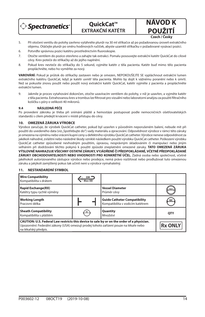

**QuickCat™ EXTRAKČNÍ KATÉTR** **NÁVOD K POUŽITÍ**

**Czech / Česky**

- 5. Při otočení ventilu do polohy zavřeno vytáhněte plunžr na 30 ml stříkačce až po požadovanou úroveň extrakčního objemu. Otáčejte plunžr po směru hodinových ručiček, abyste uzamkli stříkačku v požadované vysávací pozici.
- 6. Potvrďte správnou pozici katétru prostřednictvím fluoroskopie.
- 7. Otočte ventilem do pozice otevřeno a zahajte tak extrakci. Pomalu posouvejte extrakční katétr QuickCat do cílové cévy. Krev poteče do stříkačky až do jejího naplnění.
- 8. Pokud krev nevteče do stříkačky do 5 sekund, vyjměte katétr z těla pacienta. Katétr buď mimo tělo pacienta propláchněte, nebo ho vyměňte za nový.

**VAROVÁNÍ:** Pokud je průtok do stříkačky zastaven nebo je omezen, NEPOKOUŠEJTE SE vypláchnout extrakční lumen extrakčního katétru QuickCat, když je katétr uvnitř těla pacienta. Mohlo by dojít k vážnému poranění nebo k úmrtí. Než se pokusíte znovu použít nebo použít nový extrakční katétr QuickCat, katétr vyjměte z pacienta a propláchněte extrakční lumen.

9. Jakmile je proces vytahování dokončen, otočte uzavíracím ventilem do polohy, v níž je uzavřen, a vyjměte katétr z těla pacienta. Extrahovanou krev a trombus lze filtrovat pro vizuální nebo laboratorní analýzu za použití filtračního košíčku s póry o velikosti 40 mikronů.

#### **9.4 NÁSLEDNÁ PÉČE**

Po provedení zákroku je třeba při snímání pláště a hemostáze postupovat podle nemocničních ošetřovatelských standardů s cílem předejít krvácení v místě přístupu do cévy.

#### **10. OMEZENÁ ZÁRUKA VÝROBCE**

Výrobce zaručuje, že výrobek QuickCat catheter, pokud byl uzavřen v původním neporušeném balení, nebude mít při použití do uvedeného data (viz "Spotřebujte do") vady materiálu a zpracování. Odpovědnost výrobce v rámci této záruky je omezena na výměnu nebo vrácení kupní ceny u defektního výrobku QuickCat catheter. Výrobce nenese odpovědnost za jakékoli náhodné, zvláštní nebo následné škody vzniklé následkem použití výrobku QuickCat catheter. Poškození výrobku QuickCat catheter způsobené nevhodným použitím, úpravou, nesprávným skladováním či manipulací nebo jiným selháním při dodržování těchto pokynů k použití způsobí zneplatnění omezené záruky. **TATO OMEZENÁ ZÁRUKA VÝSLOVNĚ NAHRAZUJE VŠECHNY OSTATNÍ ZÁRUKY, VYJÁDŘENÉ ČI PŘEDPOKLÁDANÉ, VČETNĚ PŘEDPOKLÁDANÉ ZÁRUKY OBCHODOVATELNOSTI NEBO VHODNOSTI PRO KONKRÉTNÍ ÚČEL.** Žádná osoba nebo společnost, včetně jakéhokoli autorizovaného zástupce výrobce nebo prodejce, nemá právo rozšiřovat nebo prodlužovat tuto omezenou záruku a jakýkoli zamýšlený pokus tak učinit není u výrobce vymahatelný.

#### **11. NESTANDARDNÍ SYMBOL**

| <b>Wire Compatibility</b><br>Kompatibilita s drátem                                                                                                                                                          | Max OD |                                                                         |                |
|--------------------------------------------------------------------------------------------------------------------------------------------------------------------------------------------------------------|--------|-------------------------------------------------------------------------|----------------|
| <b>Rapid Exchange(RX)</b><br>Katétry typu rychlé výměny                                                                                                                                                      |        | <b>Vessel Diameter</b><br>Průměr cévv                                   | mm             |
| <b>Working Length</b><br>Pracovní délka                                                                                                                                                                      |        | <b>Guide Catheter Compatibility</b><br>Kompatibilita s vodicím katétrem | GC             |
| <b>Sheath Compatibility</b><br>Kompatibilita s pláštěm                                                                                                                                                       | SC     | Quantity<br>Množství                                                    | <b>OTY</b>     |
| CAUTION: U.S. Federal Law restricts this device to sale by or on the order of a physician.<br>Upozornění: Federální zákony (USA) omezují prodej tohoto zařízení pouze na lékaře nebo<br>na lékařský předpis. |        |                                                                         | <b>Rx ONLY</b> |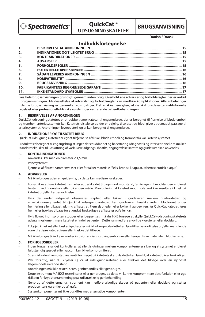

## **QuickCat™ UDSUGNINGSKATETER**



**Danish / Dansk**

## **Indholdsfortegnelse**

| 1.111 |  |
|-------|--|
| 2.    |  |
| 3.    |  |
| 4.    |  |
| 5.    |  |
| 6.    |  |
| 7.    |  |
| 8.    |  |
| 9.    |  |
| 10.   |  |
| 11.   |  |
|       |  |

**Læs hele brugsanvisningen grundigt igennem inden brug. Overhold alle advarsler og forholdsregler, der er anført i brugsanvisningen. Tilsidesættelse af advarsler og forholdsregler kan medføre komplikationer. Alle anbefalinger i denne brugsanvisning er generelle retningslinjer. Det er ikke hensigten, at de skal tilsidesætte institutionelle regelsæt eller professionelle kliniske vurderinger vedrørende patientbehandlingen.**

#### **1. BESKRIVELSE AF ANORDNINGEN**

QuickCat-udsugningskatetret er et dobbeltlumenkateter til engangsbrug, der er beregnet til fjernelse af bløde emboli og tromber i arteriesystemets kar. Katetrets distale spids, der er bøjelig, tilspidset og blød, giver atraumatisk passage til arteriesystemet. Anordningen leveres steril og er kun beregnet til engangsbrug.

#### **2. INDIKATIONER OG TILSIGTET BRUG**

QuickCat-udsugningskatetret er egnet til fjernelse af friske, bløde emboli og tromber fra kar i arteriesystemet.

Produktet er beregnet til engangsbrug af læger, der er uddannet og har erfaring i diagnostik og interventionelle teknikker. Standardteknikker til udskiftning af vaskulære adgangs-sheaths, angiografiske katetre og guidewirer kan anvendes.

#### **3. KONTRAINDIKATIONER**

- Anvendes i kar med en diameter < 1,5 mm
- Venesystemet
- Fjernelse af brøst, sammenvokset eller forkalket materiale (f.eks. kronisk koagulat, atherosclerotisk plaque)

#### **4. ADVARSLER**

- Må ikke bruges uden en guidewire, da dette kan medføre karskader.
- Forsøg ikke at føre katetret frem eller at trække det tilbage mod modstand, før årsagen til modstanden er blevet bestemt ved fluoroskopi eller på anden måde. Manipulering af katetret mod modstand kan resultere i knæk på katetret og/eller karbeskadigelse.
- Hvis der under indgrebet observeres slaphed eller løkker i guidewiren mellem guidekatetret og enkeltskinnesegmentet til QuickCat udsugningskatetret, kan guidewiren knække inde i blodkarret under fremføring eller tilbagetrækning af katetret. Fjern slapheden eller løkken i guidewiren, før QuickCat katetret føres frem eller trækkes tilbage for at undgå beskadigelse af kateter og/eller kar.
- Hvis flowet ind i sprøjten stopper eller begrænses, må du IKKE forsøge at skylle QuickCat-udsugningskatetrets udsugningslumen, mens katetret er inde i patienten. Dette kan medføre alvorlige kvæstelser eller dødsfald.
- Et bøjet, knækket eller beskadiget kateter må ikke bruges, da dette kan føre til karbeskadigelse og/eller manglende evne til at føre katetret frem eller trække det tilbage.
- Må ikke bruges til indgivelse eller infusion af diagnostiske, emboliske eller terapeutiske materialer i blodkarrene.

#### **5. FORHOLDSREGLER**

- Inden brugen skal det kontrolleres, at alle tilslutninger mellem komponenterne er sikre, og at systemet er blevet fuldstændig spædet elller vaccum kan blive kompromiteret.
- Stram ikke den hæmostatiske ventil for meget på katetrets skaft, da dette kan føre til, at katetret bliver beskadiget.
- Vær forsigtig, når du krydser QuickCat udsugningskatetret eller trækker det tilbage over en nyindsat lægemiddeleluerende stent.
- Anordningen må ikke resteriliseres, genbehandles eller genbruges.
- Dette instrument MÅ IKKE resteriliseres eller genbruges, da dette vil kunne kompromittere dets funktion eller øge risikoen for krydskontaminering pga. utilstrækkelig genbehandling.
- Genbrug af dette engangsinstrument kan medføre alvorlige skader på patienten eller dødsfald og sætter producentens garantier ud af kraft.
- Systemkomponenter må ikke udskiftes med alternative komponenter.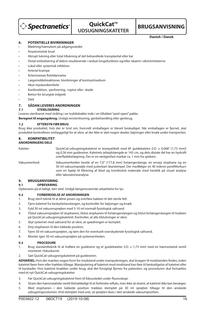

# **OuickCat™ UDSUGNINGSKATETER**

**BRUGSANVISNING**

**Danish / Dansk**

#### **6. POTENTIELLE BIVIRKNINGER**

- Blødning/hæmatom på adgangsstedet
- Anastomotisk brud
- Abrupt lukning eller total tillukning af det behandlede transplantat eller kar
- Distal embolisering af debris resulterende i nedsat lungefunktion og/eller iskæmi i ekstremiteterne
- Lokal eller systemisk infektion
- Arteriel krampe
- Arteriovenøs fisteldannelse
- Lægemiddelreaktioner, bivirkninger af kontrastmedium
- Akut myokardieinfarkt
- Kardissektion, -perforering, -ruptur eller -skade
- Behov for kirurgisk indgreb
- Død

#### **7. SÅDAN LEVERES ANORDNINGEN**

#### **7.1 STERILISERING**

Leveres steriliseret med stråling i en tryklåsbakke inde i en tillukket "peel-open" pakke.

**Beregnet til engangsbrug.** Undgå rensterilisering, genbehandling eller genbrug.

#### **7.2 EFTERSYN FØR BRUG**

Brug ikke produktet, hvis der er tvivl om, hvorvidt emballagen er blevet beskadiget. Når emballagen er fjernet, skal produktet kontrolleres omhyggeligt for at sikre, at der ikke er sket nogen skader, bøjninger eller knæk under transporten.

## **8. KOMPATIBILITET**

**ANORDNINGENS DELE**

Kateter: QuickCat-udsugningskatetret er kompatibelt med 6F guidekatetre [I.D. ≥ 0,068" (1,73 mm)] og 0,36 mm guidewirer. Katetrets arbejdslængde er 145 cm, og dets distale del har en hydrofil overfladebelægning. Der er en røntgenfast markør ca. 1 mm fra spidsen.

Vakuumenhed: Vakuumenheden består af en 7,0" (177,8 mm) forlængerslange, en envejs stophane og en 30 ml vakuumsprøjte med justerbart låsestempel. Der medfølger en 40 mikron porefilterkurv som en hjælp til filtrering af blod og trombotisk materiale med henblik på visuel analyse eller laboratorieanalyse.

#### **9. BRUGSANVISNING**

#### **9.1 OPBEVARING**

Opbevares på et køligt, tørt sted. Undgå længerevarende udsættelse for lys.

#### **9.2 FORBEREDELSE AF ANORDNINGEN**

- 1. Brug steril teknik til at åbne posen og overføre bakken til det sterile felt.
- 2. Fjern katetret fra beskyttelsesslangen, og kontroller for bøjninger og knæk.
- 3. Fyld 30 ml vakuumsprøjten med 5-10 ml normalt fysiologisk saltvand.
- 4. Tilslut vakuumsprøjten til stophanen, tilslut stophanen til forlængerslangen og tilslut forlængerslangen til hubben på QuickCat-udsugningskatetret. Kontroller, at alle tilslutninger er sikre.
- 5. Skyl systemet med saltvand for at sikre, at spædningen er komplet.
- 6. Drej stophanen til den lukkede position.
- 7. Fjern 30 ml vakuumsprøjten, og tøm den for eventuelt overskydende fysiologisk saltvand.
- 8. Monter igen 30 ml vakuumsprøjten på systemenheden.

#### **9.3 PROCEDURE**

- 1. Brug standardteknik til at indføre en guidewire og et guidekateter (I.D. ≥ 1,73 mm) med en hæmostatisk ventil monteret i fokuskarret.
- 2. Sæt QuickCat-udsugningskatetret på guidewiren.

ADVARSEL: Hvis der mærkes nogen form for modstand under manipuleringen, skal årsagen til modstanden findes, inden katetret føres frem eller trækkes tilbage. Manipulering af katetret mod modstand kan føre til beskadigelse af katetret eller til karskader. Hvis katetret knækker under brug, skal det forsigtigt fjernes fra patienten, og proceduren skal fortsættes med et nyt QuickCat-udsugningskateter.

- 3. Før QuickCat-udsugningskatetret frem til fokusstedet under fluoroskopi.
- 4. Stram den hæmostatiske ventil tilstrækkeligt til at forhindre refluks, men ikke så stramt, at katetret ikke kan bevæges.
- 5. Med stophanen i den lukkede position trækkes stemplet på 30 ml sprøjten tilbage til den ønskede udsugningsvolumen. Vrid stemplet med uret, så sprøjten låses i den ønskede vakuumposition.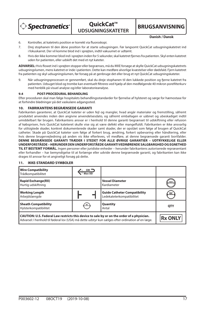

**QuickCat™ UDSUGNINGSKATETER**

**BRUGSANVISNING**

**Danish / Dansk**

- 6. Kontroller, at katetrets position er korrekt via fluoroskopi.
- 7. Drej stophanen til den åbne position for at starte udsugningen. Før langsomt QuickCat udsugningskatetret ind i fokuskarret. Der vil komme blod ind i sprøjten, indtil vakuumet er udtømt.
- 8. Hvis der ikke kommer blod ind i sprøjten inden for 5 sekunder, skal katetret fjernes fra patienten. Skyl enten katetret uden for patienten, eller udskift det med et nyt kateter.

ADVARSEL: Hvis flowet ind i sprøjten stopper eller begrænses, må du IKKE forsøge at skylle QuickCat udsugningskatetrets udsugningslumen, mens katetret er inde i patienten. Dette kan medføre alvorlige kvæstelser eller dødsfald. Fjern katetret fra patienten og skyl udsugningslumen, før forsøg på at genbruge det eller brug et nyt QuickCat udsugningskateter.

9. Når udsugningsprocessen er gennemført, skal du dreje stophanen til den lukkede position og fjerne katetret fra patienten. Udsuget blod og trombe kan eventuelt filtreres ved hjælp af den medfølgende 40 mikron porefilterkurv med henblik på visuel analyse og/eller laboratorieanalyse.

#### **9.4 POST-PROCEDURAL BEHANDLING**

Efter proceduren skal man følge hospitalets behandlingsstandarder for fjernelse af hylsteret og sørge for hæmostase for at forhindre blødninger på det vaskulære adgangssted.

#### **10. FABRIKANTENS BEGRÆNSEDE GARANTI**

Fabrikanten garanterer, at QuickCat kateter er uden fejl og mangler, hvad angår materialer og fremstilling, såfremt produktet anvendes inden den angivne anvendelsesdato, og såfremt emballagen er uåbnet og ubeskadiget indtil umiddelbart før brugen. Fabrikantens ansvar er i henhold til denne garanti begrænset til udskiftning eller refusion af købsprisen, hvis QuickCat kateteret skulle vise sig at være defekt eller mangelfuldt. Fabrikanten er ikke ansvarlig for utilsigtede skader, konkret dokumenterede skader samt skader, der er opstået som følge af brugen af QuickCat catheter. Skade på QuickCat kateter som følge af forkert brug, ændring, forkert opbevaring eller håndtering, eller hvis denne brugervejledning på anden vis ikke efterleves, vil medføre, at denne begrænsede garanti bortfalder. **DENNE BEGRÆNSEDE GARANTI TRÆDER I STEDET FOR ALLE ØVRIGE GARANTIER – UDTRYKKELIGE ELLER UNDERFORSTÅEDE – HERUNDER DEN UNDERFORSTÅEDE GARANTI VEDRØRENDE SALGBARGHED OG EGNETHED TIL ET BESTEMT FORMÅL.** Ingen personer eller juridiske enheder – herunder fabrikantens autoriserede repræsentant

eller forhandler – har bemyndigelse til at forlænge eller udvide denne begrænsede garanti, og fabrikanten kan ikke drages til ansvar for et angiveligt forsøg på dette.

#### **11. IKKE-STANDARD SYMBOLER**

| <b>Wire Compatibility</b><br>Trådkompatibilitet                                                                                                                                                 | $GW =$<br>Max OD |                                                                  |                |
|-------------------------------------------------------------------------------------------------------------------------------------------------------------------------------------------------|------------------|------------------------------------------------------------------|----------------|
| <b>Rapid Exchange(RX)</b><br>Hurtig udskiftning                                                                                                                                                 |                  | <b>Vessel Diameter</b><br>Kardiameter                            | mm             |
| <b>Working Length</b><br>Arbejdslængde                                                                                                                                                          |                  | <b>Guide Catheter Compatibility</b><br>Ledekateterkompatibilitet | GC             |
| <b>Sheath Compatibility</b><br>Hylsterkompatibilitet                                                                                                                                            | <b>SC</b>        | Quantity<br>Antal                                                | <b>OTY</b>     |
| CAUTION: U.S. Federal Law restricts this device to sale by or on the order of a physician.<br>Advarsel: I henhold til føderal lov (USA) må dette udstyr kun sælges efter ordination af en læge. |                  |                                                                  | <b>Rx ONLY</b> |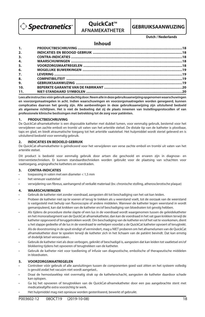

**QuickCat™ AFNAMEKATHETER**

# **GEBRUIKSAANWIJZING**

#### **Dutch / Nederlands**

## **Inhoud**

| 1.               |  |
|------------------|--|
| 2.               |  |
| 3.               |  |
| $\overline{4}$ . |  |
| 5.               |  |
| 6.               |  |
| 7.               |  |
| 8.               |  |
| 9.               |  |
| 10.              |  |
| 11.              |  |

**Lees alle instructies vóór gebruik aandachtig door. Neem alle in deze gebruiksaanwijzing opgenomen waarschuwingen en voorzorgsmaatregelen in acht. Indien waarschuwingen en voorzorgsmaatregelen worden genegeerd, kunnen complicaties daarvan het gevolg zijn. Alle aanbevelingen in deze gebruiksaanwijzing zijn uitsluitend bedoeld als algemene richtlijnen. Het is niet de bedoeling dat zij de plaats innemen van Instellingsprotocollen of van professionele klinische beslissingen met betrekking tot de zorg voor patiënten.**

#### **1. PRODUCTBESCHRIJVING**

De QuickCat-afnamekatheter is een disposable katheter met dubbel lumen, voor eenmalig gebruik, bestemd voor het verwijderen van zachte emboli en trombi uit vaten van het arteriële stelsel. De distale tip van de katheter is plooibaar, taps en glad, en biedt atraumatische toegang tot het arteriële vaatstelsel. Het hulpmiddel wordt steriel geleverd en is uitsluitend bedoeld voor eenmalig gebruik.

#### **2. INDICATIES EN BEDOELD GEBRUIK**

De QuickCat-afnamekatheter is geïndiceerd voor het verwijderen van verse zachte emboli en trombi uit vaten van het arteriële stelsel.

Dit product is bedoeld voor eenmalig gebruik door artsen die geschoold en ervaren zijn in diagnose- en interventietechnieken. Er kunnen standaardtechnieken worden gebruikt voor de plaatsing van schachten voor vaattoegang, angiografische katheters en voerdraden.

#### **3. CONTRA-INDICATIES**

- toepassing in vaten met een diameter < 1,5 mm
- het veneuze vaatstelsel
- verwijdering van fibreus, aanhangend of verkalkt materiaal (bv. chronische stolling, atherosclerotische plaque)

#### **4. WAARSCHUWINGEN**

- Gebruik de katheter niet zonder voerdraad, aangezien dit tot beschadiging van het vat kan leiden.
- Probeer de katheter niet op te voeren of terug te trekken als u weerstand voelt, tot de oorzaak van de weerstand is vastgesteld met behulp van fluoroscopie of andere middelen. Wanneer de katheter tegen weerstand in wordt gemanipuleerd, kan dat knikken van de katheter en/of beschadiging van bloedvaten tot gevolg hebben.
- Als tijdens de procedure sterke slapte of een lus in de voerdraad wordt waargenomen tussen de geleidekatheter en het monorailsegment van de QuickCat-afnamekatheter, dan kan de voerdraad in het vat gaan knikken terwijl de katheter opgevoerd of teruggetrokken wordt. Om beschadiging van de katheter en/of het vat te voorkomen, dient u het slappe gedeelte of de lus in de voerdraad te verhelpen voordat u de QuickCat katheter opvoert of terugtrekt.
- Als de doorstroming in de spuit eindigt of vermindert, mag u NIET proberen om het afnamelumen van de QuickCat afnamekatheter door te spoelen terwijl de katheter zich in het lichaam van de patiënt bevindt. Dat kan ernstig of dodelijk letsel veroorzaken .
- Gebruik de katheter niet als deze verbogen, geknikt of beschadigd is, aangezien dat kan leiden tot vaatletsel en/of blokkering tijdens het opvoeren of terugtrekken van de katheter.
- Gebruik de katheter niet voor toediening of infusie van diagnostische, embolische of therapeutische middelen in bloedvaten.

#### **5. VOORZORGSMAATREGELEN**

- Controleer vóór gebruik of alle aansluitingen tussen de componenten goed vast zitten en het systeem volledig is gevuld zodat het vacuüm niet wordt aangetast..
- Draai de hemostaseklep niet overmatig strak op de katheterschacht, aangezien de katheter daardoor schade kan oplopen.
- Ga bij het opvoeren of terugtrekken van de QuickCat-afnamekatheter door een pas aangebrachte stent met medicatieafgifte extra voorzichtig te werk.
- Het hulpmiddel mag niet opnieuw worden gesteriliseerd, bewerkt of gebruikt.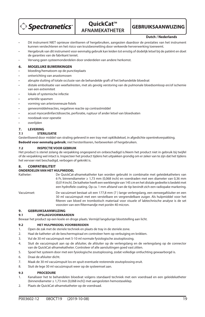

**QuickCat™ AFNAMEKATHETER**

**GEBRUIKSAANWIJZING**

#### **Dutch / Nederlands**

- Dit instrument NIET opnieuw steriliseren of hergebruiken, aangezien daardoor de prestaties van het instrument kunnen verslechteren en het risico van kruisbesmetting door verkeerde herverwerking toeneemt.
- Hergebruik van dit instrument voor eenmalig gebruik kan leiden tot ernstig of dodelijk letsel bij de patiënt en doet de garanties van de fabrikant teniet.
- Vervang geen systeemonderdelen door onderdelen van andere herkomst.

#### **6. MOGELIJKE BIJWERKINGEN**

- bloeding/hematoom op de punctieplaats
- ontwrichting van anastomosen
- abrupte sluiting of totale occlusie van de behandelde graft of het behandelde bloedvat
- distale embolisatie van weefselresten, met als gevolg verstoring van de pulmonale bloedsomloop en/of ischemie van een extremiteit
- lokale of systemische infectie
- arteriële spasmen
- vorming van arterioveneuze fistels
- geneesmiddelreacties, negatieve reactie op contrastmiddel
- acuut myocardinfarctdissectie, perforatie, ruptuur of ander letsel van bloedvaten
- noodzaak voor operatie
- overlijden

#### **7. LEVERING**

#### **7.1 STERILISATIE**

Gesteriliseerd door middel van straling geleverd in een tray met opklikdeksel, in afgedichte opentrekverpakking.

**Bedoeld voor eenmalig gebruik**; niet hersteriliseren, herbewerken of hergebruiken.

#### **7.2 INSPECTIE VOOR GEBRUIK**

Het product is steriel zolang de verpakking ongeopend en onbeschadigd is.Neem het product niet in gebruik bij twijfel of de verpakking wel intact is. Inspecteer het product tijdens het uitpakken grondig om er zeker van te zijn dat het tijdens het vervoer niet beschadigd, verbogen of geknikt is.

### **8. COMPATIBILITEIT**

#### **ONDERDELEN VAN HET HULPMIDDEL**

| Katheter:  | De QuickCat-afnamekatheter kan worden gebruikt in combinatie met geleidekatheters van<br>6 Fr, binnendiameter $\geq 1.73$ mm (0,068 inch) en voerdraden met een diameter van 0,36 mm<br>(0,014 inch). De katheter heeft een werklengte van 145 cm en het distale gedeelte is bedekt met<br>een hydrofiele coating. Op ca. 1 mm afstand van de tip bevindt zich een radiopake markering. |
|------------|-----------------------------------------------------------------------------------------------------------------------------------------------------------------------------------------------------------------------------------------------------------------------------------------------------------------------------------------------------------------------------------------|
| Vacuümset: | De vacuümset bestaat uit een 177,8 mm (7) lange verlengslang, een eenwegafsluiter en een<br>30 ml vacuümspuit met een verstelbare en vergrendelbare zuiger. Als hulpmiddel voor het<br>filteren van bloed en trombotisch materiaal voor visuele of labtechnische analyse is de set<br>voorzien van een filtermandje met poriën 40 micron.                                               |

# **9. GEBRUIKSAANWIJZING**

#### **9.1 OPSLAGVOORWAARDEN**

Bewaar het product op een koele en droge plaats. Vermijd langdurige blootstelling aan licht.

#### **9.2 HET HULPMIDDEL VOORBEREIDEN**

- 1. Open de zak met de steriele techniek en plaats de tray in de steriele zone.
- 2. Haal de katheter uit de beschermspiraal en controleer hem op verbuiging en knikken.
- 3. Vul de 30 ml vacuümspuit met 5-10 ml normale fysiologische zoutoplossing.
- 4. Sluit de vacuümspuit aan op de afsluiter, de afsluiter op de verlengslang en de verlengslang op de connector van de QuickCat-afnamekatheter. Controleer of alle aansluitingen goed vast zitten.
- 5. Spoel het systeem door met een fysiologische zoutoplossing, zodat volledige ontluchting gewaarborgd is.
- 6. Draai de afsluiter dicht.
- 7. Maak de 30 ml vacuümspuit los en spuit eventuele resterende zoutoplossing eruit.
- 8. Sluit de lege 30 ml vacuümspuit weer op de systeemset aan.

#### **9.3 PROCEDURE**

- 1. Kanaliseer het te behandelen bloedvat volgens standaard techniek met een voerdraad en een geleidekatheter (binnendiameter ≥ 1,73 mm [0,068 inch]) met aangesloten hemostaseklep.
- 2. Plaats de QuickCat-afnamekatheter op de voerdraad.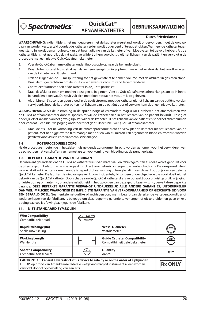

**OuickCat™ AFNAMEKATHETER**

**GEBRUIKSAANWIJZING**

#### **Dutch / Nederlands**

**WAARSCHUWING:** Indien tijdens het manoeuvreren met de katheter weerstand wordt ondervonden, moet de oorzaak daarvan worden vastgesteld voordat de katheter verder wordt opgevoerd of teruggetrokken. Wanneer de katheter tegen weerstand in wordt gemanipuleerd, kan dat beschadiging van de katheter of van bloedvaten tot gevolg hebben. Als de katheter tijdens het gebruik geknikt raakt, verwijdert u hem voorzichtig uit het lichaam van de patiënt en vervolgt u de procedure met een nieuwe QuickCat afnamekatheter.

- 3. Voer de QuickCat-afnamekatheter onder fluoroscopie op naar de behandelplaats.
- 4. Draai de hemostaseklep zo strak aan dat er geen terugstroming optreedt, maar niet zo strak dat het voortbewegen van de katheter wordt belemmerd.
- 5. Trek de zuiger van de 30 ml spuit terug tot het gewenste af te nemen volume, met de afsluiter in gesloten stand. Draai de zuiger rechtsom om de spuit in de gewenste vacuümstand te vergrendelen.
- 6. Controleer fluoroscopisch of de katheter in de juiste positie zit.
- 7. Draai de afsluiter open om met het opzuigen te beginnen. Voer de QuickCat afnamekatheter langzaam op in het te behandelen bloedvat. De spuit vult zich met bloed totdat het vacuüm is opgeheven.
- 8. Als er binnen 5 seconden geen bloed in de spuit stroomt, moet de katheter uit het lichaam van de patiënt worden verwijderd. Spoel de katheter buiten het lichaam van de patiënt door of vervang hem door een nieuwe katheter.

**WAARSCHUWING:** Als de instroming in de spuit eindigt of vermindert, mag u NIET proberen het afnamelumen van de QuickCat afnamekatheter door te spoelen terwijl de katheter zich in het lichaam van de patiënt bevindt. Ernstig of dodelijk letsel kan hiervan het gevolg zijn. Verwijder de katheter uit het lichaam van de patiënt en spoel het afnamelumen door voordat u een nieuwe poging onderneemt of gebruik een nieuwe QuickCat afnamekatheter.

9. Draai de afsluiter na voltooiing van de afnameprocedure dicht en verwijder de katheter uit het lichaam van de patiënt. Met het bijgeleverde filtermandje met poriën van 40 micron kan afgenomen bloed en trombus worden gefilterd voor visuele en/of labtechnische analyse.

#### **9.4 POSTPROCEDURELE ZORG**

Na de procedure moeten de in het ziekenhuis geldende zorgnormen in acht worden genomen voor het verwijderen van de schacht en het verschaffen van hemostase ter voorkoming van bloeding op de punctieplaats.

#### **10. BEPERKTE GARANTIE VAN DE FABRIKANT**

De fabrikant garandeert dat de QuickCat katheter vrij is van materiaal- en fabricagefouten als deze wordt gebruikt vóór de uiterste gebruiksdatum en als de verpakking direct vóór gebruik ongeopend en onbeschadigd is. De aansprakelijkheid van de fabrikant krachtens deze garantie is beperkt tot vervanging of terugbetaling van de aankoopprijs van een defecte QuickCat katheter. De fabrikant is niet aansprakelijk voor incidentele, bijzondere of gevolgschade die voortvloeit uit het gebruik van de QuickCat katheter. Door schade aan de QuickCat katheter die is veroorzaakt door onjuist gebruik, wijziging, onjuiste opslag of hantering, of andere nalatigheid in het opvolgen van deze gebruiksaanwijzing, vervalt deze beperkte garantie. **DEZE BEPERKTE GARANTIE VERVANGT UITDRUKKELIJK ALLE ANDERE GARANTIES, UITDRUKKELIJK DAN WEL IMPLICIET, WAARONDER DE IMPLICIETE GARANTIE VAN VERKOOPBAARHEID OF GESCHIKTHEID VOOR EEN BEPAALD DOEL.** Geen enkele natuurlijke of rechtspersoon, met inbegrip van de erkende vertegenwoordiger of wederverkoper van de fabrikant, is bevoegd om deze beperkte garantie te verlengen of uit te breiden en geen enkele

#### **11. NIET-STANDAARD SYMBOLEN**

poging daartoe is afdwingbaar jegens de fabrikant.

| <b>Wire Compatibility</b><br>Compatibiliteit draad                                                                                                                                                                                 | $\mathsf{GW} =$<br>Max OD |                                                                        |                |
|------------------------------------------------------------------------------------------------------------------------------------------------------------------------------------------------------------------------------------|---------------------------|------------------------------------------------------------------------|----------------|
| <b>Rapid Exchange(RX)</b><br>Snelle uitwisseling                                                                                                                                                                                   |                           | <b>Vessel Diameter</b><br>Vaatdiameter                                 | mm             |
| <b>Working Length</b><br>Werklenate                                                                                                                                                                                                |                           | <b>Guide Catheter Compatibility</b><br>Compatibiliteit geleidekatheter | GC             |
| <b>Sheath Compatibility</b><br>Compatibiliteit schacht                                                                                                                                                                             | sc                        | Quantity<br>Aantal                                                     | <b>OTY</b>     |
| CAUTION: U.S. Federal Law restricts this device to sale by or on the order of a physician.<br>LET OP: op grond van Amerikaanse federale wetgeving mag dit instrument alleen worden<br>verkocht door of op bestelling van een arts. |                           |                                                                        | <b>Rx ONLY</b> |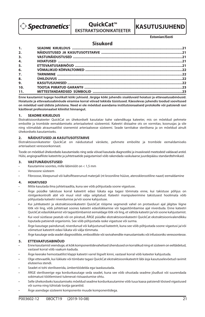

**OuickCat™ EKSTRAKTSIOONIKATEETER**



**Estonian/Eesti**

## **Sisukord**

| 1.             |  |
|----------------|--|
| 2.             |  |
| 3.             |  |
| 4.             |  |
| 5.             |  |
| 6.             |  |
| $\overline{z}$ |  |
| 8.             |  |
| 9 <sub>1</sub> |  |
| 10.            |  |
| 11.            |  |

**Enne kasutamist lugege hoolikalt kõiki juhiseid. Järgige kõiki juhendis sisalduvaid hoiatusi ja ettevaatusabinõusid. Hoiatuste ja ettevaatusabinõude eiramise korral võivad tekkida tüsistused. Käesolevas juhendis toodud soovitused on mõeldud vaid üldiste juhistena. Need ei ole mõeldud asendama institutsionaalseid protokolle või patsiendi ravi käsitlevat professionaalset kliinilist hinnangut.**

#### **1. SEADME KIRJELDUS**

Ekstraktsioonikateeter QuickCat on ühekordselt kasutatav kahe valendikuga kateeter, mis on mõeldud pehmete embolite ja trombide eemaldamiseks arteriaalsetest süsteemist. Kateetri distaalne ots on vormitav, koonusjas ja sile ning võimaldab atraumaatilist sisenemist arteriaalsesse süsteemi. Seade tarnitakse steriilsena ja on mõeldud ainult ühekordseks kasutamiseks.

#### **2. NÄIDUSTUSED JA KASUTUSOTSTARVE**

Ekstraktsioonikateeter QuickCat on näidustatud värskete, pehmete embolite ja trombide eemaldamiseks arteriaalsest veresoonkonnast.

Toode on mõeldud ühekordseks kasutamiseks ning seda võivad kasutada diagnostilisi ja invasiivseid meetodeid valdavad arstid. Hülsi, angiograafiliste kateetrite ja juhtetraatide paigutamisel võib rakendada vaskulaarse juurdepääsu standardtehnikaid.

#### **3. VASTUNÄIDUSTUSED**

- Kasutamine soontes, mille läbimõõt on < 1,5 mm
- Venoosne süsteem
- Fibroosse, kleepunud või kaltsifitseerunud materjali (nt krooniline hüüve, aterosklerootiline naast) eemaldamine

#### **4. HOIATUSED**

- Mitte kasutada ilma juhtetraadita, kuna see võib põhjustada soone vigastuse.
- Ärge püüdke takistuse korral kateetrit edasi lükata ega tagasi tõmmata enne, kui takistuse põhjus on röntgenkontrolli abil või muul viisil välja selgitatud. Kateetri manipuleerimine takistusest hoolimata võib põhjustada kateetri niverdumise ja/või soone kahjustuse.
- Kui juhtkateetri ja ekstraktsioonikateetri QuickCat rööpme segmendi vahel on protseduuri ajal jälgitav liigne lõtk või ling, võib juhtetraat soones kateetri edasilükkamise või tagasitõmbamise ajal niverduda. Enne kateetri QuickCat edasilükkamist või tagasitõmbamist eemaldage lõtk või ling, et vältida kateetri ja/või soone kahjustamist.
- Kui vool süstlasse peatub või on piiratud, ÄRGE püüdke ekstraktsioonikateetri QuickCat ekstraktsioonivalendikku loputada patsiendi organismis. See võib põhjustada raske vigastuse või surma.
- Ärge kasutage paindunud, niverdunud või kahjustunud kateetrit, kuna see võib põhjustada soone vigastusi ja/või võimetust kateetrit edasi lükata või välja tõmmata.
- Ärge kasutage seda seadet diagnostiliste, embooliliste või ravivahendite manustamiseks või infusiooniks veresoontesse.

#### **5. ETTEVAATUSABINÕUD**

- Enne kasutamist veenduge, et kõik komponentidevahelised ühendused on korralikud ning et süsteem on eeltäidetud, vastasel korral võib vaakum kaduda.
- Ärge keerake hemostaatilist klappi kateetri varrel liigselt kinni, vastasel korral võib kateeter kahjustuda.
- Olge ettevaatlik, kui lükkate või tõmbate tagasi QuickCat ekstraktsioonikateetrit läbi äsja kasutuselevõetud ravimit eluteeriva stendi.
- Seadet ei tohi steriliseerida, ümbertöödelda ega taaskasutada.
- ÄRGE steriliseerige ega korduvkasutage seda seadet, kuna see võib ohustada seadme jõudlust või suurendada sobimatust töötlemisest tulenevat ristsaastumise ohtu.
- Selle ühekordseks kasutamiseks mõeldud seadme korduvkasutamine võib tuua kaasa patsiendi tõsised vigastused või surma ning tühistab tootja garantiid.
- Ärge asendage süsteemi komponente muude komponentidega.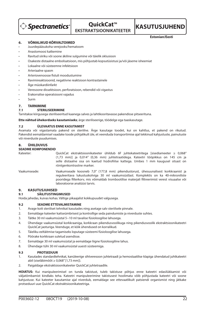

## **OuickCat™ EKSTRAKTSIOONIKATEETER**



**Estonian/Eesti**

#### **6. VÕMALIKUD KÕRVALTOIMED**

- Juurdepääsukoha verejooks/hematoom
- Anastomoosi katkemine
- Ravitud siiriku või soone äkiline sulgumine või täielik oklusioon
- Osakeste distaalne embolisatsioon, mis põhjustab kopsutüsistusi ja/või jäseme isheemiat
- Lokaalne või süsteemne infektsioon
- Arteriaalne spasm
- Arteriovenoosse fistuli moodustumine
- Ravimireaktsioonid, negatiivne reaktsioon kontrastainele
- Äge müokardiinfarkt
- Veresoone dissektsioon, perforatsioon, rebendid või vigastus
- Erakorralise operatsiooni vajadus
- Surm

### **7. TARNIMINE**

### **7.1 STERILISEERIMINE**

Tarnitakse kiirgusega steriliseeritud kaanega salves ja lahtikooritavasse pakendisse pitseerituna.

**Ette nähtud ühekordseks kasutamiseks**; ärge steriliseerige, töödelge ega taaskasutage.

#### **7.2 ÜLEVAATUS ENNE KASUTAMIST**

Avamata või vigastamata pakend on steriilne. Ärge kasutage toodet, kui on kahtlus, et pakend on rikutud. Pakendist eemaldamisel vaadake toode põhjalikult üle, et veenduda transportimise ajal tekkinud kahjustuste, painutuste või niverduste puudumises.

#### **8. ÜHILDUVUS**

#### **SEADME KOMPONENDID**

Kateeter: QuickCat ekstraktsioonikateeter ühildub 6F juhtekateetritega [sisediameeter ≥ 0,068" (1,73 mm)] ja 0,014" (0,36 mm) juhtetraatidega. Kateetri tööpikkus on 145 cm ja selle distaalne osa on kaetud hüdrofiilse kattega. Umbes 1 mm kaugusel otsast on röntgenkontrastne marker.

Vaakumseade: Vaakumseade koosneb 7,0" (177,8 mm) pikendustorust, ühesuunalisest korkkraanist ja reguleeritava lukustuskolviga 30 ml vaakumsüstlast. Komplektis on ka 40-mikroniliste pooridega filterkorv, mis võimaldab trombootilise materjali filtreerimist verest visuaalse või laboratoorse analüüsi tarvis.

#### **9. KASUTUSJUHISED**

#### **9.1 SÄILITUSTINGIMUSED**

Hoida jahedas, kuivas kohas. Vältige pikaajalist kokkupuudet valgusega.

#### **9.2 SEADME ETTEVALMISTAMINE**

- 1. Avage kott steriilset tehnikat kasutades ning asetage salv steriilsele pinnale.
- 2. Eemaldage kateeter kaitseümbrisest ja kontrollige seda paindumiste ja niverduste suhtes.
- 3. Täitke 30 ml vaakumsüstal 5−10 ml tavalise füsioloogilise lahusega.
- 4. Ühendage vaakumsüstal korkkraaniga, korkkraan pikendusvoolikuga ning pikendusvoolik ekstraktsioonikateetri QuickCat jaoturiga. Veenduge, et kõik ühendused on korralikud.
- 5. Täieliku eeltäitmise tagamiseks loputage süsteemi füsioloogilise lahusega.
- 6. Pöörake korkkraan suletud asendisse.
- 7. Eemaldage 30 ml vaakumsüstal ja eemaldage liigne füsioloogiline lahus.
- 8. Ühendage tühi 30 ml vaakumsüstal uuesti süsteemiga.

#### **9.3 PROTSEDUUR**

- 1. Kasutades standardtehnikat, kanüleerige sihtveresoon juhtetraadi ja hemostaatilise klapiga ühendatud juhtkateetri abil (siseläbimõõt ≥ 0,068" [1,73 mm]).
- 2. Paigaldage ekstraktsioonikateeter QuickCat juhtetraadile.

**HOIATUS:** Kui manipuleerimisel on tunda takistust, tuleb takistuse põhjus enne kateetri edasilükkamist või väljatõmbamist kindlaks teha. Kateetri manipuleerimine takistusest hoolimata võib põhjustada kateetri või soone kahjustuse. Kui kateeter kasutamise ajal niverdub, eemaldage see ettevaatlikult patsiendi organismist ning jätkake protseduuri uue QuickCat ekstraktsioonikateetriga.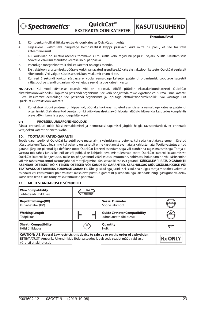**Spectranetics** 

**OuickCat™ EKSTRAKTSIOONIKATEETER**

**KASUTUSJUHEND** 

**Estonian/Eesti**

- 3. Röntgenkontrolli all lükake ekstraktsioonikateeter QuickCat sihtkohta.
- 4. Tagasivoolu vältimiseks pingutage hemostaatilist klappi piisavalt, kuid mitte nii palju, et see takistaks kateetri liikumist.
- 5. Kui korkkraan on suletud asendis, tõmmake 30 ml süstla kolbi tagasi nii palju kui vajalik. Süstla lukustamiseks soovitud vaakumi asendisse keerake kolbi päripäeva.
- 6. Veenduge röntgenkontrolli abil, et kateeter on õiges asendis.
- 7. Ekstraktsiooni alustamiseks pöörake korkkraan avatud asendisse. Lükake ekstraktsioonikateeter QuickCat aeglaselt sihtsoonde. Veri valgub süstlasse seni, kuni vaakumit enam ei ole.
- 8. Kui veri 5 sekundi jooksul süstlasse ei voola, eemaldage kateeter patsiendi organismist. Loputage kateetrit väljaspool patsiendi organismi või vahetage see välja uue kateetri vastu.

**HOIATUS:** Kui vool süstlasse peatub või on piiratud, ÄRGE püüdke ekstraktsioonikateetri QuickCat ekstraktsioonivalendikku loputada patsiendi organismis. See võib põhjustada raske vigastuse või surma. Enne kateetri uuesti kasutamist eemaldage see patsiendi organismist ja loputage ekstraktsioonivalendikku või kasutage uut QuickCat ekstraktsioonikateetrit.

9. Kui ekstraktsiooni protsess on lõppenud, pöörake korkkraan suletud asendisse ja eemaldage kateeter patsiendi organismist. Ekstraheeritud vere ja trombi võib visuaalseks ja/või laborianalüüsiks filtreerida, kasutades komplektis olevat 40-mikroniliste pooridega filterkorvi.

#### **9.4 PROTSEDUURIJÄRGNE HOOLDUS**

Pärast protseduuri tuleb hülsi eemaldamisel ja hemostaasi tagamisel järgida haigla ravistandardeid, et ennetada verejooksu kateetri sisenemiskohal.

#### **10. TOOTJA PIIRATUD GARANTII**

Tootja garanteerib, et QuickCat kateetril pole materjali- ja valmistamise defekte, kui seda kasutatakse enne määratud "Kasutada kuni" kuupäeva ning kui pakend on vahetult enne kasutamist avamata ja kahjustamata. Tootja vastutus antud garantii järgi on piiratud iga defektse toote QuickCat kateetri asendamisega või ostuhinna tagasimaksmisega. Tootja ei vastuta mis tahes juhuslike, eriliste või põhjuslike kahjude eest, mis tulenevad toote QuickCat kateetri kasutamisest. QuickCat kateetri kahjustused, mille on põhjustanud väärkasutus, muutmine, sobimatu hoiundamine või käsitsemine või mis tahes muu antud kasutusjuhendi mittejärgimine, tühistavad käesoleva garantii. **KÄESOLEV PIIRATUD GARANTII ASENDAB OTSESELT KÕIK TEISED OTSESED VÕI KAUDSED GARANTIID, SEALHULGAS MÜÜGIKÕLBLIKKUSE VÕI TEATAVAKS OTSTARBEKS SOBIVUSE GARANTII.** Ühelgi isikul ega juriidilisel isikul, sealhulgas tootja mis tahes volitatud esindajal või edasimüüjal pole volitust käesolevat piiratud garantiid pikendada ega laiendada ning igasugune väidetav katse seda teha ei ole tootja vastu täitmisele pööratav.

#### **11. MITTESTANDARDSED SÜMBOLID**

| <b>Wire Compatibility</b><br>Juhtetraadi ühilduvus                                                                                                                                                              | $GW =$<br>Max OD |                                                                |            |
|-----------------------------------------------------------------------------------------------------------------------------------------------------------------------------------------------------------------|------------------|----------------------------------------------------------------|------------|
| <b>Rapid Exchange(RX)</b><br>Kiirvahetatav (KV)                                                                                                                                                                 |                  | <b>Vessel Diameter</b><br>Soone läbimõõt                       | mm         |
| <b>Working Length</b><br>Tööpikkus                                                                                                                                                                              |                  | <b>Guide Catheter Compatibility</b><br>Juhtekateetri ühilduvus | GC         |
| <b>Sheath Compatibility</b><br>Hülsi ühilduvus                                                                                                                                                                  | SC               | Quantity<br>Hulk                                               | <b>OTY</b> |
| CAUTION: U.S. Federal Law restricts this device to sale by or on the order of a physician.<br>ETTEVAATUST! Ameerika Ühendriikide föderaalseadus lubab seda seadet müüa vaid arstil<br>või arsti ettekirjutusel. |                  |                                                                | Rx ONLY    |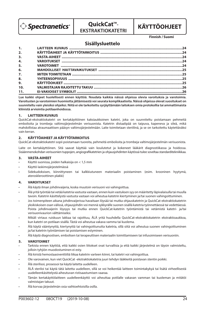

**QuickCat™-EKSTRAKTIOKATETRI**

# **KÄYTTÖOHJEET**

**Finnish / Suomi**

## **Sisällysluettelo**

| 1.               |  |
|------------------|--|
| 2.               |  |
| 3.               |  |
| 4.               |  |
| 5.               |  |
| 6.               |  |
| $\overline{z}$ . |  |
| 8.               |  |
| 9.               |  |
| 10.              |  |
| 11.              |  |

**Lue kaikki ohjeet huolellisesti ennen käyttöä. Noudata kaikkia näissä ohjeissa olevia varoituksia ja varotoimia. Varoitusten ja varotoimien huomiotta jättämisestä voi seurata komplikaatioita. Näissä ohjeissa olevat suositukset on suunniteltu vain yleisiksi ohjeiksi. Niitä ei ole tarkoitettu syrjäyttämään laitoksen omia protokollia tai ammattimaista kliinistä arviointia potilaanhoidossa.**

#### **1. LAITTEEN KUVAUS**

QuickCat-ekstraktiokatetri on kertakäyttöinen kaksiaukkoinen katetri, joka on suunniteltu poistamaan pehmeitä embolioita ja trombeja valtimojärjestelmän verisuonista. Katetrin distaalipää on taipuva, kapeneva ja sileä, mikä mahdollistaa atraumaattisen pääsyn valtimojärjestelmään. Laite toimitetaan steriilinä, ja se on tarkoitettu käytettäväksi vain kerran.

#### **2. KÄYTTÖAIHEET JA KÄYTTÖTARKOITUS**

QuickCat-ekstraktiokatetri sopii poistamaan tuoreita, pehmeitä embolioita ja trombeja valtimojärjestelmän verisuonista.

Laite on kertakäyttöinen. Sitä saavat käyttää vain koulutetut ja kokeneet lääkärit diagnostiikassa ja hoidossa. Sisäänmenokohdan verisuonien tuppojen, angiografikatetrien ja ohjausjohdinten käytössä tulee soveltaa standarditekniikkaa.

#### **3. VASTA-AIHEET**

- Käyttö suonissa, joiden halkaisija on < 1,5 mm
- Käyttö laskimojärjestelmässä
- Sidekudoksisen, kiinnittyneen tai kalkkiutuneen materiaalin poistaminen (esim. krooninen hyytymä, ateroskleroottinen plakki)

#### **4. VAROITUKSET**

- Älä käytä ilman johdinvaijeria, koska muutoin verisuoni voi vahingoittua.
- Älä yritä työntää tai vetää katetria vastusta vastaan, ennen kuin vastuksen syy on määritetty läpivalaisulla tai muulla tavoin. Katetrin käsittelystä vastusta vastaan voi aiheutua katetrin kiertyminen ja/tai suonen vahingoittuminen.
- Jos toimenpiteen aikana johdinvaijerissa havaitaan löysää tai mutka ohjauskatetrin ja QuickCat-ekstraktiokatetrin yksikiskoisen osan välissä, ohjausjohdin voi mennä sykkyrälle suonen sisällä katetria työnnettäessä tai vedettäessä. Poista johdinvaijerin löysyys tai mutka ennen QuickCat-katetrin työntämistä tai vetämistä katetri- ja/tai verisuonivaurion välttämiseksi.
- Mikäli virtaus ruiskuun lakkaa tai rajoittuu, ÄLÄ yritä huuhdella QuickCat-ekstraktiokatetrin ekstraktioaukkoa, kun katetri on potilaan sisällä. Tästä voi aiheutua vakava vamma tai kuolema.
- Älä käytä vääntynyttä, kiertynyttä tai vahingoittunutta katetria, sillä siitä voi aiheutua suonen vahingoittuminen ja/tai katetrin työntämisen tai poistamisen estyminen.
- Älä käytä diagnostisen, embolisen tai terapeuttisen materiaalin toimittamiseen tai infusoimiseen verisuoniin.

#### **5. VAROTOIMET**

- Tarkista ennen käyttöä, että kaikki osien liitokset ovat turvallisia ja että kaikki järjestelmä on täysin valmisteltu, jolloin tyhjiön muodostuminen ei esty.
- Älä kiristä hemostaasiventtiiliä liikaa katetrin varteen kiinni, tai katetri voi vahingoittua.
- Ole varovainen, kun viet QuickCat -ekstraktiokatetria juuri tehdyn lääkkeitä poistavan stentin poikki.
- Älä sterilisoi, prosessoi tai käytä laitetta uudelleen.
- ÄLÄ steriloi tai käytä tätä laitetta uudelleen, sillä se voi heikentää laitteen toimintakykyä tai lisätä virheellisestä uudelleenkäsittelystä aiheutuvan ristisaastumisen vaaraa.
- Tämän kertakäyttölaitteen uudelleenkäyttö voi aiheuttaa potilalle vakavan vamman tai kuoleman ja mitätöi valmistajan takuut.
- Älä korvaa järjestelmän osia vaihtoehtoisilla osilla.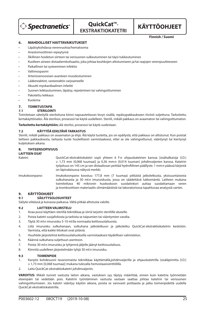$\triangleright$  Spectranetics $\hat{\ }$ 

## **QuickCat™-EKSTRAKTIOKATETRI**

**KÄYTTÖOHJEET**

**Finnish / Suomi**

#### **6. MAHDOLLISET HAITTAVAIKUTUKSET**

- Läpäisykohdassa verenvuotoa/hematooma
- Anastomoottinen repeytymä
- Äkillinen hoidetun siirteen tai verisuonen sulkeutuminen tai täysi tukkeutuminen
- Kuolleen aineen distaaliembolisaatio, joka johtaa keuhkojen altistumiseen ja/tai raajojen verenpuutteeseen
- Paikallinen tai systeeminen infektio
- Valtimospasmi
- Arteriovenoosisen avanteen muodostuminen
- Lääkereaktiot, vastareaktio varjoaineelle
- Akuutti myokardiaalinen infarkti
- Suonen leikkautuminen, läpäisy, repeäminen tai vahingoittuminen
- Pakotettu leikkaus
- Kuolema

# **7. TOIMITUSTAPA**

#### **7.1 STERILOINTI**

Toimitetaan säteilyllä steriloituna kiinni napsautettavan levyn sisällä, repäisypakkaukseen tiiviisti suljettuna. Tarkoitettu kertakäyttöiseksi. Älä sterilisoi, prosessoi tai käytä uudelleen. Steriili, mikäli pakkaus on avaamaton tai vahingoittumaton.

**Tarkoitettu kertakäyttöön;** älä steriloi, prosessoi tai käytä uudestaan.

#### **7.2 KÄYTTÖÄ EDELTÄVÄ TARKASTUS**

Steriili, mikäli pakkaus on avaamaton ja ehjä. Älä käytä tuotetta, jos on epäilystä, että pakkaus on altistunut. Kun poistat laitteen pakkauksesta, tarkasta tuote huolellisesti varmistaaksesi, ettei se ole vahingoittunut, vääntynyt tai kiertynyt kuljetuksen aikana.

#### **8. YHTEENSOPIVUUS**

**LAITTEEN OSAT** QuickCat-ekstraktiokatetri sopii yhteen 6 F:n ohjauskatetrien kanssa [sisähalkaisija (I.D.) ≥ 1,73 mm (0,068 tuumaa)] ja 0,36 mm:n (0,014 tuuman) johdinvaijerien kanssa. Katetrin työpituus on 145 cm ja sen distaaliosan peittää hydrofiilinen päällyste. 1 mm:n päässä kärjestä on läpivalaisussa näkyvä merkki. Imukokoonpano: Imukokoonpano koostuu 177,8 mm (7 tuumaa) pitkästä jatkoletkusta, yksisuuntaisesta sulkuhanasta ja 30 ml:n imuruiskusta, jossa on säädettävä lukkomäntä. Laitteen mukana toimitettava 40 mikronin huokoskoon suodatinkori auttaa suodattamaan veren

ja tromboottisen materiaalin silmämääräistä tai laboratoriossa tapahtuvaa analyysiä varten.

# **9. KÄYTTÖOHJEET**<br>9.1 SÄILYTYSO

**9.1 SÄILYTYSOLOSUHTEET**

Säilytä viileässä ja kuivassa paikassa. Vältä pitkää altistusta valolle.

#### **9.2 LAITTEEN VALMISTELU**

- 1. Avaa pussi käyttäen steriiliä tekniikkaa ja siirrä tarjotin steriilille alueelle.
- 2. Poista katetri suojafoliosta ja tarkista se taipumien tai vääntymien varalta.
- 3. Täytä 30 ml:n imuruisku 5-10 ml:lla normaalia keittosuolaliuosta.
- 4. Liitä imuruisku sulkuhanaan, sulkuhana jatkoletkuun ja jatkoletku QuickCat-ekstraktiokatetrin keskiöön. Varmista, että kaikki liitokset ovat pitäviä.
- 5. Huuhtele järjestelmä keittosuolaliuoksella varmistaaksesi täydellisen valmistelun.
- 6. Käännä sulkuhana suljettuun asentoon.
- 7. Poista 30 ml:n imuruisku ja tyhjennä jäljelle jäänyt keittosuolaliuos.
- 8. Kiinnitä uudelleen järjestelmään tyhjä 30 ml:n imuruisku.

#### **9.3 TOIMENPIDE**

- 1. Kanyloi kohdesuoni tavanomaista tekniikkaa käyttämällä,johdinvaijerilla ja ohjauskatetrilla (sisäläpimitta [I.D.] ≥ 1,73 mm [0,068 tuumaa]) mukana tulevalla hemostaasiventtiilillä.
- 2. Laita QuickCat-ekstraktiokatetri johdinvaijeriin.

**VAROITUS:** Mikäli tunnet vastusta laiton aikana, vastuksen syy täytyy määrittää, ennen kuin katetria työnnetään eteenpäin tai vedetään pois. Katetrin työntäminen vastusta vastaan saattaa johtaa katetrin tai verisuonen vahingoittumiseen. Jos katetri vääntyy käytön aikana, poista se varovasti potilaasta ja jatka toimenpidettä uudella QuickCat-ekstraktiokatetrilla.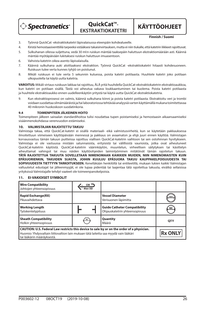

**QuickCat™-EKSTRAKTIOKATETRI**

**KÄYTTÖOHJEET**

**Finnish / Suomi**

- 3. Työnnä QuickCat -ekstraktiokatetri läpivalaisussa eteenpäin kohdealueelle.
- 4. Kiristä hemostaasiventtiiliä tarpeeksi estääksesi takaisinvirtauksen, mutta ei niin tiukalle, että katetrin liikkeet rajoittuvat.
- 5. Sulkuhanan ollessa suljettuna, vedä 30 ml:n ruiskun mäntää taaksepäin haluttuun ekstraktiomäärään asti. Käännä mäntää myötäpäivään lukitaksesi ruiskun haluttuun imuasentoon.
- 6. Vahvista katetrin oikea asento läpivalaisulla.
- 7. Käännä sulkuhana auki aloittaaksesi ekstraktion. Työnnä QuickCat -ekstraktiokatetri hitaasti kohdesuoneen. Ruiskuun tulee verta kunnes tyhjiö on poistunut.
- 8. Mikäli ruiskuun ei tule verta 5 sekunnin kuluessa, poista katetri potilaasta. Huuhtele katetri joko potilaan ulkopuolella tai käytä uutta katetria.

**VAROITUS:** Mikäli virtaus ruiskuun lakkaa tai rajoittuu, ÄLÄ yritä huuhdella QuickCat-ekstraktiokatetrin ekstraktioaukkoa, kun katetri on potilaan sisällä. Tästä voi aiheutua vakava loukkaantuminen tai kuolema. Poista katetri potilaasta ja huuhtele ekstraktioaukko ennen uudelleenkäytön yritystä tai käytä uutta QuickCat ekstraktiokatetria.

9. Kun ekstraktioprosessi on valmis, käännä sulkuhana kiinni ja poista katetri potilaasta. Ekstraktoitu veri ja trombi voidaan suodattaa silmämääräistä ja/tai laboratoriossa tehtävää analyysiä varten käyttämällä mukana toimitettavaa 40 mikronin huokoskoon suodatinkoria.

#### **9.4 TOIMENPITEEN JÄLKEINEN HOITO**

Toimenpiteen jälkeen sairaalan standardihoitoa tulisi noudattaa tupen poistamiseksi ja hemostaasin aikaansaamiseksi sisäänmenokohdassa verenvuodon estämiseksi.

#### **10. VALMISTAJAN RAJOITETTU TAKUU**

Valmistaja takaa, että QuickCat-katetri ei sisällä materiaali- eikä valmistusvirheitä, kun se käytetään pakkauksessa ilmoitettuun viimeiseen käyttöpäivään mennessä ja pakkaus on avaamaton ja ehjä juuri ennen käyttöä. Valmistajan korvausvastuu tämän takuun puitteissa rajoittuu viallisen QuickCat-katetrin vaihtoon tai sen ostohinnan hyvitykseen. Valmistaja ei ole vastuussa mistään satunnaisista, erityisistä tai välillisistä vaurioista, jotka ovat aiheutuneet QuickCat-katetrin käytöstä. QuickCat-katetrin väärinkäytön, muuntelun, virheellisen säilytyksen tai käsittelyn aiheuttamat vahingot tai muu näiden käyttöohjeiden laiminlyöminen mitätöivät tämän rajoitetun takuun. **TÄTÄ RAJOITETTUA TAKUUTA SOVELLETAAN NIMENOMAAN KAIKKIEN MUIDEN, NIIN NIMENOMAISTEN KUIN EPÄSUORIENKIN, TAKUIDEN SIJASTA, JOIHIN KUULUU EPÄSUORA TAKUU KAUPPAKELPOISUUDESTA TAI SOPIVUUDESTA TIETTYYN TARKOITUKSEEN.** Kenelläkään henkilöllä tai entiteetillä, mukaan lukien kaikki Valmistajan valtuutetut edustajat tai jälleenmyyjät, ei ole lupaa pidentää tai laajentaa tätä rajoitettua takuuta, eivätkä sellaisissa yrityksissä Valmistajalle tehdyt vaateet ole toimeenpanokelpoisia.

#### **11. EI-VAKIOISET SYMBOLIT**

| <b>Wire Compatibility</b><br>Johtojen yhteensopivuus                                                                                                                                                            | $GW =$<br>Max OD |                                                                      |                |
|-----------------------------------------------------------------------------------------------------------------------------------------------------------------------------------------------------------------|------------------|----------------------------------------------------------------------|----------------|
| <b>Rapid Exchange(RX)</b><br>Pikavaihdettava                                                                                                                                                                    |                  | <b>Vessel Diameter</b><br>Verisuonen läpimitta                       | mm             |
| <b>Working Length</b><br>Työskentelypituus                                                                                                                                                                      |                  | <b>Guide Catheter Compatibility</b><br>Ohjauskatetrin yhteensopivuus | GC             |
| <b>Sheath Compatibility</b><br>Holkin yhteensopivuus                                                                                                                                                            | SC               | Quantity<br>Määrä                                                    | QTY            |
| CAUTION: U.S. Federal Law restricts this device to sale by or on the order of a physician.<br>Huomio: Yhdysvaltain liittovaltion lain mukaan tätä laitetta saa myydä vain lääkäri<br>tai lääkärin määräyksestä. |                  |                                                                      | <b>Rx ONLY</b> |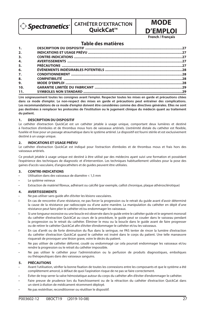$\hat{p}$  Spectranetics $\hat{p}$ 

# **CATHÉTER D'EXTRACTION**

**OuickCat™** 



**MODE** 

## **Table des matières**

| 1.  |  |
|-----|--|
| 2.  |  |
| 3.  |  |
| 4.  |  |
| 5.  |  |
| 6.  |  |
| 7.  |  |
| 8.  |  |
| 9.  |  |
| 10. |  |
| 11. |  |

**Lire soigneusement toutes les consignes avant l'emploi. Respecter toutes les mises en garde et précautions citées dans ce mode d'emploi. Le non-respect des mises en garde et précautions peut entraîner des complications. Les recommandations de ce mode d'emploi doivent être considérées comme des directives générales. Elles ne sont pas destinées à remplacer les protocoles de l'institution ou le jugement clinique du médecin quant au traitement du patient.**

#### **1. DESCRIPTION DU DISPOSITIF**

Le cathéter d'extraction QuickCat est un cathéter jetable à usage unique, comportant deux lumières et destiné à l'extraction d'emboles et de thrombus mous hors de vaisseaux artériels. L'extrémité distale du cathéter est flexible, fuselée et lisse pour un passage atraumatique dans le système artériel. Le dispositif est fourni stérile et est exclusivement destiné à un usage unique.

#### **2. INDICATIONS ET USAGE PRÉVU**

Le cathéter d'extraction QuickCat est indiqué pour l'extraction d'emboles et de thrombus mous et frais hors des vaisseaux artériels.

Ce produit jetable à usage unique est destiné à être utilisé par des médecins ayant suivi une formation et possédant l'expérience des techniques de diagnostic et d'intervention. Les techniques habituellement utilisées pour la pose des gaines d'accès vasculaire, d'angiocathéters et de guides peuvent être utilisées.

#### **3. CONTRE-INDICATIONS**

- Utilisation dans des vaisseaux de diamètre < 1,5 mm
- Le système veineux
- Extraction de matériel fibreux, adhérant ou calcifié (par exemple, caillot chronique, plaque athérosclérotique)

#### **4. AVERTISSEMENTS**

Ne pas utiliser sans quide afin d'éviter les lésions vasculaires.

- En cas de rencontre d'une résistance, ne pas forcer la progression ou le retrait du guide avant d'avoir déterminé la cause de la résistance par radioscopie ou d'une autre manière. La manipulation du cathéter en dépit d'une résistance peut faire plier le cathéter et/ou endommager les vaisseaux.
- Si une longueur excessive ou une boucle est observée dans le guide entre le cathéter guide et le segment monorail du cathéter d'extraction QuickCat au cours de la procédure, le guide peut se couder dans le vaisseau pendant la progression ou le retrait du cathéter. Éliminer le mou ou la boucle dans le guide avant de faire progresser ou de retirer le cathéter QuickCat afin d'éviter d'endommager le cathéter et/ou les vaisseaux.
- En cas d'arrêt ou de forte diminution du flux dans la seringue, ne PAS tenter de rincer la lumière d'extraction du cathéter d'extraction QuickCat quand le cathéter est inséré dans le corps du patient. Une telle manœuvre risquerait de provoquer une lésion grave, voire le décès du patient.
- Ne pas utiliser de cathéter déformé, coudé ou endommagé car cela pourrait endommager les vaisseaux et/ou rendre la progression ou le retrait du cathéter impossible.
- Ne pas utiliser le cathéter pour l'administration ou la perfusion de produits diagnostiques, emboliques ou thérapeutiques dans des vaisseaux sanguins.

#### **5. PRÉCAUTIONS**

- Avant l'utilisation, vérifier la bonne fixation de toutes les connexions entre les composants et que le système a été complètement amorcé, à défaut de quoi l'aspiration risque de ne pas se faire correctement.
- Éviter de trop serrer la valve hémostatique autour du corps du cathéter afin d'éviter d'endommager le cathéter.
- Faire preuve de prudence lors du franchissement ou de la rétraction du cathéter d'extraction QuickCat dans un stent à élution de médicament récemment déployé.
- Ne pas restériliser, reconditionner ou réutiliser le dispositif.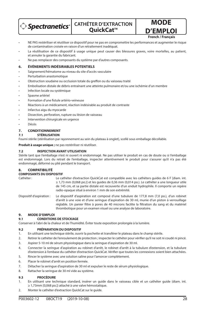

**MODE D'EMPLOI**

**French / Français**

#### • NE PAS restériliser et réutiliser ce dispositif pour ne pas en compromettre les performances et augmenter le risque de contamination croisée en raison d'un retraitement inadéquat.

- La réutilisation de ce dispositif à usage unique peut causer des blessures graves, voire mortelles, au patient, et annuler la garantie du fabricant.
- Ne pas remplacer des composants du système par d'autres composants.

#### **6. ÉVÉNEMENTS INDÉSIRABLES POTENTIELS**

- Saignement/hématome au niveau du site d'accès vasculaire
- Perturbation anastomotique
- Obstruction soudaine ou occlusion totale du greffon ou du vaisseau traité
- Embolisation distale de débris entraînant une atteinte pulmonaire et/ou une ischémie d'un membre
- Infection locale ou systémique
- Spasme artériel
- Formation d'une fistule artério-veineuse
- Réactions à un médicament, réaction indésirable au produit de contraste
- Infarctus aigu du myocarde
- Dissection, perforation, rupture ou lésion de vaisseau
- Intervention chirurgicale en urgence
- Décès

#### **7. CONDITIONNEMENT**

#### **7.1 STÉRILISATION**

Fourni stérile (stérilisation par rayonnement au sein du plateau à onglet), scellé sous emballage décollable.

**Produit à usage unique ;** ne pas restériliser ni réutiliser.

#### **7.2 INSPECTION AVANT UTILISATION**

Stérile tant que l'emballage n'est ni ouvert ni endommagé. Ne pas utiliser le produit en cas de doute ou si l'emballage est endommagé. Lors du retrait de l'emballage, inspecter attentivement le produit pour s'assurer qu'il n'a pas été endommagé, déformé ou plié pendant le transport.

#### **8. COMPATIBILITÉ**

#### **COMPOSANTS DU DISPOSITIF**

- Cathéter : Le cathéter d'extraction QuickCat est compatible avec les cathéters guides de 6 F [diam. int. ≥ 1,73 mm (0,068 po.)] et les guides de 0,36 mm (0,014 po.). Le cathéter a une longueur utile de 145 cm, et sa partie distale est recouverte d'un enduit hydrophile. Il comporte un repère radio-opaque situé à environ 1 mm de son extrémité.
- Dispositif d'aspiration : Le dispositif d'aspiration est composé d'une tubulure de 177,8 mm (7,0 po.), d'un robinet d'arrêt à une voie et d'une seringue d'aspiration de 30 ml, munie d'un piston à verrouillage réglable. Un panier filtre à pores de 40 microns facilite la filtration du sang et du matériel thrombotique pour un examen visuel ou une analyse de laboratoire.

#### **9. MODE D'EMPLOI**

#### **9.1 CONDITIONS DE STOCKAGE**

Conserver à l'abri de la chaleur et de l'humidité. Éviter toute exposition prolongée à la lumière.

#### **9.2 PRÉPARATION DU DISPOSITIF**

- 1. En utilisant une technique stérile, ouvrir la pochette et transférer le plateau dans le champ stérile.
- 2. Retirer le cathéter de l'enroulement de protection ; inspecter le cathéter pour vérifier qu'il ne soit ni coudé ni pincé.
- 3. Aspirer 5-10 ml de sérum physiologique dans la seringue d'aspiration de 30 ml.
- 4. Connecter la seringue d'aspiration au robinet d'arrêt, le robinet d'arrêt à la tubulure d'extension, et la tubulure d'extension à l'embase du cathéter d'extraction QuickCat. Vérifier que toutes les connexions soient bien attachées.
- 5. Rincer le système avec une solution saline pour l'amorcer complètement.
- 6. Placer le robinet d'arrêt en position fermée.
- 7. Détacher la seringue d'aspiration de 30 ml et expulser le reste de sérum physiologique.
- 8. Rattacher la seringue de 30 ml vide au système.

#### **9.3 PROCÉDURE**

- 1. En utilisant une technique standard, insérer un guide dans le vaisseau cible et un cathéter guide (diam. int. ≥ 1,73mm [0,068 po.]) attaché à une valve hémostatique.
- 2. Monter le cathéter d'extraction QuickCat sur le guide.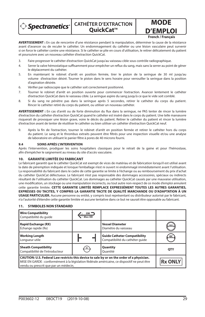

## **CATHÉTER D'EXTRACTION OuickCat™**

**D'EMPLOI French / Français**

**MODE** 

**AVERTISSEMENT :** En cas de rencontre d'une résistance pendant la manipulation, déterminer la cause de la résistance avant d'avancer ou de reculer le cathéter. Un endommagement du cathéter ou une lésion vasculaire peut survenir si on force le cathéter contre une résistance. Si le cathéter se plie en cours d'utilisation, le retirer délicatement du patient et poursuivre avec un nouveau cathéter d'extraction QuickCat.

- 3. Faire progresser le cathéter d'extraction QuickCat jusqu'au vaisseau cible sous contrôle radiographique.
- 4. Serrer la valve hémostatique suffisamment pour empêcher un reflux du sang, mais sans la serrer au point de gêner le déplacement du cathéter.
- 5. En maintenant le robinet d'arrêt en position fermée, tirer le piston de la seringue de 30 ml jusqu'au volume d'extraction désiré. Tourner le piston dans le sens horaire pour verrouiller la seringue dans la position d'aspiration désirée.
- 6. Vérifier par radioscopie que le cathéter soit correctement positionné.
- 7. Tourner le robinet d'arrêt en position ouverte pour commencer l'extraction. Avancer lentement le cathéter d'extraction QuickCat dans le vaisseau cible. La seringue aspire du sang jusqu'à ce que le vide soit comblé.
- 8. Si du sang ne pénètre pas dans la seringue après 5 secondes, retirer le cathéter du corps du patient. Rincer le cathéter retiré du corps du patient, ou utiliser un nouveau cathéter.

AVERTISSEMENT : En cas d'arrêt ou de forte diminution du flux dans la seringue, ne PAS tenter de rincer la lumière d'extraction du cathéter d'extraction QuickCat quand le cathéter est inséré dans le corps du patient. Une telle manœuvre risquerait de provoquer une lésion grave, voire le décès du patient. Retirer le cathéter du patient et rincer la lumière d'extraction avant de tenter de réutiliser le cathéter ou bien utiliser un cathéter d'extraction QuickCat neuf.

9. Après la fin de l'extraction, tourner le robinet d'arrêt en position fermée et retirer le cathéter hors du corps du patient. Le sang et le thrombus extraits peuvent être filtrés pour une inspection visuelle et/ou une analyse de laboratoire en utilisant le panier filtre à pores de 40 microns fourni.

#### **9.4 SOINS APRÈS L'INTERVENTION**

Après l'intervention, prodiguer les soins hospitaliers classiques pour le retrait de la gaine et pour l'hémostase, afin d'empêcher le saignement au niveau du site d'accès vasculaire.

#### **10. GARANTIE LIMITÉE DU FABRICANT**

Le fabricant garantit que le cathéter QuickCat est exempt de vices de matériau et de fabrication lorsqu'il est utilisé avant la date de péremption indiquée et lorsque l'emballage n'est ni ouvert ni endommagé immédiatement avant l'utilisation. La responsabilité du fabricant dans le cadre de cette garantie se limite à l'échange ou au remboursement du prix d'achat du cathéter QuickCat défectueux. Le fabricant n'est pas responsable des dommages accessoires, spéciaux ou indirects résultant de l'utilisation du cathéter QuickCat. Les dommages au cathéter QuickCat causés par une mauvaise utilisation, une modification, un stockage ou une manipulation incorrects, ou tout autre non-respect de ce mode d'emploi annulent cette garantie limitée. **CETTE GARANTIE LIMITÉE REMPLACE EXPRESSÉMENT TOUTES LES AUTRES GARANTIES, EXPRESSES OU TACITES, Y COMPRIS LA GARANTIE TACITE DE QUALITÉ MARCHANDE OU D'ADAPTATION À UN USAGE PARTICULIER.** Aucune personne ou entité, y compris tout représentant ou distributeur autorisé par le fabricant, n'a l'autorité d'étendre cette garantie limitée et aucune tentative dans ce but ne saurait être opposable au fabricant.

#### **11. SYMBOLES NON STANDARD**

| <b>Wire Compatibility</b><br>Compatibilité du quide                                                                                                                                                                                  | Max OD |                                                                        |                |
|--------------------------------------------------------------------------------------------------------------------------------------------------------------------------------------------------------------------------------------|--------|------------------------------------------------------------------------|----------------|
| <b>Rapid Exchange (RX)</b><br>Échange rapide (Rx)                                                                                                                                                                                    |        | <b>Vessel Diameter</b><br>Diamètre du vaisseau                         | mm             |
| <b>Working Length</b><br>Longueur utile                                                                                                                                                                                              |        | <b>Guide Catheter Compatibility</b><br>Compatibilité du cathéter quide | GC             |
| <b>Sheath Compatibility</b><br>Compatibilité de l'introducteur                                                                                                                                                                       | SC     | Quantity<br>Ouantité                                                   | <b>OTY</b>     |
| CAUTION: U.S. Federal Law restricts this device to sale by or on the order of a physician.<br>MISE EN GARDE : conformément à la législation fédérale américaine, ce dispositif ne peut être<br>vendu ou prescrit que par un médecin. |        |                                                                        | <b>Rx ONLY</b> |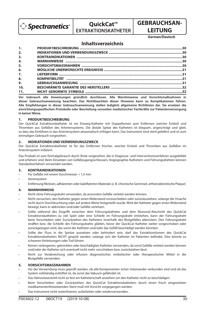

## **OuickCat™ EXTRAKTIONSKATHETER**

# **GEBRAUCHSAN-LEITUNG**

**German/Deutsch**

## **Inhaltsverzeichnis**

| 1.               |  |
|------------------|--|
| 2.               |  |
| 3.               |  |
| $\overline{4}$ . |  |
| 5.               |  |
| 6.               |  |
| 7.               |  |
| 8.               |  |
| 9.               |  |
| 10.              |  |
| 11.              |  |

**Vor Gebrauch alle Anweisungen gründlich durchlesen. Alle Warnhinweise und Vorsichtsmaßnahmen in dieser Gebrauchsanweisung beachten. Das Nichtbeachten dieser Hinweise kann zu Komplikationen führen. Alle Empfehlungen in dieser Gebrauchsanweisung stellen lediglich allgemeine Richtlinien dar. Sie ersetzen die**  einrichtungsspezifischen Protokolle oder Beurteilung vonseiten medizinischer Fachkräfte zur Patientenversorgung **in keiner Weise.**

#### **1. PRODUKTBESCHREIBUNG**

Der QuickCat Extraktionskatheter ist ein Einweg-Katheter mit Doppellumen zum Entfernen weicher Emboli und Thromben aus Gefäßen des Arteriensystems. Die distale Spitze des Katheters ist biegsam, angeschrägt und glatt, so dass das Einführen in das Arteriensystem atraumatisch erfolgen kann. Das Instrument wird steril geliefert und ist zum einmaligen Gebrauch vorgesehen.

#### **2. INDIKATIONEN UND VERWENDUNGSZWECK**

Der QuickCat Extraktionskatheter ist für das Entfernen frischer, weicher Emboli und Thromben aus Gefäßen im Arteriensystem indiziert.

Das Produkt ist zum Einmalgebrauch durch Ärzte vorgesehen, die in Diagnose- und Interventionsverfahren ausgebildet und erfahren sind. Beim Einsetzen von Gefäßzugangsschleusen, Angiographie-Kathetern und Führungsdrähten können Standardverfahren verwendet werden.

#### **3. KONTRAINDIKATIONEN**

- Für Gefäße mit einem Durchmesser < 1,5 mm
- Venensystem
- Entfernung fibrösen, adhärenten oder kalzifizierten Materials (z. B. chronische Gerinnsel, artherosklerotische Plaque)

#### **4. WARNHINWEISE**

- Nicht ohne Führungsdraht verwenden, da ansonsten Gefäße verletzt werden können.
- Nicht versuchen, den Katheter gegen einen Widerstand vorzuschieben oder zurückzuziehen, solange die Ursache nicht durch Durchleuchtung oder auf andere Weise festgestellt wurde. Wird der Katheter gegen einen Widerstand bewegt, kann er abknicken und/oder Gefäße verletzen.
- Sollte während des Eingriffs zwischen dem Führungskatheter und dem Monorail-Abschnitt des QuickCat Extraktionskatheters zu viel Spiel oder eine Schleife im Führungsdraht entstehen, kann der Führungsdraht beim Vorschieben oder Zurückziehen des Katheters innerhalb des Blutgefäßes abknicken. Den Führungsdraht straffen bzw. die Schleife des Führungsdrahts glätten, bevor der QuickCat Katheter weiter vorgeschoben oder zurückgezogen wird, das sonst der Katheter und/oder das Gefäß beschädigt werden könnten.
- Sollte der Fluss in die Spritze aussetzen oder behindert sein, darf das Extraktionslumen des QuickCat Extraktionskatheters NICHT gespült werden, solange sich der Katheter im Patienten befindet. Dies könnte zu schweren Verletzungen oder Tod führen.
- Keinen verbogenen, geknickten oder beschädigten Katheter verwenden, da sonst Gefäße verletzt werden können und/oder der Katheter sich eventuell nicht mehr vorschieben bzw. zurückziehen lässt.
- Nicht zur Verabreichung oder Infusion diagnostischer, embolischer oder therapeutischer Mittel in die Blutgefäße verwenden.

#### **5. VORSICHTSMASSNAHMEN**

- Vor der Verwendung muss geprüft werden, ob alle Komponenten sicher miteinander verbunden sind und ob das System vollständig entlüftet ist, da sonst das Vakuum gefährdet ist.
- Das Hämostaseventil nicht zu fest am Katheterschaft anziehen um den Katheter nicht zu beschädigen.
- Beim Vorschieben oder Zurückziehen des QuickCat Extraktionskatheters durch einen frisch eingesetzten medikamentenfreisetzenden Stent muß mit Vorsicht vorgegangen werden.
- Das Instrument nicht resterilisieren, aufarbeiten oder wiederverwenden.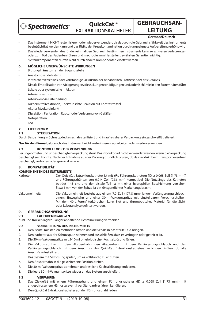

# **QuickCat™ EXTRAKTIONSKATHETER**

# **GEBRAUCHSAN-LEITUNG**

#### **German/Deutsch**

- Das Instrument NICHT resterilisieren oder wiederverwenden, da dadurch die Gebrauchsfähigkeit des Instruments beeinträchtigt werden kann und das Risiko der Kreuzkontamination durch ungeeignete Aufbereitung erhöht wird.
- Das Wiederverwenden des für den einmaligen Gebrauch bestimmten Instruments kann zu schweren Verletzungen oder zum Tod des Patienten führen und macht die vom Hersteller gewährten Garantien nichtig.
- Systemkomponenten dürfen nicht durch andere Komponenten ersetzt werden.

#### **6. MÖGLICHE UNERWÜNSCHTE WIRKUNGEN**

- Blutung/Hämatom an der Zugangsstelle
- Anastomosendehistenz
- Plötzlicher Verschluss oder vollständige Okklusion der behandelten Prothese oder des Gefäßes
- Distale Embolisation von Ablagerungen, die zu Lungenschädigungen und/oder Ischämie in den Extremitäten führt
- Lokale oder systemische Infektion
- **Arterienspasmus**
- Arteriovenöse Fistelbildung
- Arzneimittelreaktionen, unerwünschte Reaktion auf Kontrastmittel
- Akuter Myokardinfarkt
- Dissektion, Perforation, Ruptur oder Verletzung von Gefäßen
- **Notoperation**
- Tod

#### **7. LIEFERFORM**

#### **7.1 STERILISATION**

Durch Bestrahlung in Schnappdeckelsschale sterilisiert und in aufreissbarer Verpackung eingeschweißt geliefert.

**Nur für den Einmalgebrauch**; das Instrument nicht resterilisieren, aufarbeiten oder wiederverwenden.

#### **7.2 KONTROLLE VOR DER VERWENDUNG**

Bei ungeöffneter und unbeschädigter Verpackung steril. Das Produkt darf nicht verwendet werden, wenn die Verpackung beschädigt sein könnte. Nach der Entnahme aus der Packung gründlich prüfen, ob das Produkt beim Transport eventuell beschädigt, verbogen oder geknickt wurde.

#### **8. KOMPATIBILITÄT**

#### **KOMPONENTEN DES INSTRUMENTS**

- Katheter: Der QuickCat Extraktionskatheter ist mit 6Fr.-Führungskathetern [ID ≥ 0,068 Zoll (1,73 mm)] und Führungsdrähten von 0,014 Zoll (0,36 mm) kompatibel. Die Nutzlänge des Katheters beträgt 145 cm, und der distale Teil ist mit einer hydrophilen Beschichtung versehen. Etwa 1 mm von der Spitze ist ein röntgendichter Marker angebracht.
- Vakuumeinheit: Die Vakuumeinheit besteht aus einem 7,0 Zoll (177,8 mm) langen Verlängerungsschlauch, einem Einweghahn und einer 30-ml-Vakuumspritze mit einstellbarem Verschlusskolben. Mit dem 40-µ-Porenfilterkörbchen kann Blut und thrombotisches Material für die Sichtoder Laboranalyse gefiltert werden.

### **9. GEBRAUCHSANWEISUNG**

#### **9.1 LAGERBEDINGUNGEN**

Kühl und trocken lagern. Länger anhaltende Lichteinwirkung vermeiden.

#### **9.2 VORBEREITUNG DES INSTRUMENTS**

- 1. Den Beutel mit sterilen Methoden öffnen und die Schale in das sterile Feld bringen.
- 2. Den Katheter aus der Schutzspule nehmen und ausschließen, dass er verbogen oder geknickt ist.
- 3. Die 30-ml-Vakuumspritze mit 5-10 ml physiologischer Kochsalzlösung füllen.
- 4. Die Vakuumspritze mit dem Absperrhahn, den Absperrhahn mit dem Verlängerungsschlauch und den Verlängerungsschlauch mit dem Anschluss des QuickCat Extraktionskatheters verbinden. Prüfen, ob alle Anschlüsse fest sitzen.
- 5. Das System mit Salzlösung spülen, um es vollständig zu entlüften.
- 6. Den Absperrhahn in die geschlossene Position drehen.
- 7. Die 30-ml-Vakuumspritze abnehmen und restliche Kochsalzlösung entleeren.
- 8. Die leere 30-ml-Vakuumspritze wieder an das System anschließen.

#### **9.3 VERFAHREN**

- 1. Das Zielgefäß mit einem Führungsdraht und einem Führungskatheter (ID ≥ 0,068 Zoll [1,73 mm]) mit angeschlossenem Hämostaseventil per Standardverfahren kanülieren.
- 2. Den QuickCat Extraktionskatheter auf den Führungsdraht laden.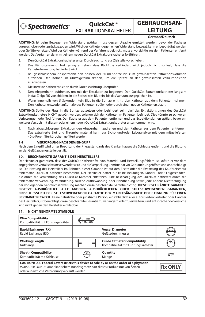

## **QuickCat™ EXTRAKTIONSKATHETER**

# **GEBRAUCHSAN-LEITUNG**

#### **German/Deutsch**

**ACHTUNG:** Ist beim Bewegen ein Widerstand spürbar, muss dessen Ursache ermittelt werden, bevor der Katheter vorgeschoben oder zurückgezogen wird. Wird der Katheter gegen einen Widerstand bewegt, kann er beschädigt werden oder Gefäße verletzen. Wird der Katheter während des Verfahrens geknickt, muss er vorsichtig aus dem Patienten entfernt werden. Das Verfahren dann mit einem neuen QuickCat Extraktionskatheter fortführen.

- 3. Den QuickCat Extraktionskatheter unter Durchleuchtung zur Zielstelle vorschieben.
- 4. Das Hämostaseventil fest genug anziehen, dass Rückfluss verhindert wird, jedoch nicht so fest, dass die Katheterbewegung behindert wird.
- 5. Bei geschlossenem Absperrhahn den Kolben der 30-ml-Spritze bis zum gewünschten Extraktionsvolumen aufziehen. Den Kolben im Uhrzeigersinn drehen, um die Spritze an der gewünschten Vakuumposition zu arretieren.
- 6. Die korrekte Katheterposition durch Durchleuchtung überprüfen.
- 7. Den Absperrhahn aufdrehen, um mit der Extraktion zu beginnen. Den QuickCat Extraktionskatheter langsam in das Zielgefäß vorschieben. In die Spritze tritt Blut ein, bis das Vakuum ausgeglichen ist.
- 8. Wenn innerhalb von 5 Sekunden kein Blut in die Spritze eintritt, den Katheter aus dem Patienten nehmen. Den Katheter entweder außerhalb des Patienten spülen oder durch einen neuen Katheter ersetzen.

**ACHTUNG:** Sollte der Fluss in die Spritze aussetzen oder behindert sein, darf das Extraktionslumen des QuickCat Extraktionskatheters NICHT gespült werden, solange sich der Katheter im Patienten befindet. Dies könnte zu schweren Verletzungen oder Tod führen. Den Katheter aus dem Patienten entfernen und das Extraktionslumen spülen, bevor ein weiterer Versuch mit diesem oder einem neuen QuickCat Extraktionskatheter unternommen wird.

9. Nach abgeschlossener Extraktion den Absperrhahn zudrehen und den Katheter aus dem Patienten entfernen. Das extrahierte Blut und Thrombenmaterial kann zur Sicht- und/oder Laboranalyse mit dem mitgelieferten 40-µ-Poren filterkörbchen gefiltert werden.

#### **9.4 VERSORGUNG NACH DEM EINGRIFF**

Nach dem Eingriff wird unter Beachtung der Pflegestandards des Krankenhauses die Schleuse entfernt und die Blutung an der Gefäßzugangsstelle gestillt.

### **10. BESCHRÄNKTE GARANTIE DES HERSTELLERS**

Der Hersteller garantiert, dass der QuickCat Katheter frei von Material- und Herstellungsfehlern ist, sofern er vor dem angegebenen Verfallsdatum verwendet wird und die Verpackung unmittelbar vor Gebrauch ungeöffnet und unbeschädigt ist. Die Haftung des Herstellers im Rahmen dieser Garantie ist auf den Ersatz oder die Erstattung des Kaufpreises für fehlerhafte QuickCat Katheter beschränkt. Der Hersteller haftet für keine beiläufigen, Sonder- oder Folgeschäden, die durch die Verwendung des QuickCat Katheter entstehen. Eine Beschädigung des QuickCat Katheters durch die fehlerhafte Verwendung, Veränderung, falsche Aufbewahrung oder Handhabung sowie jede andere Nichtbefolgung der vorliegenden Gebrauchsanweisung machen diese beschränkte Garantie nichtig. **DIESE BESCHRÄNKTE GARANTIE ERSETZT AUSDRÜCKLICH ALLE ANDEREN AUSDRÜCKLICHEN ODER STILLSCHWEIGENDEN GARANTIEN, EINSCHLIESSLICH DER STILLSCHWEIGENDEN GARANTIE DER MARKTGÄNGIGKEIT ODER EIGNUNG FÜR EINEN BESTIMMTEN ZWECK.** Keine natürliche oder juristische Person, einschließlich aller autorisierten Vertreter oder Händler des Herstellers, ist berechtigt, diese beschränkte Garantie zu verlängern oder zu erweitern, und entsprechende Versuche sind nicht gegen den Hersteller einklagbar.

#### **11. NICHT GENORMTE SYMBOLE**

| <b>Wire Compatibility</b><br>Kompatibilität mit Führungsdrähten                                                                                                                                                                  | $GW =$<br>Max OD |                                                                            |                |
|----------------------------------------------------------------------------------------------------------------------------------------------------------------------------------------------------------------------------------|------------------|----------------------------------------------------------------------------|----------------|
| <b>Rapid Exchange (RX)</b><br>Rapid Exchange (RX)                                                                                                                                                                                |                  | <b>Vessel Diameter</b><br>Gefässdurchmesser                                | mm             |
| <b>Working Length</b><br>Nutzlänge                                                                                                                                                                                               |                  | <b>Guide Catheter Compatibility</b><br>Kompatibilität mit Führungskatheter | GC             |
| <b>Sheath Compatibility</b><br>Kompatibilität mit Schleuse                                                                                                                                                                       | SC               | Quantity<br>Menae                                                          | <b>OTY</b>     |
| CAUTION: U.S. Federal Law restricts this device to sale by or on the order of a physician.<br>VORSICHT: Laut US-amerikanischem Bundesgesetz darf dieses Produkt nur von Ärzten<br>oder auf ärztliche Verordnung verkauft werden. |                  |                                                                            | <b>Rx ONLY</b> |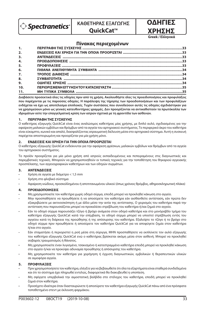

# **ΚΑΘΕΤΗΡΑΣ ΕΞΑΓΩΓΗΣ**

## **OuickCat™**

# **ΟΔΗΓΙΕΣ ΧΡΗΣΗΣ**

**Greek / Ελληνικά**

## **Πίνακας περιεχοµένων**

| 1.  |  |
|-----|--|
| 2.  |  |
| 3.  |  |
| 4.  |  |
| 5.  |  |
| 6.  |  |
| 7.  |  |
| 8.  |  |
| 9.  |  |
| 10. |  |
| 11. |  |

**Διαβάσετε προσεκτικά όλες τις οδηγίες πριν από τη χρήση. Ακολουθήστε όλες τις προειδοποιήσεις και προφυλάξεις που παρέχονται µε τις παρούσες οδηγίες. Η παράλειψη της τήρησης των προειδοποιήσεων και των προφυλάξεων ενδέχεται να έχει ως αποτέλεσµα επιπλοκές. Τυχόν συστάσεις που συνοδεύουν αυτές τις οδηγίες σχεδιάστηκαν για να χρησιµεύουν µόνο ως γενικές κατευθυντήριες γραµµές. Δεν προορίζονται να αντικαθιστούν τα πρωτόκολλα των ιδρυµάτων ούτε την επαγγελµατική κρίση των ιατρών σχετικά µε τη φροντίδα των ασθενών.**

#### **1. ΠΕΡΙΓΡΑΦΗ ΤΗΣ ΣΥΣΚΕΥΗΣ**

Ο καθετήρας εξαγωγής QuickCat είναι ένας αναλώσιμος καθετήρας μίας χρήσης, με διπλό αυλό, σχεδιασμένος για την αφαίρεση μαλακών εμβόλων και θρόμβων από τα αγγεία του αρτηριακού συστήματος. Το περιφερικό άκρο του καθετήρα είναι εύκαμπτο, κωνικό και απαλό, διασφαλίζοντας ατραυματική διέλευση μέσα στο αρτηριακό σύστημα. Αυτή η συσκευή παρέχεται αποστειρωμένη και προορίζεται για μία χρήση μόνο.

#### **2. ΕΝΔΕΙΞΕΙΣ ΚΑΙ ΧΡΗΣΗ ΓΙΑ ΤΗΝ ΟΠΟΙΑ ΠΡΟΟΡΙΖΕΤΑΙ**

Ο καθετήρας εξαγωγής QuickCat ενδείκνυται για την αφαίρεση φρέσκων, μαλακών εμβόλων και θρόμβων από τα αγγεία του αρτηριακού συστήματος.

Το προϊόν προορίζεται για μία μόνο χρήση από ιατρούς εκπαιδευμένους και πεπειραμένους στις διαγνωστικές και παρεμβατικές τεχνικές. Μπορούν να χρησιμοποιηθούν οι τυπικές τεχνικές για την τοποθέτηση του θηκαριού αγγειακής προσπέλασης, των αγγειογραφικών καθετήρων και των οδηγών συρμάτων.

#### **3. ΑΝΤΕΝΔΕΙΞΕΙΣ**

- Χρήση σε αγγεία με διάμετρο < 1,5 mm
- Χρήση στο φλεβικό σύστημα
- Αφαίρεση ινώδους, προσκολλημένου ή αποτιτανωμένου υλικού (όπως χρόνιος θρόμβος, αθηροσκληρωτική πλάκα)

#### **4. ΠΡΟΕΙΔΟΠΟΙΗΣΕΙΣ**

- Μη χρησιμοποιείτε τον καθετήρα χωρίς οδηγό σύρμα, επειδή μπορεί να προκληθεί κάκωση στο αγγείο.
- Μην προσπαθήσετε να προωθήσετε ή να αποσύρετε τον καθετήρα εάν αισθανθείτε αντίσταση, εάν πρώτα δεν εξακριβώσετε με ακτινοσκόπηση ή με άλλο μέσο την αιτία της αντίστασης. Ο χειρισμός του καθετήρα παρά την αντίσταση που παρουσιάζεται μπορεί να προκαλέσει στρέβλωση του καθετήρα ή/και ζημιά στο αγγείο.
- Εάν το οδηγό σύρμα παρουσιάζει τζόγο ή βρόχο ανάμεσα στον οδηγό καθετήρα και στο μονόραβδο τμήμα του καθετήρα εξαγωγής QuickCat κατά την επέμβαση, το οδηγό σύρμα μπορεί να υποστεί στρέβλωση εντός του αγγείου κατά τη διάρκεια της προώθησης ή της απόσυρσης του καθετήρα. Εξαλείψτε το τζόγο ή το βρόχο στο οδηγό σύρμα πριν προωθήσετε ή αποσύρετε τον καθετήρα QuickCat για να αποφύγετε ζημία στον καθετήρα ή/και στο αγγείο.
- Εάν σταματήσει ή περιοριστεί η ροή μέσα στη σύριγγα, ΜΗΝ προσπαθήσετε να εκπλύνετε τον αυλό εξαγωγής του καθετήρα εξαγωγής QuickCat ενώ ο καθετήρας βρίσκεται ακόμη μέσα στον ασθενή. Μπορεί να προκληθεί σοβαρός τραυματισμός ή θάνατος.
- Μη χρησιμοποιείτε έναν λυγισμένο, τσακισμένο ή κατεστραμμένο καθετήρα επειδή μπορεί να προκληθεί κάκωση στο αγγείο ή/και να προκύψει αδυναμία προώθησης ή απόσυρσης του καθετήρα.
- Μη χρησιμοποιείτε τον καθετήρα για χορήγηση ή έγχυση διαγνωστικών, εμβολικών ή θεραπευτικών υλικών σε αιμοφόρα αγγεία.

#### **5. ΠΡΟΦΥΛΑΞΕΙΣ**

- Πριν χρησιμοποιήσετε τον καθετήρα, ελέγξτε για να βεβαιωθείτε ότι όλα τα εξαρτήματα είναι σταθερά συνδεδεμένα και ότι το σύστημα έχει πληρωθεί εντελώς, διαφορετικά θα διακυβευθεί η υποπίεση.
- Μη σφίγγετε υπερβολικά την αιμοστατική βαλβίδα στο στέλεχος του καθετήρα, επειδή μπορεί να προκληθεί ζημιά στον καθετήρα.
- Προσέχετε ιδιαίτερα όταν διασταυρώνετε ή αποσύρετε τον καθετήρα εξαγωγής QuickCat πάνω από ένα πρόσφατα τοποθετημένο στεντ με έκλουση φαρμάκου.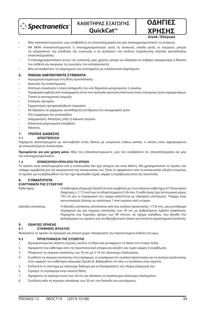



**Greek / Ελληνικά**

- Μην επαναποστειρώνετε, μην υποβάλλετε σε επανεπεξεργασία και μην επαναχρησιμοποιείτε τη συσκευή.
- ΝΑ ΜΗΝ επαναποστειρώνετε ή επαναχρησιμοποιείτε αυτή τη συσκευή, επειδή αυτές οι ενέργειες μπορεί να επηρεάσουν την απόδοση της συσκευής ή να αυξήσουν τον κίνδυνο επιμόλυνσης εξαιτίας ακατάλληλης επανεπεξεργασίας.
- Η επαναχρησιμοποίηση αυτής της συσκευής μίας χρήσης μπορεί να οδηγήσει σε σοβαρό τραυματισμό ή θάνατο του ασθενή και ακυρώνει τις εγγυήσεις του κατασκευαστή.
- Μην αντικαθιστάτε τα εξαρτήματα του συστήματος με εναλλακτικά εξαρτήματα.

#### **6. ΠΙΘΑΝΑ ΑΝΕΠΙΘΥΜΗΤΑ ΣΥΜΒΑΝΤΑ**

- Αιμορραγία/αιμάτωμα στη θέση προσπέλασης
- Διακοπή της αναστόμωσης
- Απότομη σύγκλειση ή ολική απόφραξη του υπό θεραπεία μοσχεύματος ή αγγείου
- Περιφερική εμβολή από συγκρίμματα ιστού που προκαλεί αρνητική επίπτωση στους πνεύμονες ή/και ισχαιμία άκρων
- Τοπική ή συστηματική λοίμωξη
- Σπασμός αρτηρίας
- Σχηματισμός αρτηριοφλεβικού συριγγίου
- Αντιδράσεις σε φάρμακα, ανεπιθύμητη αντίδραση στο σκιαγραφικό μέσο
- Οξύ έμφραγμα του μυοκαρδίου
- Διαχωρισμός, διάτρηση, ρήξη ή κάκωση αγγείου
- Επείγουσα χειρουργική επέμβαση
- Θάνατος

### **7. ΤΡΟΠΟΣ ΔΙΑΘΕΣΗΣ**

#### **7.1 ΑΠΟΣΤΕΙΡΩΣΗ**

Παρέχεται αποστειρωμένο με ακτινοβολία εντός δίσκου με κουμπωτό επάνω καπάκι, ο οποίος είναι σφραγισμένος σε αποκολλούμενη συσκευασία.

**Προορίζεται για μία χρήση μόνο.** Μην τον επαναποστειρώνετε, μην τον υποβάλλετε σε επανεπεξεργασία και μην τον επαναχρησιμοποιείτε.

#### **7.2 ΕΠΙΘΕΩΡΗΣΗ ΠΡΙΝ ΑΠΟ ΤΗ ΧΡΗΣΗ**

Το προϊόν είναι αποστειρωμένο εάν η συσκευασία δεν έχει ανοιχτεί και είναι άθικτη. Μη χρησιμοποιείτε το προϊόν εάν υπάρχει αμφιβολία για την ακεραιότητα της συσκευασίας του. Όταν το αφαιρέσετε από τη συσκευασία, ελέγξτε επιμελώς το προϊόν για να βεβαιωθείτε ότι δεν έχει προκληθεί ζημιά, κάμψη ή στρέβλωση κατά την αποστολή.

#### **8. ΣΥΜΒΑΤΟΤΗΤΑ**

#### **ΕΞΑΡΤΗΜΑΤΑ ΤΗΣ ΣΥΣΚΕΥΗΣ**

Καθετήρας: Ο καθετήρας εξαγωγής QuickCat είναι συμβατός με τους οδηγούς καθετήρες 6 F [Εσωτερική διάμετρος ≥ 1,73 mm] και τα οδηγά σύρματα 0,36 mm. Ο καθετήρας έχει λειτουργικό μήκος 145 cm και το περιφερικό του τμήμα καλύπτεται με υδρόφιλη επίστρωση. Υπάρχει ένας ακτινοσκιερός δείκτης σε απόσταση 1 mm περίπου από το άκρο. Διάταξη υποπίεσης: Η διάταξη υποπίεσης αποτελείται από ένα σωλήνα προέκτασης 177,8 mm, μία μονόδρομη

στρόφιγγα και μία σύριγγα υποπίεσης των 30 mL με ρυθμιζόμενο έμβολο ασφάλισης. Παρέχεται ένα πορώδες φίλτρο των 40 micron, σε σχήμα καλαθιού, που βοηθά στο φιλτράρισμα του αίματος και του θρομβωτικού υλικού για οπτική ή εργαστηριακή ανάλυση.

### **9. ΟΔΗΓΙΕΣ ΧΡΗΣΗΣ**

#### **9.1 ΣΥΝΘΗΚΕΣ ΦΥΛΑΞΗΣ**

Φυλάσσετε το προϊόν σε δροσερό και στεγνό χώρο. Αποφεύγετε την παρατεταμένη έκθεση στο φως.

#### **9.2 ΠΡΟΕΤΟΙΜΑΣΙΑ ΤΗΣ ΣΥΣΚΕΥΗΣ**

- 1. Χρησιμοποιώντας άσηπτη τεχνική, ανοίξτε τη θήκη και μεταφέρετε το δίσκο στο στείρο πεδίο.
- 2. Αφαιρέστε τον καθετήρα από την προστατευτική σπείρα και ελέγξτε για τυχόν κάμψη ή στρέβλωση.
- 3. Πληρώστε τη σύριγγα υποπίεσης των 30 mL με 5-10 mL αλατούχου διαλύματος.
- 4. Συνδέστε τη σύριγγα υποπίεσης στη στρόφιγγα, τη στρόφιγγα στο σωλήνα προέκτασης και το σωλήνα προέκτασης στον ομφαλό του καθετήρα εξαγωγής QuickCat. Βεβαιωθείτε ότι όλες οι συνδέσεις είναι σφικτές.
- 5. Εκπλύνετε το σύστημα με αλατούχο διάλυμα για να διασφαλίσετε την πλήρη εξαέρωσή του.
- 6. Στρέψτε τη στρόφιγγα στην κλειστή θέση.
- 7. Αφαιρέστε τη σύριγγα κενού των 30 mL και αδειάστε το περίσσευμα αλατούχου διαλύματος.
- 8. Συνδέστε πάλι τη σύριγγα υποπίεσης των 30 mL στη διάταξη του συστήματος.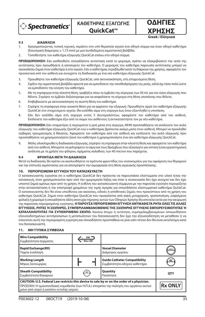

**ΚΑΘΕΤΗΡΑΣ ΕΞΑΓΩΓΗΣ OuickCat™** 

**ΧΡΗΣΗΣ Greek / Ελληνικά**

**ΟΔΗΓΙΕΣ** 

#### **9.3 ΔΙΑΔΙΚΑΣΙΑ**

- 1. Χρησιμοποιώντας τυπική τεχνική, περάστε στο υπό θεραπεία αγγείο ένα οδηγό σύρμα και έναν οδηγό καθετήρα [Εσωτερική διάμετρος ≥ 1,73 mm] με μια συνδεδεμένη αιμοστατική βαλβίδα.
- 2. Τοποθετήστε τον καθετήρα εξαγωγής QuickCat επάνω στο οδηγό σύρμα.

**ΠΡΟΕΙΔΟΠΟΙΗΣΗ:** Εάν αισθανθείτε οποιαδήποτε αντίσταση κατά το χειρισμό, πρέπει να εξακριβώσετε την αιτία της αντίστασης πριν προωθήσετε ή αποσύρετε τον καθετήρα. Ο χειρισμός του καθετήρα παρουσία αντίστασης μπορεί να προκαλέσει ζημιά στον καθετήρα ή στο αγγείο. Εάν ο καθετήρας στρεβλωθεί κατά τη διάρκεια της χρήσης, αφαιρέστε τον προσεκτικά από τον ασθενή και συνεχίστε τη διαδικασία με ένα νέο καθετήρα εξαγωγής QuickCat.

- 3. Προωθήστε τον καθετήρα εξαγωγής QuickCat, υπό ακτινοσκόπηση, στη στοχευόμενη θέση.
- 4. Σφίξτε την αιμοστατική βαλβίδα αρκετά για να εμποδίσετε την οπισθοδρόμηση της ροής, αλλά όχι τόσο πολύ ώστε να εμποδίσετε την κίνηση του καθετήρα.
- 5. Με τη στρόφιγγα στην κλειστή θέση, τραβήξτε πίσω το έμβολο της σύριγγας των 30 mL για τον όγκο εξαγωγής που θέλετε. Στρέψτε το έμβολο δεξιόστροφα για να ασφαλίσετε τη σύριγγα στη θέση υποπίεσης που θέλετε.
- 6. Επιβεβαιώστε με ακτινοσκόπηση τη σωστή θέση του καθετήρα.
- 7. Στρέψτε τη στρόφιγγα στην ανοικτή θέση για να αρχίσετε την εξαγωγή. Προωθήστε αργά τον καθετήρα εξαγωγής QuickCat στο στοχευόμενο αγγείο. Θα εισέλθει αίμα στη σύριγγα έως ότου εξαντληθεί η υποπίεση.
- 8. Εάν δεν εισέλθει αίμα στη σύριγγα εντός 5 δευτερολέπτων, αφαιρέστε τον καθετήρα από τον ασθενή. Εκπλύνετε τον καθετήρα έξω από το σώμα του ασθενούς ή αντικαταστήστε τον με νέο καθετήρα.

**ΠΡΟΕΙΔΟΠΟΙΗΣΗ:** Εάν σταματήσει ή περιοριστεί η ροή μέσα στη σύριγγα, ΜΗΝ προσπαθήσετε να εκπλύνετε τον αυλό εξαγωγής του καθετήρα εξαγωγής QuickCat ενώ ο καθετήρας βρίσκεται ακόμη μέσα στον ασθενή. Μπορεί να προκληθεί σοβαρός τραυματισμός ή θάνατος. Αφαιρέστε τον καθετήρα από τον ασθενή και εκπλύνετε τον αυλό εξαγωγής πριν προσπαθήσετε να χρησιμοποιήσετε ξανά τον καθετήρα ή χρησιμοποιήστε ένα νέο καθετήρα εξαγωγής QuickCat.

9. Μόλις ολοκληρωθεί η διαδικασία εξαγωγής, στρέψτε τη στρόφιγγα στην κλειστή θέση και αφαιρέστε τον καθετήρα από τον ασθενή. Μπορείτε να φιλτράρετε το αίμα και τους θρόμβους που εξαγάγατε για οπτική ή/και εργαστηριακή ανάλυση με τη χρήση του φίλτρου, σχήματος καλαθιού, των 40 micron που παρέχεται.

#### **9.4 ΦΡΟΝΤΙΔΑ ΜΕΤΑ ΤΗ ΔΙΑΔΙΚΑΣΙΑ**

Μετά τη διαδικασία, θα πρέπει να ακολουθήσετε τα πρότυπα φροντίδας του νοσοκομείου για την αφαίρεση του θηκαριού και την επίτευξη αιμόστασης για να αποτρέψετε την αιμορραγία στη θέση αγγειακής προσπέλασης.

#### **10. ΠΕΡΙΟΡΙΣΜΕΝΗ ΕΓΓΥΗΣΗ ΤΟΥ ΚΑΤΑΣΚΕΥΑΣΤΗ**

Ο κατασκευαστής εγγυάται ότι ο καθετήρας QuickCat δεν πρόκειται να παρουσιάσει ελαττώματα στο υλικό ή/και την κατασκευή, όταν χρησιμοποιείται πριν από την ημερομηνία λήξης και όταν η συσκευασία δεν έχει ανοιχτεί και δεν έχει υποστεί ζημιά αμέσως πριν από τη χρήση. Η ευθύνη του κατασκευαστή σύμφωνα με την παρούσα εγγύηση περιορίζεται στην αντικατάσταση ή την επιστροφή χρημάτων της τιμής αγοράς για οποιοδήποτε ελαττωματικό καθετήρα QuickCat. Ο κατασκευαστής δεν θα είναι υπεύθυνος για ακούσιες, ειδικές ή αποθετικές ζημίες που προκύπτουν από τη χρήση του καθετήρα QuickCat. Ζημιά στον καθετήρα QuickCat που προκαλείται από κακή μεταχείριση, τροποποίηση, εσφαλμένη φύλαξη ή χειρισμό ή οποιαδήποτε άλλη αποτυχία τήρησης αυτών των Οδηγιών Χρήσης θα αποτελεί αιτία για την ακύρωση της παρούσας περιορισμένης εγγύησης. **Η ΠΑΡΟΥΣΑ ΠΕΡΙΟΡΙΣΜΕΝΗ ΕΓΓΥΗΣΗ ΑΝΤΙΚΑΘΙΣΤΑ ΡΗΤΑ ΟΛΕΣ ΤΙΣ ΑΛΛΕΣ ΕΓΓΥΗΣΕΙΣ, ΡΗΤΕΣ Ή ΣΙΩΠΗΡΕΣ, ΣΥΜΠΕΡΙΛΑΜΒΑΝΟΜΕΝΗΣ ΤΗΣ ΣΙΩΠΗΡΗΣ ΕΓΓΥΗΣΗΣ ΕΜΠΟΡΕΥΣΙΜΟΤΗΤΑΣ Ή ΚΑΤΑΛΛΗΛΟΤΗΤΑΣ ΓΙΑ ΣΥΓΚΕΚΡΙΜΕΝΟ ΣΚΟΠΟ.** Κανένα άτομο ή οντότητα, συμπεριλαμβανομένων οποιωνδήποτε εξουσιοδοτημένων αντιπροσώπων ή μεταπωλητών του Κατασκευαστή δεν έχει την εξουσιοδότηση να μεταθέσει ή να επεκτείνει αυτή την περιορισμένη εγγύηση και οποιαδήποτε προσπάθεια να γίνει κάτι τέτοιο δεν θα είναι εκτελέσιμη κατά του Κατασκευαστή.

#### **11. ΜΗ ΤΥΠΙΚΑ ΣΥΜΒΟΛΑ**

| <b>Wire Compatibility</b><br>Συμβατότητα σύρματος                                                                                                                                                                               | $GW =$<br>Max OD |                                                                    |                |
|---------------------------------------------------------------------------------------------------------------------------------------------------------------------------------------------------------------------------------|------------------|--------------------------------------------------------------------|----------------|
| <b>Rapid Exchange(RX)</b><br>Ταχεία εναλλαγή                                                                                                                                                                                    |                  | <b>Vessel Diameter</b><br>Διάμετρος αγγείου                        | mm             |
| <b>Working Length</b><br>Μήκος λειτουργίας                                                                                                                                                                                      |                  | <b>Guide Catheter Compatibility</b><br>Συμβατότητα οδηγού καθετήρα | GC             |
| <b>Sheath Compatibility</b><br>Συμβατότητα θηκαριού                                                                                                                                                                             | SC               | Quantity<br>Ποσότητα                                               | QTY            |
| CAUTION: U.S. Federal Law restricts this device to sale by or on the order of a physician.<br>ΠΡΟΣΟΧΗ: Η ομοσπονδιακή νομοθεσία (των Η.Π.Α.) επιτρέπει την πώληση του οργάνου αυτού<br>μόνο από ιατρό ή κατόπιν εντολής ιατρού. |                  |                                                                    | <b>Rx ONLY</b> |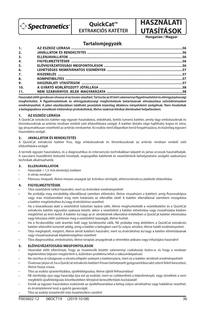

**QuickCat™ EXTRAKCIÓS KATÉTER**



**Hungarian / Magyar**

## **Tartalomjegyzék**

| 2.               |  |
|------------------|--|
| 3 <sub>1</sub>   |  |
| 4.               |  |
| 5.               |  |
| 6.               |  |
| $\overline{7}$ . |  |
| 8.               |  |
| 9.               |  |
| 10.              |  |
| 11.              |  |

Használat előtt gondosan olvassa el az összes utasítást. Tartsa be az itt leírt valamennyi figyelmeztetést és elővigyázatossági **megfontolást. A gyelmeztetések és elővigyázatossági megfontolások betartásának elmulasztása szövődményeket eredményezhet. A jelen utasításokban található javaslatok kizárólag általános irányelvként szolgálnak. Nem hivatottak a betegápolásra vonatkozó intézményi protokollokat, illetve szakmai klinikai döntéseket helyettesíteni.**

#### **1. AZ ESZKÖZ LEÍRÁSA**

A QuickCat extrakciós katéter egy egyszer használatos, eldobható, kettős lumenű katéter, amely lágy embolusoknak és thrombusoknak az artériás rendszer ereiből való eltávolítására szolgál. A katéter distalis vége hajlítható, kúpos és sima, így atraumatikusan vezethető az artériás rendszerbe. Az eszköz steril állapotban kerül forgalmazásra, és kizárólag egyszeri használatra szolgál.

#### **2. JAVALLATOK ÉS RENDELTETÉS**

A QuickCat extrakciós katéter friss, lágy embolusoknak és thrombusoknak az artériás rendszer ereiből való eltávolítására szolgál.

A termék egyszer használatos, és a diagnosztikus és intervenciós technikákban képzett és jártas orvosok használhatják. A vascularis hozzáférést biztosító hüvelyek, angiográ ás katéterek és vezetődrótok behelyezésére szolgáló szabványos technikák alkalmazhatók.

#### **3. ELLENJAVALLATOK**

- Használat < 1,5 mm átmérőjű erekben
- A vénás rendszer
- Fibrosus, letapadt, illetve meszes anyagok (pl. krónikus vérrögök, atheroscleroticus plakkok) eltávolítása

#### **4. FIGYELMEZTETÉSEK**

- Tilos vezetődrót nélkül használni, mert ez érsérülést eredményezhet!
- Ne próbálja meg mindaddig ellenállással szemben előretolni, illetve visszahúzni a katétert, amíg fluoroszkópos vagy más módszerekkel meg nem határozta az ellenállás okát! A katéter ellenállással szembeni mozgatása a katéter megtöréséhez és/vagy érsérüléshez vezethet.
- Ha a beavatkozás alatt a vezetődrót túlzottan lazává válik, illetve meghurkolódik a vezetőkatéter és a QuickCat extrakciós katéter egyszálas szakasza között, akkor a vezetődrót a katéter előretolása vagy visszahúzása közben megtörhet az éren belül. A katéter és/vagy az ér sérülésének elkerülése érdekében a QuickCat katéter előretolása vagy kihúzása előtt szüntesse meg a vezetődrót lazaságát, illetve hurkát.
- Ha a fecskendőbe való áramlás leáll vagy korlátozottá válik, NE próbálja meg átöblíteni a QuickCat extrakciós katéter eltávolító lumenét addig, amíg a katéter a betegben van! Ez súlyos sérülést, illetve halált eredményezhet.
- Tilos meghajlott, megtört, illetve sérült katétert használni, mert ez érsérüléshez és/vagy a katéter előretolásának vagy visszahúzásának képtelenségéhez vezethet!
- Tilos diagnosztikai, embolisatiós, illetve terápiás anyagoknak a vérerekbe adására vagy infúziójára használni!

#### **5. ELŐVIGYÁZATOSSÁGI MEGFONTOLÁSOK**

- Használat előtt ellenőrizze, hogy az összetevők közötti valamennyi csatlakozás biztos-e, és hogy a rendszer légtelenítése teljesen megtörtént-e, különben probléma lehet a vákuumképzéssel.
- Ne szorítsa rá túlságosan a vérzéscsillapító szelepet a katéterszárra, mert ez a katéter sérülését eredményezheti!
- Óvatosan járjon el, ha a QuickCat extrakciós katétert frissen behelyezett gyógyszerkibocsátó sztent felett keresztezi, illetve húzza vissza.
- Tilos az eszköz újrasterilizálása, újrafeldolgozása, illetve újbóli felhasználása!
- NE sterilizálja újra vagy használja újra ezt az eszközt, mert ez csökkentheti a teljesítményét, vagy növelheti a nem megfelelő újrafeldolgozás következtében létrejövő keresztfertőzés kockázatát!
- Ennek az egyszer használatos eszköznek az újrafelhasználása a beteg súlyos sérüléséhez vagy halálához vezethet, és érvénytelenné teszi a gyártó garanciáját.
- Tilos az eszköz összetevőit más összetevőkre cserélni!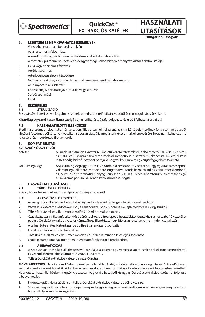

# **QuickCat™ EXTRAKCIÓS KATÉTER**

**UTASÍTÁSOK Hungarian / Magyar**

**HASZNÁLATI** 

## **6. LEHETSÉGES NEMKÍVÁNATOS ESEMÉNYEK**

- Vérzés/haematoma a behatolás helyén
- Az anastomosis felbomlása
- A kezelt graft vagy ér hirtelen bezáródása, illetve teljes elzáródása
- A törmelék pulmonalis tüneteket és/vagy végtagi ischaemiát eredményező distalis embolisatiója
- Helyi vagy szisztémás fertőzés
- Artériás spasmus
- Arteriovenosus sipoly képződése
- Gyógyszerreakciók, a kontrasztanyaggal szembeni nemkívánatos reakció
- Acut myocardialis infarctus
- Ér dissectiója, perforatiója, rupturája vagy sérülése
- Sürgősségi műtét
- Halál

## **7. KISZERELÉS**

## **7.1 STERILIZÁCIÓ**

Besugárzással sterilizálva, forgalmazásra felpattintható tetejű tálcán, védőfóliás csomagolásba zárva kerül.

**Kizárólag egyszeri használatra szolgál**; újrasterilizálása, újrafeldolgozása és újbóli felhasználása tilos!

## **7.2 HASZNÁLAT ELŐTTI ELLENŐRZÉS**

Steril, ha a csomag felbontatlan és sértetlen. Tilos a termék felhasználása, ha kétségek merülnek fel a csomag épségét illetően! A csomagból történő kivételkor alaposan vizsgálja meg a terméket annak ellenőrzésére, hogy nem keletkezett-e rajta sérülés, megtöretés, illetve hurok.

## **8. KOMPATIBILITÁS**

## **AZ ESZKÖZ ÖSSZETEVŐI**

Katéter: A QuickCat extrakciós katéter 6 F méretű vezetőkatéterekkel [belső átmérő ≥ 0,068" (1,73 mm)] és 0,014"-es (0,36 mm-es) vezetődrótokkal kompatibilis. A katéter munkahossza 145 cm, distalis részét pedig hidrofil bevonat borítja. A hegytől kb. 1 mm-re egy sugárfogó jelölés található.

Vákuum-egység: A vákuum-egység egy 7,8"-es (177,8 mm-es) hosszabbító vezetékből, egy egyutas zárócsapból, valamint egy állítható, reteszelhető dugattyúval rendelkező, 30 ml-es vákuumfecskendőből áll. A vér és a thromboticus anyag szűrését a vizuális, illetve laboratóriumi elemzéshez egy 40 mikronos pórusokkal rendelkező szűrőkosár segíti.

## **9. HASZNÁLATI UTASÍTÁSOK**

## **9.1 TÁROLÁSI FELTÉTELEK**

Száraz, hűvös helyen tartandó. Kerülje a tartós fényexpozíciót!

## **9.2 AZ ESZKÖZ ELŐKÉSZÍTÉSE**

- 1. Az aszepszis szabályainak betartásával nyissa ki a tasakot, és tegye a tálcát a steril területre.
- 2. Vegye ki a katétert a védőtekercsből, és ellenőrizze, hogy nincsenek-e rajta megtörések vagy hurkok.
- 3. Töltse fel a 30 ml-es vákuumfecskendőt 5-10 ml normál sóoldattal.
- 4. Csatlakoztassa a vákuumfecskendőt a zárócsaphoz, a zárócsapot a hosszabbító vezetékhez, a hosszabbító vezetéket pedig a QuickCat extrakciós katéter kónuszához. Ellenőrizze, hogy biztosan rögzítve van-e minden csatlakozás.
- 5. A teljes légtelenítés biztosításához öblítse át a rendszert sóoldattal.
- 6. Fordítsa a zárócsapot zárt helyzetbe.
- 7. Távolítsa el a 30 ml-es vákuumfecskendőt, és ürítsen ki minden felesleges sóoldatot.
- 8. Csatlakoztassa ismét az üres 30 ml-es vákuumfecskendőt a rendszerhez.

## **9.3 A BEAVATKOZÁS**

- 1. A szabványos technikák alkalmazásával kanülálja a céleret egy vérzéscsillapító szeleppel ellátott vezetődróttal és vezetőkatéterrel (belső átmérő ≥ 0,068" [1,73 mm]).
- 2. Tolja a QuickCat extrakciós katétert a vezetődrótra.

**FIGYELMEZTETÉS:** Ha a kezelés közben bármilyen ellenállást észlel, a katéter előretolása vagy visszahúzása előtt meg kell határozni az ellenállás okát. A katéter ellenállással szembeni mozgatása katéter-, illetve érkárosodáshoz vezethet. Ha a katéter használat közben megtörik, óvatosan vegye ki a betegből, és egy új QuickCat extrakciós katéterrel folytassa a beavatkozást.

- 3. Fluoroszkópiás vizualizáció alatt tolja a QuickCat extrakciós katétert a célhelyszínre.
- 4. Szorítsa meg a vérzéscsillapító szelepet annyira, hogy ne legyen visszaáramlás, azonban ne legyen annyira szoros, hogy gátolja a katéter mozgatását.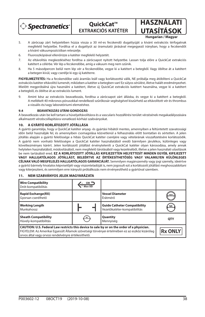

**QuickCat™ EXTRAKCIÓS KATÉTER**

**UTASÍTÁSOK Hungarian / Magyar**

**HASZNÁLATI** 

- 5. A zárócsap zárt helyzetében húzza vissza a 30 ml-es fecskendő dugattyúját a kívánt extrakciós térfogatnak megfelelő helyzetbe. Fordítsa el a dugattyút az óramutató járásával megegyező irányban, hogy a fecskendőt a kívánt vákuumpozícióban reteszelje.
- 6. Fluoroszkópiával ellenőrizze a katéter megfelelő helyzetét.
- 7. Az eltávolítás megkezdéséhez fordítsa a zárócsapot nyitott helyzetbe. Lassan tolja előre a QuickCat extrakciós katétert a célérbe. Vér lép a fecskendőbe, amíg a vákuum meg nem szűnik.
- 8. Ha 5 másodpercen belül nem lép vér a fecskendőbe, vegye ki a katétert a betegből. Vagy öblítse át a katétert a betegen kívül, vagy cserélje ki egy új katéterre.

**FIGYELMEZTETÉS:** Ha a fecskendőbe való áramlás leáll vagy korlátozottá válik, NE próbálja meg átöblíteni a QuickCat extrakciós katéter eltávolító lumenét, miközben a katéter a betegben van! Ez súlyos sérülést, illetve halált eredményezhet. Mielőtt megpróbálná újra használni a katétert, illetve új QuickCat extrakciós katétert használna, vegye ki a katétert a betegből, és öblítse át az extrakciós lument.

9. Amint kész az extrakciós beavatkozás, fordítsa a zárócsapot zárt állásba, és vegye ki a katétert a betegből. A mellékelt 40 mikronos pórusokkal rendelkező szűrőkosár segítségével kiszűrhető az eltávolított vér és thrombus a vizuális és/vagy laboratóriumi elemzéshez.

### **9.4 BEAVATKOZÁS UTÁNI GONDOZÁS**

A beavatkozás után be kell tartani a hüvelyeltávolításra és a vascularis hozzáférési terület vérzésének megakadályozására alkalmazott vérzéscsillapításra vonatkozó kórházi szabványokat.

## **10. A GYÁRTÓ KORLÁTOZOTT JÓTÁLLÁSA**

A gyártó garantálja, hogy a QuickCat katéter anyag- és gyártási hibától mentes, amennyiben a feltüntetett szavatossági időn belül használják fel, és amennyiben csomagolása közvetlenül a felhasználás előtt bontatlan és sértetlen. A jelen jótállás alapján a gyártó felelőssége a hibás QuickCat katéter cseréjére vagy vételárának visszafizetésére korlátozódik. A gyártó nem vonható felelősségre a QuickCat katéter használatából eredő bármilyen járulékos, különleges vagy következményes kárért. Jelen korlátozott jótállást érvényteleníti a QuickCat katéter olyan károsodása, amely annak helytelen használatából, módosításából, nem megfelelő tárolásából vagy kezeléséből, illetve a jelen használati utasítások be nem tartásából ered. **EZ A KORLÁTOZOTT JÓTÁLLÁS KIFEJEZETTEN HELYETTESÍT MINDEN EGYÉB, KIFEJEZETT VAGY HALLGATÓLAGOS JÓTÁLLÁST, BELEÉRTVE AZ ÉRTÉKESÍTHETŐSÉG VAGY VALAMILYEN KÜLÖNLEGES CÉLNAK VALÓ MEGFELELÉS HALLGATÓLAGOS GARANCIÁJÁT.** Semmilyen magánszemély vagy jogi személy, ideértve a gyártó bármely hivatalos képviselőjét vagy viszonteladóját is, nem jogosult ezt a korlátozott jótállást meghosszabbítani vagy kiterjeszteni, és semmilyen erre irányuló próbálkozás nem érvényesíthető a gyártóval szemben.

## **11. NEM SZABVÁNYOS JELEK MAGYARÁZATA**

| <b>Wire Compatibility</b><br>Drót-kompatibilitás                                                                                                                                                                                                   | $\mathsf{GW} =$<br>Max OD |                                                                     |                |
|----------------------------------------------------------------------------------------------------------------------------------------------------------------------------------------------------------------------------------------------------|---------------------------|---------------------------------------------------------------------|----------------|
| <b>Rapid Exchange(RX)</b><br>Gyorsan cserélhető                                                                                                                                                                                                    |                           | <b>Vessel Diameter</b><br>Érátmérő                                  | mm             |
| <b>Working Length</b><br>Munkahossz                                                                                                                                                                                                                |                           | <b>Guide Catheter Compatibility</b><br>Vezetőkatéter-kompatibilitás | GC             |
| <b>Sheath Compatibility</b><br>Hüvely-kompatibilitás                                                                                                                                                                                               | SC                        | Quantity<br>Mennyiség                                               | <b>OTY</b>     |
| CAUTION: U.S. Federal Law restricts this device to sale by or on the order of a physician.<br>FIGYELEM: Az Amerikai Egyesült Államok szövetségi törvényei értelmében ez az eszköz kizárólag<br>orvos által vagy orvosi rendelvényre értékesíthető. |                           |                                                                     | <b>Rx ONLY</b> |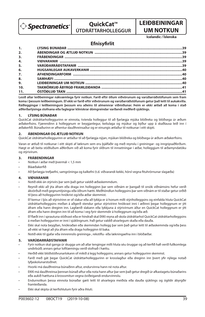

# **QuickCat™ ÚTDRÁTTARHOLLEGGUR**

# **LEIÐBEININGAR UM NOTKUN**

**Icelandic / Íslenska**

# **Efnisyfirlit**

| 2.               |  |
|------------------|--|
| 3.               |  |
| 4.               |  |
| 5 <sub>1</sub>   |  |
| 6.               |  |
| $\overline{z}$ . |  |
| 8.               |  |
| 9.               |  |
| 10.              |  |
| 11.              |  |

**Lesið allar leiðbeiningar nákvæmlega fyrir notkun. Farið eftir öllum viðvörunum og varúðarráðstöfunum sem fram koma í þessum leiðbeiningum. Ef ekki er farið eftir viðvörunum og varúðarráðstöfunum getur það leitt til aukakvilla. Ráðleggingar í leiðbeiningum þessum eru aðeins til almennrar viðmiðunar. Þeim er ekki ætlað að koma í stað aðferðarlýsinga stofnana eða faglegrar klínískrar dómgreindar varðandi meðferð sjúklings.**

## **1. LÝSING BÚNAÐAR**

QuickCat útdráttarholleggurinn er einnota, tvíenda holleggur til að fjarlægja mjúka blóðreka og blóðsega úr æðum æðakerfisins. Fjærendinn á holleggnum er beygjanlegur, keilulaga og mjúkur og býður upp á skaðlausa leið inn í æðaker ð. Búnaðurinn er afhentur dauðhreinsaður og er einungis ætlaður til notkunar í eitt skipti.

## **2. ÁBENDINGAR OG ÆTLUÐ NOTKUN**

QuickCat útdráttarholleggurinn er ætlaður til að fjarlægja nýjan, mjúkan blóðreka og blóðsega úr æðum æðaker fisins.

Varan er ætluð til notkunar í eitt skipti af læknum sem eru þjálfaðir og með reynslu í greiningar- og inngripsaðferðum. Hægt er að beita stöðluðum aðferðum við að koma fyrir slíðrum til innsetningar í æðar, holleggjum til æðamyndatöku og stýrivírum.

## **3. FRÁBENDINGAR**

- Notkun í æðar með þvermál < 1,5 mm
- **Bláæðakerfið**
- Að fjarlægja trefjaefni, samgróninga og kalkefni (t.d. viðvarandi kekki, hörsl vegna fituhrörnunar slagæða)

## **4. VIÐVARANIR**

- Notið ekki án stýrivírs þar sem það getur valdið æðaskemmdum.
- Reynið ekki að ýta áfram eða draga inn hollegginn þar sem viðnám er þangað til orsök viðnámsins hefur verið ákvörðuð með gegnumlýsingu eða öðrum hætti. Meðhöndlun holleggsins þar sem viðnám er til staðar getur orðið til þess að holleggurinn hnökrist og/eða æðar skemmist.
- Ef kemur í ljós að stýrivírinn er of slakur eða að lykkja er á honum milli stýriholleggsins og einfalda hluta QuickCat útdráttarholleggsins meðan á aðgerð stendur getur stýrivírinn hnökrast inni í æðinni þegar holleggnum er ýtt áfram eða hann dreginn inn. Lagfærið slakann eða lykkjuna á stýrivírnum áður en QuickCat holleggnum er ýtt áfram eða hann dreginn inn til að koma í veg fyrir skemmdir á holleggnum og/eða æð.
- Ef æði inn í sprautuna stöðvast eða er hindrað skal EKKI reyna að skola útdráttarhol QuickCat útdráttarholleggsins á meðan holleggurinn er inni í sjúklingnum. Það getur valdið alvarlegum skaða eða dauða.
- Ekki skal nota beygðan, hnökraðan eða skemmdan hollegg þar sem það getur leitt til æðaskemmda og/eða þess að ekki sé hægt að ýta áfram eða draga hollegginn til baka.
- Notið ekki til gjafar eða innrennslis greininga-, rekstíflu- eða lækningaefna inn í blóðæðar.

## **5. VARÚÐARRÁÐSTAFANIR**

- Fyrir notkun skal ganga úr skugga um að allar tengingar milli hluta séu öruggar og að kerfið hafi verið fullkomlega undirbúið; annars getur lofttæmingu verið stofnað í hættu.
- Herðið ekki blóðstöðvunarlokann of mikið á legg holleggsins; annars getur holleggurinn skemmst.
- Farið með gát þegar QuickCat útdráttarholleggurinn er krosslagður eða dreginn inn þvert yfir nýlega notað lyfjaskolunarstoðnet.
- Hvorki má dauðhreinsa búnaðinn aftur, endurvinna hann né nota aftur.
- EKKI má dauðhreinsa þennan búnað aftur eða nota hann aftur þar sem það getur dregið úr afkastagetu búnaðarins eða aukið hættuna á krosssmitun vegna óviðeigandi endurvinnslu.
- Endurnotkun þessa einnota búnaðar gæti leitt til alvarlegra meiðsla eða dauða sjúklings og ógildir ábyrgðir framleiðanda.
- Ekki skal skipta út kerfishlutum fyrir aðra íhluti.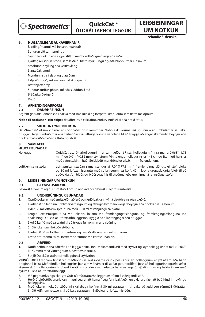

# **QuickCat™ ÚTDRÁTTARHOLLEGGUR**

## **UM NOTKUN Icelandic / Íslenska**

**LEIÐBEININGAR** 

## **6. HUGSANLEGAR AUKAVERKANIR**

- Blæðing/margúll við innsetningarstað
- Sundrun við samtengingu
- Skyndileg lokun eða algjör stíflun meðhöndlaðs græðlings eða æðar
- Fjarlæg rekstíflun hroða, sem leiðir til hættu fyrir lungu og/eða blóðþurrðar í útlimum
- Staðbundin sýking eða kerfissýking
- Slagæðakrampi
- Myndun fistils í slag- og bláæðum
- Lyfjaviðbrögð, aukaverkanir af skuggaefni
- Brátt hjartadrep
- Sundurskurður, götun, rof eða sköddun á æð
- Bráðaskurðaðgerð
- Dauði

## **7. AFHENDINGARFORM**

## **7.1 DAUÐHREINSUN**

Afgreitt geisladauðhreinsað í bakka með smelluloki og loftþétt í umbúðum sem fletta má opnum.

**Ætlað til notkunar í eitt skipti;** dauðhreinsið ekki aftur, endurvinnið ekki eða notið aftur.

## **7.2 SKOÐUN FYRIR NOTKUN**

Dauðhreinsað ef umbúðirnar eru óopnaðar og óskemmdar. Notið ekki vöruna leiki grunur á að umbúðirnar séu ekki öruggar. Þegar umbúðirnar eru fjarlægðar skal athuga vöruna vandlega til að tryggja að engar skemmdir, beygjur eða hnökrar hafi orðið meðan á flutningi stóð.

## **8. SAMHÆFI**

## **HLUTAR BÚNAÐAR**

Holleggur: QuickCat útdráttarholleggurinn er samhæfður 6F stýriholleggjum [innra mál ≥ 0,068" (1,73 mm)] og 0,014" (0,36 mm) stýrivírum. Vinnulengd holleggsins er 145 cm og fjærhluti hans er með vatnssækinni húð. Geislaþétt merkirönd er u.þ.b. 1 mm frá endanum.

Lofttæmisamstæða: Lofttæmisamstæðan samanstendur af 7,0" (177,8 mm) framlengingarslöngu, einstefnuloka og 30 ml lofttæmisprautu með stillanlegum læsikólfi. 40 míkrona gropasíukarfa fylgir til að auðvelda síun blóðs og blóðsegaefnis til skoðunar eða greiningar á rannsóknarstofu.

## **9. LEIÐBEININGAR UM NOTKUN**

#### **9.1 GEYMSLUSKILYRÐI**

Geymist á svölum og þurrum stað. Forðist langvarandi geymslu í björtu umhverfi.

## **9.2 UNDIRBÚNINGUR BÚNAÐAR**

- 1. Opnið pokann með smitsæfðri aðferð og færið bakkann yfir á dauðhreinsaða svæðið.
- 2. Fjarlægið hollegginn úr hlífðarvafningnum og athugið hvort einhverjar beygjur eða hnökrar séu á honum.
- 3. Fyllið 30 ml lofttæmisprautuna með 5-10 ml af venjulegu saltvatni.
- 4. Tengið lofttæmisprautuna við lokann, lokann við framlengingarslönguna og framlengingarslönguna við aðaleiningu QuickCat útdráttarholleggsins. Tryggið að allar tengingar séu öruggar.
- 5. Skolið kerfið með saltvatni til að trygga fullkominn undirbúning.
- 6. Snúið lokanum í lokuðu stöðuna.
- 7. Fjarlægið 30 ml lofttæmisprautuna og tæmið alla umfram saltupplausn.
- 8. Festið aftur tómu 30 ml lofttæmisprautuna við kerfisbúnaðinn.

## **9.3 AÐFERÐ**

- 1. Notið hefðbundna aðferð til að leggja holnál inn í viðkomandi æð með stýrivír og stýrihollegg (innra mál ≥ 0,068" [1,73 mm]) með viðtengdum blóðstöðvunarloka.
- Setjið QuickCat útdráttarhollegginn á stýrivírinn.

**VIÐVÖRUN:** Ef viðnám nnst við meðhöndlun skal ákvarða orsök þess áður en holleggnum er ýtt áfram eða hann dreginn til baka. Meðhöndlun holleggsins þar sem viðnám er til staðar getur orðið til þess að holleggurinn og/eða æðar skemmist. Ef holleggurinn hnökrast í notkun stendur skal fjarlægja hann varlega úr sjúklingnum og halda áfram með nýjum QuickCat útdráttarhollegg.

- 3. Við gegnumlýsingu skal ýta QuickCat útdráttarholleggnum áfram á viðeigandi stað.
- 4. Herðið blóðstöðvunarlokann nægilega til að koma í veg fyrir bakflæði, en ekki svo fast að það hindri hreyfingu<br>holleggsins.
- 5. Með lokann í lokuðu stöðunni skal draga kólfinn á 30 ml sprautunni til baka að æskilegu rúmmáli útdráttar. Snúið kólfinum réttsælis til að læsa sprautunni í viðeigandi lofttæmistöðu.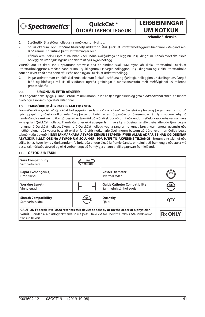

**QuickCat™ ÚTDRÁTTARHOLLEGGUR**

**UM NOTKUN Icelandic / Íslenska**

**LEIÐBEININGAR** 

- 6. Staðfestið rétta stöðu holleggsins með gegnumlýsingu.
- 7. Snúið lokanum í opnu stöðuna til að hefia útdráttinn. Ýtið QuickCat útdráttarholleggnum hægt inn í viðeigandi æð. Blóð kemur í sprautuna þar til lofttæming er búin.
- 8. Ef blóð kemur ekki í sprautuna innan 5 sekúndna skal fjarlæga hollegginn úr sjúklingnum. Annað hvort skal skola hollegginn utan sjúklingsins eða skipta út fyrir nýjan hollegg.

**VIÐVÖRUN:** IEf æði inn í sprautuna stöðvast eða er hindrað skal EKKI reyna að skola útdráttarhol QuickCat útdráttarholleggsins á meðan hann er inni í sjúklingnum. Fjarlægið hollegginn úr sjúklingnum og skolið útdráttarholið áður en reynt er að nota hann aftur eða notið nýjan QuickCat útdráttarhollegg.

9. Þegar útdrættinum er lokið skal snúa lokanum í lokuðu stöðuna og fjarlægja hollegginn úr sjúklingnum. Dregið blóð og blóðsega má sía til skoðunar og/eða greiningar á rannsóknarstofu með meðfylgjandi 40 míkrona gropasíukörfu.

#### **9.4 UMÖNNUN EFTIR AÐGERÐ**

Eftir aðgerðina skal fylgja sjúkrahússtöðlum um umönnun við að fjarlægja slíðrið og gefa blóðstöðvandi efni til að hindra blæðingu á innsetningarstað æðarinnar.

## **10. TAKMÖRKUÐ ÁBYRGÐ FRAMLEIÐANDA**

Framleiðandi ábyrgist að QuickCat holleggurinn sé laus við galla hvað varðar efni og frágang þegar varan er notuð fyrir uppgefinn "síðasta notkunardag" og þegar umbúðirnar eru óopnaðar og óskemmdar rétt fyrir notkun. Ábyrgð framleiðanda samkvæmt ábyrgð þessari er takmörkuð við að skipta vörunni eða endurgreiðslu kaupverðs vegna hvers kyns galla í QuickCat hollegg. Framleiðandi er ekki ábyrgur fyrir hvers kyns óbeinu, sérstöku eða afleiddu tjóni vegna notkunar á QuickCat hollegg. Skemmd á QuickCat hollegg vegna rangrar notkunar, breytingar, rangrar geymslu eða meðhöndlunar eða vegna þess að ekki er farið eftir notkunarleiðbeiningum þessum að öðru leyti mun ógilda þessa takmörkuðu ábyrgð. **ÞESSI TAKMARKAÐA ÁBYRGÐ KEMUR Í STAÐINN FYRIR ALLAR AÐRAR BEINAR OG ÓBEINAR ÁBYRGÐIR, Þ.M.T. ÓBEINA ÁBYRGÐ UM SÖLUHÆFI EÐA HÆFI TIL ÁKVEÐINS TILGANGS.** Engum einstaklingi eða aðila, þ.m.t. hvers kyns viðurkenndum fulltrúa eða endursöluaðila framleiðanda, er heimilt að framlengja eða auka við þessa takmörkuðu ábyrgð og ekki verður hægt að framfylgja tilraun til slíks gagnvart framleiðanda.

## **11. ÓSTÖÐLUÐ TÁKN**

| <b>Wire Compatibility</b><br>Samhæfni víra                                                                                                                                                                      | Max OD    |                                                                |                |
|-----------------------------------------------------------------------------------------------------------------------------------------------------------------------------------------------------------------|-----------|----------------------------------------------------------------|----------------|
| <b>Rapid Exchange(RX)</b><br>Hröð skipti                                                                                                                                                                        |           | <b>Vessel Diameter</b><br>Þvermál æðar                         | mm             |
| <b>Working Length</b><br>Vinnulengd                                                                                                                                                                             |           | <b>Guide Catheter Compatibility</b><br>Samhæfni stýriholleggja | GC             |
| <b>Sheath Compatibility</b><br>Samhæfni slíðra                                                                                                                                                                  | <u>sc</u> | Quantity<br>Fiöldi                                             | <b>OTY</b>     |
| CAUTION Federal: law (USA) restricts this device to sale by or on the order of a physician<br>VARÚĐ: Bandarísk alríkislög takmarka sölu á þessu tæki við sölu beint til læknis eða samkvæmt<br>tilvísun læknis. |           |                                                                | <b>Rx ONLY</b> |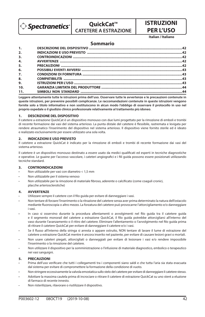

# **QuickCat™ CATETERE A ESTRAZIONE**

# **ISTRUZIONI PER L'USO**

**Italian / Italiano**

## **Sommario**

| 1.  |  |
|-----|--|
| 2.  |  |
| 3.  |  |
| 4.  |  |
| 5.  |  |
| 6.  |  |
| 7.  |  |
| 8.  |  |
| 9.  |  |
| 10. |  |
| 11. |  |

**Leggere attentamente tutte le istruzioni prima dell'uso. Osservare tutte le avvertenze e le precauzioni contenute in queste istruzioni, per prevenire possibili complicanze. Le raccomandazioni contenute in queste istruzioni vengono fornite solo a titolo informativo e non sostituiscono in alcun modo l'obbligo di osservare il protocollo in uso nel proprio ospedale o il giudizio clinico professionale relativamente al trattamento più idoneo**.

## **1. DESCRIZIONE DEL DISPOSITIVO**

Il catetere a estrazione QuickCat è un dispositivo monouso con due lumi progettato per la rimozione di emboli e trombi di recente formazione dai vasi del sistema arterioso. La punta distale del catetere è flessibile, rastremata e levigata per rendere atraumatico l'inserimento del dispositivo nel sistema arterioso. Il dispositivo viene fornito sterile ed è ideato e realizzato esclusivamente per essere utilizzato una sola volta.

## **2. INDICAZIONI E USO PREVISTO**

Il catetere a estrazione QuickCat è indicato per la rimozione di emboli e trombi di recente formazione dai vasi del sistema arterioso.

Il catetere è un dispositivo monouso destinato a essere usato da medici qualificati ed esperti in tecniche diagnostiche e operative. Le guaine per l'accesso vascolare, i cateteri angiografici e i fili guida possono essere posizionati utilizzando tecniche standard.

## **3. CONTROINDICAZIONI**

- Non utilizzabile per vasi con diametro < 1,5 mm
- Non utilizzabile per il sistema venoso
- Non utilizzabile per la rimozione di materiale fibroso, aderente o calcificato (come coaguli cronici, placche arteriosclerotiche)

## **4. AVVERTENZE**

- Utilizzare sempre il catetere con il filo guida per evitare di danneggiare i vasi.
- Non tentare di forzare l'inserimento o la ritrazione del catetere senza aver prima determinato la natura dell'ostacolo mediante fluoroscopia o altro mezzo. La forzatura del catetere può provocarne l'attorcigliamento e/o danneggiare i vasi.
- In caso si osservino durante la procedura allentamenti o avvolgimenti nel filo guida tra il catetere guida e il segmento monorail del catetere a estrazione QuickCat, il filo guida potrebbe attorcigliarsi all'interno del vaso durante l'avanzamento o il ritiro del catetere. Eliminare l'allentamento o l'avvolgimento nel filo guida prima di ritirare il catetere QuickCat per evitare di danneggiare il catetere e/o i vasi.
- Se il flusso all'interno della siringa si arresta o appare ostruito, NON tentare di lavare il lume di estrazione del catetere a estrazione QuickCat mentre è ancora inserito nel paziente, per evitare di causare lesioni gravi o mortali.
- Non usare cateteri piegati, attorcigliati o danneggiati per evitare di lesionare i vasi e/o rendere impossibile l'inserimento o la rimozione del catetere.
- Non utilizzare il dispositivo per la somministrazione o l'infusione di materiale diagnostico, embolico o terapeutico nei vasi sanguigni.

## **5. PRECAUZIONI**

- Prima dell'uso verificare che tutti i collegamenti tra i componenti siano saldi e che tutta l'aria sia stata evacuata dal sistema per evitare di compromettere la formazione della condizione di vuoto.
- Non stringere eccessivamente la valvola emostatica sullo stelo del catetere per evitare di danneggiare il catetere stesso.
- Adottare la massima cautela prima di incrociare o ritirare il catetere di estrazione QuickCat su uno stent a eluzione di farmaco di recente innesto.
- Non risterilizzare, rilavorare o riutilizzare il dispositivo.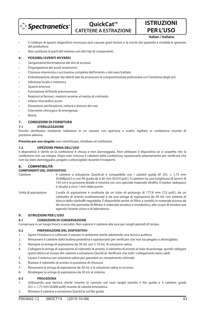

**QuickCat™ CATETERE A ESTRAZIONE** **ISTRUZIONI PER L'USO Italian / Italiano**

- Il riutilizzo di questo dispositivo monouso può causare gravi lesioni o la morte del paziente e invalida le garanzie del produttore.
- Non sostituire le parti del sistema con altri tipi di componenti.

## **6. POSSIBILI EVENTI AVVERSI**

- Sanguinamento/ematoma del sito di accesso
- Disgregazione dei punti anastomici
- Chiusura imprevista o occlusione completa dell'innesto o del vaso trattato
- Embolizzazione distale dei detriti tale da provocare la compromissione polmonare e/o l'ischemia degli arti
- Infezione locale o sistemica
- Spasmi arteriosi
- Formazione di fistole arteriovenose
- Reazioni ai farmaci, reazioni avverse al mezzo di contrasto
- Infarto miocardico acuto
- Dissezione, perforazione, rottura o lesione dei vasi
- Intervento chirurgico di emergenza
- Morte

## **7. CONDIZIONI DI FORNITURA**

### **7.1 STERILIZZAZIONE**

Fornito sterilizzato mediante radiazioni in un vassoio con apertura a scatto, sigillato in confezione munita di porzione adesiva.

**Previsto per uso singolo**; non risterilizzare, ritrattare né riutilizzare.

### **7.2 ISPEZIONE PRIMA DELL'USO**

Il dispositivo è sterile se la confezione è chiusa e non danneggiata. Non utilizzare il dispositivo se si sospetta che la confezione non sia integra. Dopo aver rimosso il catetere dalla confezione, ispezionarlo attentamente per verificare che non sia stato danneggiato, piegato o attorcigliato durante il trasporto.

## **8. COMPATIBILITÀ**

## **COMPONENTI DEL DISPOSITIVO**

- Catetere: Il catetere a estrazione QuickCat è compatibile con i cateteri guida 6F [D.I. ≥ 1,73 mm (0,068poll.)] e con li guida da 0,36 mm (0,014 poll.). Il catetere ha una lunghezza di lavoro di 145 cm e la porzione distale è rivestita con uno speciale materiale idrofilo. Il marker radiopaco è situato a circa 1 mm dalla punta.
- Unità di aspirazione: L'unità di aspirazione è costituita da un tubo di prolunga di 177,8 mm (7,0 poll.), da un rubinetto di arresto unidirezionale e da una siringa di aspirazione da 30 mL con sistema di blocco dello stantuffo regolabile. È disponibile anche un filtro a cestello in materiale poroso da 40 micron che permette di filtrare il materiale ematico e trombotico, allo scopo di rendere più agevole l'esame visivo o di laboratorio.

## **9. ISTRUZIONI PER L'USO**

#### **9.1 CONDIZIONI DI CONSERVAZIONE**

Conservare in un luogo fresco e asciutto. Non esporre il catetere alla luce per lunghi periodi di tempo.

#### **9.2 PREPARAZIONE DEL DISPOSITIVO**

- 1. Aprire l'involucro e collocare il vassoio in ambiente sterile adottando una tecnica asettica.
- 2. Rimuovere il catetere dalla bobina protettiva e ispezionarlo per verificare che non sia piegato o attorcigliato.
- 3. Riempire la siringa di aspirazione da 30 mL con 5-10 mL di soluzione salina.
- 4. Collegare la siringa di aspirazione al rubinetto di arresto, il rubinetto di arresto al tubo di prolunga, quindi collegare quest'ultimo al mozzo del catetere a estrazione QuickCat. Verificare che tutti i collegamenti siano saldi.
- 5. Lavare il sistema con soluzione salina per garantire un riempimento ottimale.
- 6. Ruotare il rubinetto di arresto in posizione di chiusura.
- 7. Rimuovere la siringa di aspirazione da 30 mL e la soluzione salina in eccesso.
- 8. Ricollegare la siringa di aspirazione da 30 mL al sistema.

## **9.3 PROCEDURA**

- 1. Utilizzando una tecnica sterile inserire la cannula nel vaso target tramite il filo guida e il catetere guida (D.I. ≥ 1,73 mm [0,068 poll]) munito di valvola emostatica.
- 2. Montare il catetere a estrazione QuickCat sul filo quida.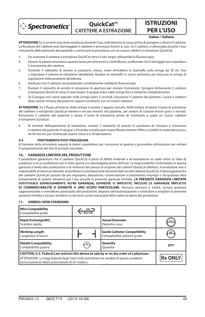

## **QuickCat™ CATETERE A ESTRAZIONE**

# **ISTRUZIONI PER L'USO**

**Italian / Italiano**

**ATTENZIONE:**Se si avverte una certa resistenza durante l'uso, individuarne la causa prima di spingere o ritrarre il catetere. La forzatura del catetere può danneggiare il catetere e provocare lesioni ai vasi. Se il catetere si attorciglia durante l'uso, rimuoverlo delicatamente dal paziente e continuare la procedura con un nuovo catetere a estrazione QuickCat.

- 3. Far avanzare il catetere a estrazione QuickCat verso il sito target utilizzando la fluoroscopia.
- 4. Serrare la valvola emostatica quanto basta per prevenire il controflusso, verificando che il serraggio non impedisca il movimento del catetere.
- 5. Tenendo il rubinetto di arresto in posizione chiusa, tirare all'indietro lo stantuffo sulla siringa da 30 mL fino a impostare il volume di estrazione desiderato. Ruotare lo stantuffo in senso antiorario per bloccare la siringa di aspirazione nella posizione desiderata.
- 6. Verificare che il catetere sia posizionato correttamente mediante fluoroscopia.
- 7. Ruotare il rubinetto di arresto in posizione di apertura per iniziare l'estrazione. Spingere lentamente il catetere a estrazione QuickCat verso il vaso target. Il sangue entra nella siringa fino a riempirla completamente.
- 8. Se il sangue non viene aspirato nella siringa entro 5 secondi, rimuovere il catetere dal paziente. Lavare il catetere dopo averlo rimosso dal paziente oppure sostituirlo con un nuovo catetere.

ATTENZIONE: Se il flusso all'interno della siringa si arresta o appare ostruito, NON tentare di lavare il lume di estrazione del catetere a estrazione QuickCat mentre è ancora inserito nel paziente, per evitare di causare lesioni gravi o mortali. Rimuovere il catetere dal paziente e lavare il lume di estrazione prima di riutilizzare o usare un nuovo catetere a estrazione QuickCat.

9. Al termine dell'operazione di estrazione, ruotare il rubinetto di arresto in posizione di chiusura e rimuovere il catetere dal paziente. Il sangue o il trombo estratto può essere filtrato tramite il filtro a cestello in materiale poroso da 40 micron per l'eventuale esame visivo e/o di laboratorio.

## **9.4 TRATTAMENTO POST-PROCEDURA**

Al termine della procedura seguire le prassi ospedaliere per rimuovere la guaina e provvedere all'emostasi per evitare il sanguinamento del sito di accesso vascolare.

## **10. GARANZIA LIMITATA DEL PRODUTTORE**

Il produttore garantisce che il catetere QuickCat è privo di difetti materiali e di lavorazione se usato entro la "data di scadenza" e se la confezione non è stata aperta e/o danneggiata prima dell'uso. La responsabilità contemplata in questa garanzia si limita alla sostituzione o al rimborso del prezzo di acquisto dei cateteri QuickCat difettosi. Il produttore non è responsabile di danni accidentali, straordinari o consequenziali derivanti dall'uso del catetere QuickCat. Il danneggiamento del catetere QuickCat causato da uso improprio, alterazione, conservazione o trattamento impropri o da qualsiasi altra inosservanza di queste istruzioni per l'uso annulla la presente garanzia limitata. **LA PRESENTE GARANZIA LIMITATA SOSTITUISCE ESPRESSAMENTE ALTRE GARANZIE, ESPRESSE O IMPLICITE, INCLUSE LE GARANZIE IMPLICITE DI COMMERCIABILITÀ O IDONEITÀ A UNO SCOPO PARTICOLARE.** Nessuna persona o entità, incluso qualsiasi rappresentante o rivenditore autorizzato del produttore, dispone dell'autorizzazione a estendere o ampliare la presente garanzia limitata e nessun tentativo in tal senso potrà mai essere fatto valere ai danni del produttore.

## **11. SIMBOLI NON STANDARD**

| <b>Wire Compatibility</b><br>Compatibilità quida                                                                                                                                                                                            | Max OD    |                                                                     |                |
|---------------------------------------------------------------------------------------------------------------------------------------------------------------------------------------------------------------------------------------------|-----------|---------------------------------------------------------------------|----------------|
| <b>Rapid Exchange(RX)</b><br>Scambio rapido                                                                                                                                                                                                 |           | <b>Vessel Diameter</b><br>Diametro vaso                             | mm             |
| <b>Working Length</b><br>Lunghezza di lavoro                                                                                                                                                                                                |           | <b>Guide Catheter Compatibility</b><br>Compatibilità catetere quida | GC             |
| <b>Sheath Compatibility</b><br>Compatibilità quaina                                                                                                                                                                                         | <u>sc</u> | Quantity<br>Ouantità                                                | <b>OTY</b>     |
| CAUTION: U.S. Federal Law restricts this device to sale by or on the order of a physician.<br>ATTENZIONE: Le leggi federali degli Stati Uniti autorizzano la vendita di questo prodotto<br>esclusivamente dietro prescrizione di un medico. |           |                                                                     | <b>Rx ONLY</b> |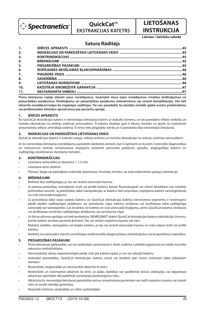

# **QuickCat™ EKSTRAKCIJAS KATETRS**

## **INSTRUKCIJA Latvian / latviešu valoda**

**LIETOŠANAS** 

## **Satura Rādītājs**

| 1.               |  |
|------------------|--|
| 2.               |  |
| 3 <sub>1</sub>   |  |
| 4.               |  |
| 5 <sub>1</sub>   |  |
| 6.               |  |
| $\overline{7}$ . |  |
| 8.               |  |
| 9.               |  |
| 10.              |  |
| 11.              |  |

**Pirms lietošanas rūpīgi izlasiet visus norādījumus. Ievērojiet visus šajos norādījumos minētos brīdinājumus un piesardzības pasākumus. Brīdinājumu un piesardzības pasākumu neievērošana var izraisīt komplikācijas. Visi šeit ietvertie norādījumi kalpo kā vispārējas vadlīnijas. Tie nav paredzēti, lai aizstātu iestādē spēkā esošos priekšrakstus vai profesionālos klīniskos apsvērumus par pacientu aprūpi.**

## **1. IERĪCES APRAKSTS**

Šis QuickCat ekstrakcijas katetrs ir vienreizējas lietošanas katetrs ar dubultu lūmenu, un tas paredzēts mīksto embolu un trombu ekstrakcijai no artēriju sistēmas asinsvadiem. Šī katetra distālais gals ir lokans, konisks un gluds, tā nodrošinot atraumatisku iekļuvi arteriālajā sistēmā. Šī ierīce tiek piegādāta sterila un ir paredzēta tikai vienreizējai lietošanai.

## **2. INDIKĀCIJAS UN PAREDZĒTAIS LIETOŠANAS VEIDS**

QuickCat ekstrakcijas katetrs ir indicēts svaigu, mīkstu embolu un trombu ekstrakcijai no artēriju sistēmas asinsvadiem.

Ar šo vienreizējas lietošanas izstrādājumu paredzēts darboties ārstiem, kuri ir apmācīti un kuriem ir pieredze diagnostikas un intervences metožu izmantošanā. Iespējams izmantot asinsvadu piekļuves apvalku, angiogrāfijas katetru un vadītājstīgu ievietošanas standarta metodes.

## **3. KONTRINDIKĀCIJAS**

- Lietošana asinsvados ar diametru < 1,5 mm
- Lietošana vēnu sistēmā
- Fibroza, lipīga vai pārkaļķota materiāla (piemēram, hronisku trombu vai arterosklerotisko pangu) ekstrakcija

### **4. BRĪDINĀJUMI**

- Nelietot bez vadītājstīgas, jo tas var izraisīt asinsvada traumu.
- Ja jūtama pretestība, nemēģiniet virzīt vai atvilkt katetru, kamēr fluoroskopiski vai citiem līdzekļiem nav noteikts pretestības iemesls. Ja pretestības laikā manipulācijas ar katetru tiek turpinātas, iespējama katetra samezglošanās un (vai) asinsvada bojājums.
- Ja procedūras laikā starp vadošo katetru un QuickCat ekstrakcijas katetra vienvirziena segmentu ir novērojams pārāk izteikts vadītājstīgas atslābums vai samešanās cilpā, katetra virzīšanas vai atvilkšanas laikā vadītājstīga asinsvadā var samezgloties. Lai izvairītos no katetra un (vai) asinsvada bojājuma, pirms QuickCat katetra virzīšanas vai atvilkšanas novērsiet vadītājstīgas atslābumu vai samešanos cilpā.
- Ja šļirces plūsma apstājas vai tiek ierobežota, NEMĒĢINIET skalot QuickCat ekstrakcijas katetra ekstrakcijas lūmenu, kamēr katetrs atrodas pacienta ķermenī. Tas var izraisīt nopietnu traumu vai nāvi.
- Nelietot saliektu, samezglotu vai bojātu katetru, jo tas var izraisīt asinsvada traumu un (vai) neļaut virzīt vai izvilkt katetru.
- Nelietot, lai asinsvados injicētu vai infūzijas veidā ievadītu diagnostiskus, embolizējošus vai terapeitiskus materiālus.

## **5. PIESARDZĪBAS PASĀKUMI**

- Pirms lietošanas pārbaudiet, vai visi sastāvdaļu savienojumi ir droši, sistēma ir pilnībā sagatavota un netiks traucēta vakuuma nodrošināšana.
- Hemostatisko vārstu nepieskrūvējiet pārāk cieši pie katetra spala, jo tas var sabojāt katetru.
- Ievērojiet piesardzību, QuickCat ekstrakcijas katetru virzot vai atvelkot pāri nesen izvērstam zāles izdalošam stentam.
- Nesterilizēt, neapstrādāt un neizmantot atkārtoti šo ierīci.
- Nesterilizēt un neizmantot atkārtoti šo ierīci, jo šādas darbības var pasliktināt ierīces veiktspēju vai nepareizas atkārtotas apstrādes dēļ palielināt savstarpēja piesārņojuma risku.
- Atkārtota šīs vienreizējai lietošanai paredzētās ierīces izmantošana pacientam var radīt nopietnu traumu vai izraisīt nāvi un anulē ražotāja garantijas.
- Neaizstāt sistēmas sastāvdaļas ar citām sastāvdaļām.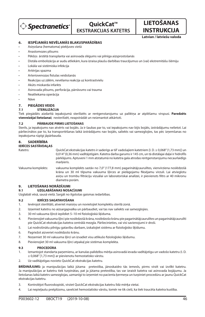

# **QuickCat™ EKSTRAKCIJAS KATETRS**

**INSTRUKCIJA Latvian / latviešu valoda**

**LIETOŠANAS** 

## **6. IESPĒJAMĀS NEVĒLAMĀS BLAKUSPARĀDĪBAS**

- Asiņošana (hematoma) piekļuves vietā
- Anastomozes plīsums
- Pēkšņs ārstētā transplanta vai asinsvada slēgums vai pilnīga aizsprostošanās
- Distāla embolizācija ar audu atliekām, kura izraisa plaušu darbības traucējumus un (vai) ekstremitāšu išēmiju
- Lokāla vai sistēmiska infekcija
- Artērijas spazma
- Arteriovenozas fistulas veidošanās
- Reakcijas uz zālēm, nevēlama reakcija uz kontrastvielu
- Akūts miokarda infarkts
- Asinsvada plīsums, perforācija, pārrāvums vai trauma
- Neatliekama operācija
- Nāve

## **7. PIEGĀDES VEIDS**

## **7.1 STERILIZĀCIJA**

Tiek piegādāts aizdarītā iepakojumā sterilizēts ar rentgenstarojumu uz paliktņa ar atplēšamu virspusi. **Paredzēts vienreizējai lietošanai**; nesterilizēt, neapstrādāt un neizmantot atkārtoti.

### **7.2 PĀRBAUDE PIRMS LIETOŠANAS**

Sterils, ja iepakojums nav atvērts vai bojāts. Ja ir šaubas par to, vai iepakojums nav bijis bojāts, izstrādājumu nelietot. Lai pārliecinātos par to, ka transportēšanas laikā izstrādājums nav bojāts, saliekts vai samezglojies, tas pēc izņemšanas no iepakojuma rūpīgi jāpārbauda.

### **8. SADERĪBĪBA**

## **IERĪCES SASTĀVDAĻAS**

Katetrs: QuickCat ekstrakcijas katetrs ir saderīgs ar 6F vadošajiem katetriem [I. D. ≥ 0,068" (1,73 mm)] un 0,014" (0,36 mm) vadītājstīgām. Katetra darba garums ir 145 cm, un tā distālajai daļai ir hidrofīls pārklājums. Aptuveni 1 mm atstatumā no katetra gala atrodas rentgenstarojumu necaurlaidīgs markieris.

Vakuuma komplekts: vakuuma komplekts sastāv no 7,0" (177,8 mm) pagarinātājcaurulītes, vienvirziena noslēdzošā krāna un 30 ml tilpuma vakuuma šļirces ar pielāgojamu fiksējamu virzuli. Lai atvieglotu asiņu un trombu filtrāciju vizuālai un laboratoriskai analīzei, ir pievienots filtrs ar 40 mikronu diametra porām.

## **9. LIETOŠANAS NORĀDĪJUMI**

## **9.1 UZGLABĀŠANAS NOSACĪJUMI**

Uzglabāt vēsā, sausā vietā. Sargāt no ilgstošas gaismas iedarbības.

## **9.2 IERĪCES SAGATAVOŠANA**

- 1. Ievērojot sterilitāti, atveriet maisiņu un novietojiet komplektu sterilā zonā.
- 2. Izņemiet katetru no aizsargapvalka un pārbaudiet, vai tas nav saliekts vai samezglojies.
- 3. 30 ml vakuuma šļircē iepildiet 5-10 ml fizioloģiskā šķīduma.
- 4. Pievienojiet vakuuma šļirci pie noslēdzošā krāna, noslēdzošo krānu pie pagarinātājcaurulītes un pagarinātājcaurulīti pie QuickCat ekstrakcijas katetra centrālā mezgla. Pārliecinieties, vai visi savienojumi ir droši.
- 5. Lai nodrošinātu pilnīgu gatavību darbam, izskalojiet sistēmu ar fizioloģisko šķīdumu.
- 6. Pagriežot aizveriet noslēdzošo krānu.
- 7. Noņemiet 30 ml vakuuma šļirci un izvadiet visu atlikušo fizioloģisko šķīdumu.
- 8. Pievienojiet 30 ml vakuuma šļirci atpakaļ pie sistēmas komplekta.

### **9.3 PROCEDŪRA**

- 1. Izmantojot standarta paņemienu, ar kanulas palīdzību mērķa asinsvadā ievada vadītājstīgu un vadošo katetru (I. D. ≥ 0,068" [1,73 mm]) ar pievienotu hemostatisko vārstu.
- 2. Uz vadītājstīgas novieto QuickCat ekstrakcijas katetru.

**BRĪDINĀJUMS:** ja manipulācijas laikā jūtama pretestība, jānoskaidro tās iemesls, pirms virzīt vai izvilkt katetru. Ja manipulācijas ar katetru tiek turpinātas, pat ja jūtama pretestība, tas var izraisīt katetra vai asinsvada bojājumu. Ja lietošanas laikā katetrs samezglojas, uzmanīgi to izņemiet no pacienta ķermeņa un turpiniet procedūru ar jaunu QuickCat ekstrakcijas katetru.

- 3. Kontrolējot fluoroskopiski, virziet QuickCat ekstrakcijas katetru līdz mērķa vietai.
- 4. Lai nepieļautu pretplūsmu, savelciet hemostatisko vārstu, tomēr ne tik cieši, ka tiek traucēta katetra kustība.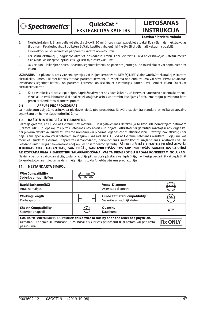

**QuickCat™ EKSTRAKCIJAS KATETRS**

**LIETOŠANAS INSTRUKCIJA**

**Latvian / latviešu valoda**

## 5. Noslēdzošajam krānam paliekot slēgtā stāvoklī, 30 ml šļirces virzuli pavelciet atpakaļ līdz vēlamajam ekstrakcijas tilpumam. Pagrieziet virzuli pulksteņrādītāju kustības virzienā, lai ksētu šļirci vēlamajā vakuuma pozīcijā.

- 6. Fluoroskopiski pārliecinieties par pareizu katetra novietojumu.
- 7. Lai sāktu ekstrakciju, pagriežot atveriet noslēdzošo krānu. Lēni ievirziet QuickCat ekstrakcijas katetru mērķa asinsvadā. Asinis šļircē ieplūdīs tik ilgi, līdz tajā izsīks vakuums.
- 8. Ja 5 sekunžu laikā šļircē neieplūst asinis, izņemiet katetru no pacienta ķermeņa. Tad to izskalojiet vai nomainiet pret jaunu.

**UZMANĪBU!** Ja plūsma šļirces virzienā apstājas vai ir kļūst ierobežota, NEMĒĢINIET skalot QuickCat ekstrakcijas katetra ekstrakcijas lūmenu, kamēr katetrs atrodas pacienta ķermenī. Ir iespējama nopietna trauma vai nāve. Pirms atkārtotas ievadīšanas iznemiet katetru no pacienta kermena un izskalojiet ekstrakcijas lūmenu vai lietojiet jaunu QuickCat ekstrakcijas katetru.

9. Kad ekstrakcijas process ir pabeigts, pagriežot aizveriet noslēdzošo krānu un izņemiet katetru no pacienta ķermeņa. Vizuālai un (vai) laboratoriskai analīzei ekstraģētās asinis un trombu iespējams filtrēt, izmantojot pievienoto filtra grozu ar 40 mikronu diametra porām.

#### **9.4 APRŪPE PĒC PROCEDŪRAS**

Lai nepieļautu asiņošanu asinsvada piekļuves vietā, pēc procedūras jāievēro stacionāra standarti attiecībā uz apvalku izņemšanu un hemostāzes nodrošināšanu.

### **10. RAŽOTĀJA IEROBEŽOTĀ GARANTIJA**

Ražotājs garantē, ka QuickCat Extreme nav materiālu un izgatavošanas defektu, ja to lieto līdz norādītajam datumam ("Izlietot līdz") un iepakojums pirms lietošanas nav atvērts un bojāts. Atbilstoši šai garantijai ražotājs ir atbildīgs tikai par jebkura defektīva QuickCat Extreme nomaiņu vai pirkuma iegādes cenas atlīdzināšanu. Ražotājs nav atbildīgs par nejaušiem, speciāliem vai izrietošiem zaudējumu, kas radušies QuickCat Extreme lietošanas rezultātā. Bojājumi, kas radušies QuickCat Extreme nepareizas izmantošanas, pārveidošanas, neatbilstošas uzglabāšanas, apstrādes vai šīs lietošanas instrukcijas neievērošanas dēļ, anulēs šo ierobežoto garantiju. **ŠĪ IEROBEŽOTĀ GARANTIJA PILNĪBĀ AIZSTĀJ JEBKURAS CITAS GARANTIJAS, GAN TIEŠĀS, GAN IZRIETOŠĀS, TOSTARP IZRIETOŠĀS GARANTIJAS SAISTĪBĀ AR IZSTRĀDĀJUMA PIEMĒROTĪBU TĀLĀKPĀRDOŠANAI VAI TĀ PIEMĒROTĪBU KĀDAM KONKRĒTAM NOLŪKAM**. Neviena persona vai organizācija, tostarp ražotāja pilnvarotais pārstāvis vai izplatītājs, nav tiesīgs pagarināt vai paplašināt šo ierobežoto garantiju, un neviens mēģinājums to darīt nebūs vēršams pret ražotāju.

#### **Wire Compatibility**  $\frac{GW}{Max OD}$ Saderība ar vadītājstīgu **Rapid Exchange(RX) Vessel Diameter** Ātrās nomaiņas Asinsvada diametrs **Working Length Guide Catheter Compatibility** Saderība ar vadītājkatetru Darba garums **Sheath Compatibility Quantity**  $sc$ Daudzums **QTY** Saderība ar apvalku **CAUTION: Federal law (USA) restricts this device to sale by or on the order of a physician.** Uzmanību! Federālā likumdošana (ASV) nosaka šīs ierīces pārdošanu tikai ārstam vai pēc ārsta **Rx ONLY** pasūtījuma.

#### **11. NESTANDARTA SIMBOLI**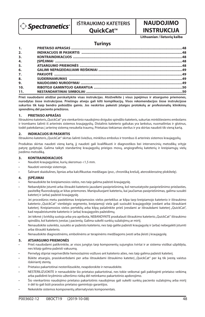

# **IŠTRAUKIMO KATETERIS**

## **OuickCat™**

# **NAUDOJIMO INSTRUKCIJA**

## **Lithuanian / lietuvių kalba**

## **Turinys**

| 1.111 |  |
|-------|--|
| 2.    |  |
| 3.    |  |
| 4.    |  |
| 5.    |  |
| 6.    |  |
| 7.    |  |
| 8.    |  |
| 9.    |  |
| 10.   |  |
| 11.   |  |

**Prieš naudodami atidžiai perskaitykite visas instrukcijas. Atsižvelkite į visus įspėjimus ir atsargumo priemones, nurodytas šiose instrukcijose. Priešingu atveju gali kilti komplikacijų. Visos rekomendacijos šiose instrukcijose sukurtos tik kaip bendro pobūdžio gairės. Jos neskirtos pakeisti įstaigos protokolų ar profesionalių klinikinių sprendimų dėl paciento priežiūros.**

## **1. PRIETAISO APRAŠAS**

Ištraukimo kateteris "QuickCat" yra vienkartinio naudojimo dvigubo spindžio kateteris, sukurtas minkštiesiems embolams ir trombams šalinti iš arterinės sistemos kraujagyslių. Distalinis kateterio galiukas yra lankstus, nusmailintas ir glotnus, todėl patekdamas į arterinę sistemą nesukelia traumų. Prietaisas tiekiamas sterilus ir yra skirtas naudoti tik vieną kartą.

## **2. INDIKACIJOS IR PASKIRTIS**

Ištraukimo kateteris "QuickCat" skirtas šalinti šviežius, minkštus embolus ir trombus iš arterinės sistemos kraujagyslių.

Produktas skirtas naudoti viena karta, jį naudoti gali kvalifikuoti ir diagnostikos bei intervenciniu metodiku sritvie patyrę gydytojai. Galima taikyti standartinę kraujagyslių prieigos movų, angiografinių kateterių ir kreipiamųjų vielų įvedimo metodiką.

## **3. KONTRAINDIKACIJOS**

- Naudoti kraujagyslėse, kurių skersmuo <1,5 mm.
- Naudoti veninėje sistemoje.
- Šalinant skaidulines, lipnias arba kalcifikuotas medžiagas (pvz., chronišką krešulį, aterosklerozinę plokštelę).

## **4. ĮSPĖJIMAI**

- Nenaudokite be kreipiamosios vielos, nes taip galima pažeisti kraujagyslę.
- Nebandykite įstumti arba ištraukti kateterio jausdami pasipriešinimą, kol nenustatysite pasipriešinimo priežasties, pasitelkę fluoroskopiją ar kitas priemones. Manipuliuojant kateteriu, kai jaučiamas pasipriešinimas, galima susukti kateterį ir (arba) pažeisti kraujagyslę.
- Jei procedūros metu pastebimas kreipiamosios vielos perteklius ar kilpa tarp kreipiamojo kateterio ir ištraukimo kateterio "QuickCat" vienbėgio segmento, kreipiamoji viela gali susisukti kraujagyslėje įvedant arba ištraukiant kateterį. Kreipiamosios vielos perteklių arba kilpą pašalinkite prieš įvesdami ar ištraukdami kateterį "QuickCat", kad nepažeistumėte kateterio ir (arba) kraujagyslės pažeidimų.
- Jei tėkmė į švirkštą sustoja arba yra apribota, NEBANDYKITE praskalauti ištraukimo kateterio "QuickCat" ištraukimo spindžio, kol kateteris įvestas į pacientą. Galima sukelti sunkių sužalojimų ar mirtį.
- Nenaudokite sulenkto, susukto ar pažeisto kateterio, nes taip galite pažeisti kraujagyslę ir (arba) nebegalėti įstumti arba ištraukti kateterio.
- Nenaudokite diagnostinėms, embolinėms ar terapinėms medžiagoms įvesti arba įleisti į kraujagyslę.

## **5. ATSARGUMO PRIEMONĖS**

- Prieš naudodami patikrinkite, ar visos jungtys tarp komponentų sujungtos tvirtai ir ar sistema visiškai užpildyta, nes kitaip galima pažeisti vakuumą.
- Pernelyg stipriai nepriveržkite hemostazinio vožtuvo ant kateterio ašies, nes taip galima pažeisti kateterį.
- Būkite atsargūs, prasiskverbdami per arba ištraukdami ištraukimo kateterį "QuickCat" per ką tik įvestą vaistus išskiriantį stentą.
- Prietaiso pakartotinai nesterilizuokite, neapdorokite ir nenaudokite.
- NESTERILIZUOKITE ir nenaudokite šio prietaiso pakartotinai, nes tokie veiksmai gali pabloginti prietaiso veikimą arba padidinti kryžminio užteršimo riziką dėl netinkamo pakartotinio apdorojimo.
- Šio vienkartinio naudojimo prietaiso pakartotinis naudojimas gali sukelti sunkių paciento sužalojimų arba mirtį ir dėl to gali būti prarastos prietaiso gamintojo garantijos.
- Nekeiskite sistemos komponentų alternatyviais komponentais.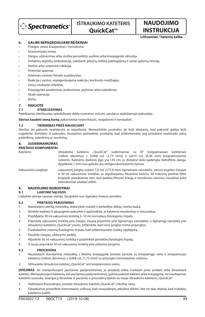

**INSTRUKCIJA**

**NAUDOJIMO** 

**Lithuanian / lietuvių kalba**

## **6. GALIMI NEPAGEIDAUJAMI REIŠKINIAI**

- Prieigos vietos kraujavimas / hematoma.
- Anastomozės irimas.
- Staigus užsivėrimas arba visiška persodinto audinio arba kraujagyslės okliuzija.
- Distalinių atplaišų embolizacija, sukelianti plaučių veiklos pablogėjimą ir (arba) galūnių išemiją.
- Vietinė arba sisteminė infekcija.
- Arteriniai spazmai.
- Arterinės-veninės fistulės susidarymas.
- Reakcija į vaistus, nepageidaujama reakcija į kontrasto medžiagas.
- Ūmus miokardo infarktas.
- Kraujagyslės pradūrimas, prakiurimas, plyšimas arba sužeidimas.
- Skubi operacija.
- Mirtis.

## **7. PAKUOTĖ**

## **7.1 STERILIZAVIMAS**

Pateikiamas sterilizuotas spinduliuote dėkle nuimamu viršumi, sandarus atplėšiamoje pakuotėje.

**Skirtas naudoti vieną kartą**; pakartotinai nesterilizuoti, neapdoroti ir nenaudoti.

## **7.2 TIKRINIMAS PRIEŠ NAUDOJANT**

Sterilus, jei pakuotė neatidaryta ar nepažeista. Nenaudokite produkto, jei kyla abejonių, kad pakuotė galėjo būti sugadinta. Išimdami iš pakuotės, kruopščiai apžiūrėkite produktą, kad įsitikintumėte, jog pristatant neatsirado jokių pažeidimų, sulenkimų ar susukimų.

## **8. SUDERINAMUMAS**

## **PRIETAISO KOMPONENTAI**

Kateteris: ištraukimo kateteris "QuickCat" suderinamas su 6F kreipiamaisiais kateteriais [vidinis skersmuo  $\geq 0.068$  col. (1,73 mm)] ir 0,014 col. (0,36 mm) kreipiamosiomis vielomis. Kateterio darbinis ilgis yra 145 cm, jo distalinė dalis padengta hidrofiline danga. Apytiksliai 1 mm nuo galiuko yra rentgenokontrastinis žymuo.

Vakuuminis junginys: vakuuminį junginį sudaro 7,0 col. (177,8 mm) ilginamasis vamzdelis, vienos krypties čiaupas ir 30 ml vakuuminis švirkštas su reguliuojamu fiksavimo kaiščiu. 40 mikronų porėtas filtro krepšelis pateikiamas tam, kad padėtų filtruoti kraują ir trombinius darinius vizualinei arba laboratorinei analizei atlikti.

## **9. NAUDOJIMO NURODYMAI**

## **9.1 LAIKYMO SĄLYGOS**

Laikykite vėsioje sausoje vietoje. Saugokite nuo ilgalaikio šviesos poveikio.

#### **9.2 PRIETAISO PARUOŠIMAS**

- 1. Naudodami sterilią metodiką, atidarykite maišelį ir perkelkite dėklą į sterilų lauką.
- 2. Išimkite kateterį iš apsauginės pakuotės ir apžiūrėkite, ar kateteris nesulenktas ir nesusuktas.
- 3. Pripildykite 30 ml vakuuminį švirkštą 5-10 ml normalaus fiziologinio tirpalo.
- 4. Prijunkite vakuuminį švirkštą prie čiaupo, čiaupą prijunkite prie ilginamojo vamzdelio, o ilginamąjį vamzdelį prie ištraukimo kateterio "QuickCat" įvorės. Įsitikinkite, kad visos jungtys tvirtai prijungtos.
- 5. Praskalaukite sistemą fiziologiniu tirpalu, kad užtikrintumėte visišką užpildymą.
- 6. Pasukite čiaupą į uždarymo padėtį.
- 7. Atjunkite 30 ml vakuuminį švirkštą ir pašalinkite perteklinį fiziologinį tirpalą.
- 8. Iš naujo prijunkite 30 ml vakuuminį švirkštą prie sistemos junginio.

#### **9.3 PROCEDŪRA**

- 1. Naudodami standartinę metodiką, į tikslinę kraujagyslę įveskite kaniulę su kreipiamąja viela ir kreipiamuoju kateteriu (vidinis skersmuo ≥ 0,068 col. [1,73 mm]) su prijungtu hemostaziniu vožtuvu.
- 2. Užmaukite ištraukimo kateterį "QuickCat" ant kreipiamosios vielos.

**ĮSPĖJIMAS.** Jei manipuliuojant jaučiamas pasipriešinimas, jo priežastį reikia nustatyti prieš įvedant arba ištraukiant kateterį. Manipuliuojant kateteriu, kai jaučiamas pasipriešinimas, galima pažeisti kateterį arba kraujagyslę. Jei naudojamas kateteris susisuka, atsargiai jį ištraukite iš paciento ir procedūrą tęskite su nauju ištraukimo kateteriu "QuickCat".

- 3. Stebėdami fluoroskopu, įveskite ištraukimo kateterį "QuickCat" į tikslinę vietą.
- 4. Pakankamai priveržkite hemostazinį vožtuvą, kad nesusidarytų atbulinė tėkmė, bet ne taip stipriai, kad trukdytų kateteriui judėti.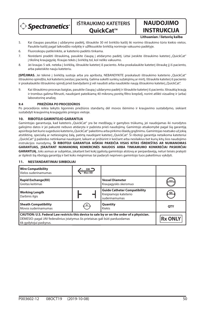

# **INSTRUKCIJA**

**NAUDOJIMO** 

## **Lithuanian / lietuvių kalba**

- 5. Kai čiaupas pasuktas į uždarymo padėtį, ištraukite 30 ml švirkšto kaištį iki norimo ištraukimo tūrio kiekio vietos. Pasukite kaištį pagal laikrodžio rodyklę ir užfiksuokite švirkštą norimoje vakuumo padėtyje.
- 6. Fluoroskopu patikrinkite, ar kateterio padėtis tinkama.
- 7. Norėdami pradėti ištraukimą, pasukite čiaupą į atidarymo padėtį. Lėtai įveskite ištraukimo kateterį "QuickCat" į tikslinę kraujagyslę. Kraujas tekės į švirkštą tol, kol neliks vakuumo.
- 8. Jei kraujas 5 sek. neteka į švirkštą, ištraukite kateterį iš paciento. Arba praskalaukite kateterį ištraukę jį iš paciento, arba pakeiskite nauju kateteriu.

**ĮSPĖJIMAS.** Jei tėkmė į švirkštą sustoja arba yra apribota, NEBANDYKITE praskalauti ištraukimo kateterio "QuickCat" ištraukimo spindžio, kol kateteris įvestas į pacientą. Galima sukelti sunkių sužalojimų ar mirtį. Ištraukite kateterį iš paciento ir praskalaukite ištraukimo spindį prieš bandydami jį vėl naudoti arba naudokite naują ištraukimo kateterį "QuickCat".

9. Kai ištraukimo procesas baigtas, pasukite čiaupą į uždarymo padėtį ir ištraukite kateterį iš paciento. Ištrauktą kraują ir trombus galima filtruoti, naudojant pateikiamą 40 mikronų porėtą filtro krepšelį, norint atlikti vizualinę ir (arba) laboratorinę analizę.

## **9.4 PRIEŽIŪRA PO PROCEDŪROS**

Po procedūros reikia laikytis ligoninės priežiūros standartų dėl movos išėmimo ir kraujavimo sustabdymo, siekiant sustabdyti kraujavimą kraujagyslės prieigos vietoje.

## **10. RIBOTOJI GAMINTOJO GARANTIJA**

Gamintojas garantuoja, kad kateteris "QuickCat" yra be medžiagų ir gamybos trūkumų, jei naudojamas iki nurodytos galiojimo datos ir jei pakuotė nebuvo atidaryta ir pažeista prieš naudojimą. Gamintojo atsakomybė pagal šią garantiją apsiriboja bet kurio sugedusio kateterio"QuickCat" pakeitimu arba pirkimo išlaidų grąžinimu. Gamintojas neatsako už jokią atsitiktinę, specialią ar netiesioginę žalą, patirtą naudojant kateterį "QuickCat". Ši ribotoji garantija netaikoma kateteriui "QuickCat" jį pažeidus netinkamai naudojant, laikant ar prižiūrint ir keičiant arba nesilaikius bet kurių kitų šios naudojimo instrukcijos nurodymų. **ŠI RIBOTOJI GARANTIJA AIŠKIAI PAKEIČIA VISAS KITAS IŠREIKŠTAS AR NUMANOMAS GARANTIJAS, ĮSKAITANT NUMANOMĄ KOMERCINĖS NAUDOS ARBA TINKAMUMO KONKREČIAI PASKIRČIAI GARANTIJĄ.** Joks asmuo ar subjektas, įskaitant bet kokį įgaliotą gamintojo atstovą ar perpardavėją, neturi teisės pratęsti ar išplėsti šią ribotąją garantiją ir bet koks mėginimas tai padaryti neprivers gamintojo tuos pakeitimus vykdyti.

## **11. NESTANDARTINIAI SIMBOLIAI**

| <b>Wire Compatibility</b><br>Vielos suderinamumas                                                                                                                                                       | GW "<br>Max OD |                                                                               |                |
|---------------------------------------------------------------------------------------------------------------------------------------------------------------------------------------------------------|----------------|-------------------------------------------------------------------------------|----------------|
| <b>Rapid Exchange(RX)</b><br>Greitas keitimas                                                                                                                                                           |                | <b>Vessel Diameter</b><br>Kraujagyslės skersmuo                               | mm             |
| <b>Working Length</b><br>Darbinis ilgis                                                                                                                                                                 |                | <b>Guide Catheter Compatibility</b><br>Kreipiamojo kateterio<br>suderinamumas | GC             |
| <b>Sheath Compatibility</b><br>Movos suderinamumas                                                                                                                                                      | SC             | Quantity<br><b>Kiekis</b>                                                     | QTY            |
| CAUTION: U.S. Federal Law restricts this device to sale by or on the order of a physician.<br>DĖMESIO: pagal JAV federalinius įstatymus šis prietaisas gali būti parduodamas<br>tik gydytojui paskyrus. |                |                                                                               | <b>Rx ONLY</b> |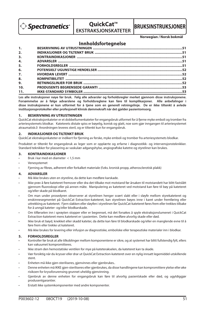

## **OuickCat™ EKSTRAKSJONSKATETER**



**Norwegian / Norsk bokmål**

## **Innholdsfortegnelse**

| 1.  |  |
|-----|--|
| 2.  |  |
| 3.  |  |
| 4.  |  |
| 5.  |  |
| 6.  |  |
| 7.  |  |
| 8.  |  |
| 9.  |  |
| 10. |  |
| 11. |  |

**Les alle instruksjoner nøye før bruk. Følg alle advarsler og forholdsregler merket gjennom disse instruksjonene. Forsømmelse av å følge advarslene og forholdsreglene kan føre til komplikasjoner. Alle anbefalinger i disse instruksjonene er kun utformet for å tjene som en generell retningslinje. De er ikke tiltenkt å avlede institusjonsprotokoller eller profesjonell klinisk dømmekraft når det gjelder pasientomsorg.**

## **1. BESKRIVNING AV UTRUSTNINGEN**

QuickCat ekstraksjonkateter er et dobbellumenkateter for engangsbruk utformet for å fjerne myke emboli og tromber fra arteriesystemets blodkar. Kateterets distale spiss er bøyelig, konisk og glatt, noe som gjør inngangen til arteriesystemet atraumatisk.0 Anordningen leveres steril, og er tiltenkt kun for engangsbruk.

## **2. INDIKASJONER OG TILTENKT BRUK**

QuickCat ekstraksjonkateter er indikert for fjerning av ferske, myke emboli og tromber fra arteriesystemets blodkar.

Produktet er tiltenkt for engangsbruk av leger som er opplærte og erfarne i diagnostikk- og intervensjonsteknikker. Standard teknikker for plassering av vaskulær adgangshylse, angiografiske katetre og styreliner kan brukes.

### **3. KONTRAINDIKASJONER**

- Bruk i kar med en diameter < 1,5 mm
- Venesystemet
- Fjerning av fibrøs, adherent eller forkalket materiale (f.eks. kronisk propp, atherosclerotisk plakk)

#### **4. ADVARSLER**

- Må ikke brukes uten en styreline, da dette kan medføre karskade.
- Ikke prøv å føre kateteret fremover eller dra det tilbake mot motstand før årsaken til motstandett har blitt fastslått gjennom fluoroskopi eller på annen måte. Manipulering av kateteret ved motstand kan føre til bøy på kateteret og/eller skade på blodkaret.
- Om man under prosedyren observerer at styrelinen henger svært slakt eller i sløyfe mellom styrekateteret og enskinnesegmentet på QuickCat Extraction-kateteret, kan styrelinen bøyes inne i karet under fremføring eller uttrekking av kateteret. Fjern slakken eller sløyfen i styrelinen før QuickCat-kateteret føres frem eller trekkes tilbake for å unngå kateter- og/eller blodkarskade.
- Om tilførselen inn i sprøyten stopper eller er begrenset, må det forsøkes å spyle ekstraksjonslumenet i QuickCat Extraction-kateteret mens kateteret er i pasienten. Dette kan medføre alvorlig skade eller død.
- Ikke bruk et bøyd, knekket eller skadd kateter, da dette kan føre til blodkarskade og/eller en manglende evne til å føre frem eller trekke ut kateteret.
- Må ikke brukes for levering eller infusjon av diagnostiske, emboliske eller terapeutiske materialer inn i blodkar.

#### **5. FORHOLDSREGLER**

- Kontroller før bruk at alle tilkoblinger mellom komponentene er sikre, og at systemet har blitt fullstendig fylt, ellers kan vakuumet kompromitteres.
- Ikke stram den hemostatiske ventilen for mye på kateterakselen, da kateteret kan ta skade.
- Vær forsiktig når du krysser eller drar ut QuickCat Extraction-kateteret over en nylig innsatt legemiddel-utskillende stent.
- Enheten må ikke gjen-steriliseres, gjenvinnes eller gjenbrukes..
- Denne enheten må IKKE gjen-steriliseres eller gjenbrukes, da disse handlingene kan kompromittere ytelse eller øke risikoen for kryssforurensing grunnet uheldig gjenvinning.
- Gjenbruk av denne enheten for engangsbruk kan føre til alvorlig pasientskade eller død, og ugyldiggjør produsentgarantier.
- Erstatt ikke systemkomponenter med andre komponenter.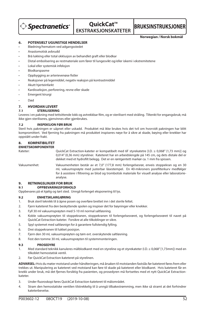**Spectranetics** 

## **QuickCat™ EKSTRAKSJONSKATETER**

**BRUKSINSTRUKSJONER**

**Norwegian / Norsk bokmål**

## **6. POTENSIELT UGUNSTIGE HENDELSER**

- Blødning/hematom ved adgangsstedet
- Anastomotisk avbrudd
- Brå lukking eller total okklusjon av behandlet graft eller blodkar
- Distal embolisering av restmateriale som fører til lungesvikt og/eller iskemi i ekstremitetene
- Lokal eller systemisk infeksjon
- Blodkarspasme
- Oppbygging av arterievenøse fistler
- Reaksjoner på legemiddel, negativ reaksjon på kontrastmiddel
- Akutt hjerteinfarkt
- Kardisseksjon, perforering, revne eller skade
- Emergent kirurgi
- Død

## **7. HVORDAN LEVERT**

## **7.1 STERILISERING**

Leveres i en pakning med tettsittende lokk og avtrekkbar film, og er sterilisert med stråling. Tiltenkt for engangsbruk; må ikke gjen-steriliseres, gjenvinnes eller gjenbrukes.

## **7.2 INSPEKSJON FØR BRUK**

Steril hvis pakningen er uåpnet eller uskadd. Produktet må ikke brukes hvis det tvil om hvorvidt pakningen har blitt kompromittert. Ved fjerning fra pakningen må produktet inspiseres nøye for å sikre at skade, bøying eller knekker har oppstått under frakt.

## **8. KOMPATIBILITET**

## **ENHETSKOMPONENTER**

Kateter: QuickCat Extraction-kateter er kompatibelt med 6F styrekatetre [I.D. ≥ 0,068" (1,73 mm)] og 0,014" (0,36 mm) styreliner. Kateteret har en arbeidslengde på 145 cm, og dets distale del er dekket med et hydrofilt belegg. Det er en røntgentett markør ca. 1 mm fra spissen.

Vakuumenhet: Vakuumenheten består av et 7,0" (177,8 mm) forlengelsesrør, enveis stoppekran og en 30 mL vakuumsprøyte med justerbar låsestempel. En 40-mikroners porefilterkurv medfølger for å assistere i filtrering av blod og trombotisk materiale for visuell analyse eller laboratorieanalyse.

## **9. RETNINGSLINJER FOR BRUK**

## **9.1 OPPBEVARINGSFORHOLD**

Oppbevares på et kjølig og tørt sted. Unngå forlenget eksponering til lys.

## **9.2 ENHETSKLARGJØRING**

- 1. Bruk steril teknikk til å åpne posen og overføre brettet inn i det sterile feltet.
- 2. Fjern kateteret fra den beskyttende spolen og inspiser det for bøyninger eller knekker.
- 3. Fyll 30 ml vakuumsprøyten med 5-10 ml normal saltløsning.
- 4. Koble vakuumsprøyten til stoppekranen, stoppekranen til forlengelsesrøret, og forlengelsesrøret til navet på QuickCat Extraction-kateter. Forsikre at alle tilkoblinger er sikre.
- 5. Spyl systemet med saltløsnign for å garantere fullstendig fylling.
- 6. Drei stoppekranen til lukket posisjon.
- 7. Fjern den 30 mL vakuumsprøyten og tøm evt. overskytende saltløsning.
- 8. Fest den tomme 30 mL vakuumsprøyten til systemmonteringen.

#### **9.3 PROSEDYRE**

- 1. Med standard teknikk kanuleres målblodkaret med en styreline og et styrekateter (I.D. ≥ 0,068" [1,73mm]) med en tilkoblet hemostatisk ventil.
- 2. Før QuickCat Extraction-kateteret på styrelinen.

**ADVARSEL:** Hvis du møter motstand under håndteringen, må årsaken til motstanden fastslås før kateteret føres frem eller trekkes ut. Manipulering av kateteret ved motstand kan føre til skade på kateteret eller blodkaret. Hvis kateteret får en knekk under bruk, må det fjernes forsiktig fra pasienten, og prosedyren må fortsettes med et nytt QuickCat Extractionkateter.

- 3. Under fluoroskopi føres QuickCat Extraction-kateteret til målområdet.
- 4. Stram den hemostatiske ventilen tilstrekkelig til å unngå tilbakestrømming, men ikke så stramt at det forhindrer kateterbevelse.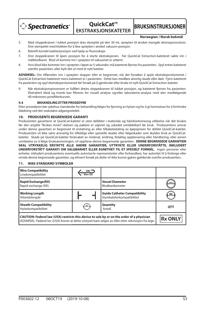

**QuickCat™ EKSTRAKSJONSKATETER**

**BRUKSINSTRUKSJONER**

#### **Norwegian / Norsk bokmål**

- 5. Med stoppekranen i lukket posisjon dras stemplet på den 30 mL sprøyten til ønsket mengde ekstrasjonsvolum. Drei stempelet med klokken for å låse sprøyten i ønsket vakuum-posisjon.
- 6. Bekreft korrekt kateterposisjon ved hjelp av fluoroskopi.
- 7. Drei stoppekranen til åpen posisjon for å starte ekstraksjonen. Før QuickCat Extraction-kateteret sakte inn i målblodkaret. Blod vil komme inn i sprøyten til vakuumet er uttømt.
- 8. Hvis blod ikke kommer inn i sprøyten i løpet av 5 sekunder, må kateteret fjernes fra pasienten. Spyl enten kateteret utenfor pasienten, eller bytt det ut med et nytt kateter.

**ADVARSEL:** Om tilførselen inn i sprøyten stopper eller er begrenset, må det forsøkes å spyle ekstraksjonslumenet i QuickCat Extraction-kateteret mens kateteret er i pasienten. Dette kan medføre alvorlig skade eller død. Fjern kateteret fra pasienten og spyl ekstraksjonslumenet før forsøk på å gjenbruke eller bruke et nytt QuickCat Extraction-kateter.

Når ekstraksjonsprosessen er fullført dreies stoppekranen til lukket posisjon, og kateteret fiernes fra pasienten. Ekstrahert blod og tromb kan filtreres for visuell analyse og/eller laboratorie-analyse med den medfølgende 40-mikroners porefilterkurven.

## **9.4 BEHANDLING ETTER PROSEDYRE**

Etter prosedyren bør sykehus-standarder for behandling følges for fierning av hylsen og for å gi hemostase for å forhindre blødning ved det vaskulære adgangsstedet.

## **10. PRODUSENTS BEGRENSEDE GARANTI**

Produsenten garanterer at QuickCat-kateter er uten defekter i materiale og håndverksmessig utførelse når det brukes før den angitte "Brukes innen"-datoen og pakken er uåpnet og uskadet umiddelbart før bruk. Produsentens ansvar under denne garantien er begrenset til erstatning av eller tilbakebetaling av kjøpsprisen for defekt QuickCat-kateter. Produsenten vil ikke være ansvarlig for tilfeldige eller spesielle skader eller følgeskader som skyldes bruk av QuickCatkateter. Skade på QuickCat-kateter forårsaket av misbruk, endring, feilaktig oppbevaring eller håndtering, eller annen unnlatelse av å følge bruksanvisningen, vil oppheve denne begrensede garantien. **DENNE BEGRENSEDE GARANTIEN SKAL UTRYKKELIG ERSTATTE ALLE ANDRE GARANTIER, UTTRYKTE ELLER UNDERFORSTÅTTE, INKLUDERT UNDERFORSTÅTT GARANTI OM SALGBARHET ELLER EGNETHET TIL ET SPESIELT FORMÅL.** Ingen personer eller enheter, inkludert produsentens eventuelle autoriserte representanter eller forhandlere, har autoritet til å forlenge eller utvide denne begrensede garantien, og ethvert forsøk på dette vil ikke kunne gjøres gjeldende overfor produsenten..

## **11. IKKE-STANDARD SYMBOLER**

| <b>Wire Compatibility</b><br>Linekompatibilitet                                                                                                                                                     | Max OD |                                                                   |                |
|-----------------------------------------------------------------------------------------------------------------------------------------------------------------------------------------------------|--------|-------------------------------------------------------------------|----------------|
| <b>Rapid Exchange(RX)</b><br>Rapid exchange (RX)                                                                                                                                                    |        | <b>Vessel Diameter</b><br>Blodkardiameter                         |                |
| <b>Working Length</b><br>Arbeidslengde                                                                                                                                                              |        | <b>Guide Catheter Compatibility</b><br>Styrekateterkompatibilitet | GC             |
| <b>Sheath Compatibility</b><br>Hylsekompatibilitet                                                                                                                                                  |        | Quantity<br>Antall                                                | <b>OTY</b>     |
| CAUTION: Federal law (USA) restricts this device to sale by or on the order of a physician<br>ADVARSEL: Føderal lov (USA) krever at dette utstyret bare selges av eller etter rekvisisjon fra lege. |        |                                                                   | <b>Rx ONLY</b> |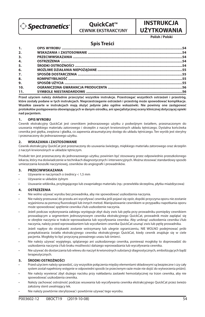

## **QuickCat™ CEWNIK EKSTRAKCYJNY**

# **INSTRUKCJA UŻYTKOWANIA**

**Polish / Polski**

## **Spis Treści**

**Przed użyciem należy dokładnie przeczytać wszystkie instrukcje. Przestrzegać wszystkich ostrzeżeń i przestróg, które zostały podane w tych instrukcjach. Nieprzestrzeganie ostrzeżeń i przestróg może spowodować komplikacje. Wszelkie zawarte w instrukcjach mają służyć jedynie jako ogólne wskazówki. Nie powinny one zastępować protokołów postępowania obowiązujących w danym ośrodku, ani specjalistycznej oceny klinicznej dotyczącej opieki nad pacjentem.**

## **1. OPIS WYROBU**

Cewnik ekstrakcyjny QuickCat jest cewnikiem jednorazowego użytku z podwójnym światłem, przeznaczonym do usuwania miękkiego materiału zatorowego i skrzeplin z naczyń krwionośnych układu tętniczego. Dystalna końcówka cewnika jest giętka, zwężona i gładka, co zapewnia atraumatyczny dostęp do układu tętniczego. Ten wyrób jest sterylny i przeznaczony do jednorazowego użytku.

## **2. WSKAZANIA i ZASTOSOWANIE**

Cewnik ekstrakcyjny QuickCat jest przeznaczony do usuwania świeżego, miękkiego materiału zatorowego oraz skrzeplin z naczyń krwionośnych w układzie tętniczym.

Produkt ten jest przeznaczony do jednorazowego użytku; powinien być stosowany przez odpowiednio przeszkolonego lekarza, który ma doświadczenie w technikach diagnostycznych i interwencyjnych. Można stosować standardowy sposób umieszczania koszulki naczyniowej, cewników do angiografii i prowadników.

## **3. PRZECIWWSKAZANIA**

- Używanie w naczyniach o średnicy < 1,5 mm
- Używanie w układzie żylnym
- Usuwanie włóknika, przylegającego lub zwapniałego materiału (np.: przewlekła skrzeplina, płytka miażdżycowa)

## **4. OSTRZEŻENIA**

- Nie wolno używać wyrobu bez prowadnika, aby nie spowodować uszkodzenia naczynia.
- Nie należy przesuwać do przodu ani wycofywać cewnika jeśli pojawi się opór, dopóki przyczyna oporu nie zostanie wyjaśniona za pomocą fluoroskopii lub innych metod. Manipulowanie cewnikiem w przypadku napotkania oporu może spowodować spętlenie cewnika i/lub uszkodzenie naczynia.
- Jeżeli podczas wykonywania zabiegu występuje zbyt duży zwis lub pętla przy prowadniku pomiędzy cewnikiem prowadzącym a segmentem jednoszynowym cewnika ekstrakcyjnego QuickCat, prowadnik może zaplątać się w obrębie naczynia w trakcie wprowadzania lub wycofywania cewnika. Aby uniknąć uszkodzenia cewnika i/lub naczynia, należy przed wprowadzaniem lub wycofaniem cewnika QuickCat usunąć zwis lub pętlę prowadnika.
- Jeżeli napływ do strzykawki zostanie wstrzymany lub ulegnie ograniczeniu, NIE WOLNO podejmować prób przepłukiwania światła ekstrakcyjnego cewnika ekstrakcyjnego QuickCat, kiedy cewnik znajduje się w ciele pacjenta. Mogłoby to być przyczyną poważnego urazu lub śmierci.
- Nie należy używać wygiętego, splątanego ani uszkodzonego cewnika, ponieważ mogłoby to doprowadzić do uszkodzenia naczynia i/lub braku możliwości dalszego wprowadzania lub wycofywania cewnika.
- Nie używać do dostarczania lub wlewu do naczyń krwionośnych substancji diagnostycznych, embolizujących bądź terapeutycznych.

## **5. ŚRODKI OSTROŻNOŚCI**

- Przed użyciem należy sprawdzić, czy wszystkie połączenia między elementami składowymi są bezpieczne i czy cały system został napełniony wstępnie w odpowiedni sposób (w przeciwnym razie może nie dojść do wytworzenia próżni).
- Nie należy wywierać zbyt dużego nacisku przy nakładaniu zastawki hemostatycznej na trzon cewnika, aby nie spowodować uszkodzenia cewnika.
- Należy zachować ostrożność podczas wsuwania lub wycofywania cewnika ekstrakcyjnego QuickCat przez świeżo założony stent uwalniający lek.
- Nie należy powtórnie sterylizować i powtórnie używać tego wyrobu.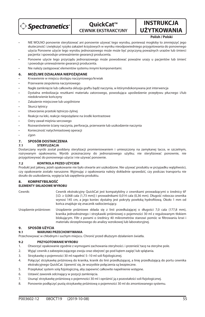

# **OuickCat™ CEWNIK EKSTRAKCYJNY**

# **INSTRUKCJA UŻYTKOWANIA**

## **Polish / Polski**

- NIE WOLNO ponownie sterylizować ani ponownie używać tego wyrobu, ponieważ mogłoby to zmniejszyć jego skuteczność i zwiększyć ryzyko zakażeń krzyżowych w wyniku nieodpowiedniego przygotowania do ponownego użycia Ponowne użycie tego wyrobu jednorazowego może może być przyczyną poważnych urazów lub śmierci pacjenta i spowoduje unieważnienie gwarancji producenta.
- Ponowne użycie tego przyrządu jednorazowego może powodować poważne urazy u pacjentów lub śmierć i powoduje unieważnienie gwarancji producenta.
- Nie należy zastępować elementów systemu innymi komponentami.

## **6. MOŻLIWE DZIAŁANIA NIEPOŻĄDANE**

- Krwawienie w miejscu dostępu naczyniowego/krwiak
- Przerwanie zespolenia naczyniowego
- Nagłe zamknięcie lub całkowita okluzja graftu bądź naczynia, w którymdokonywana jest interwencja
- Dystalna embolizacja resztkami materiału zatorowego, powodująca upośledzenie przepływu płucnego i/lub niedokrwienie kończyny
- Zakażenie miejscowe lub uogólnione
- Skurcz tętnicy
- Utworzenie przetoki tetniczo-żylnej
- Reakcje na leki, reakcje niepożądane na środki kontrastowe
- Ostry zawał mięśnia sercowego
- Rozwarstwienie ściany naczynia, perforacja, przerwanie lub uszkodzenie naczynia
- Konieczność natychmiastowej operacji
- Zgon

# **7. SPOSÓB DOSTARCZENIA**

## **STERYLIZACIA**

Dostarczany wyrób został poddany sterylizacji promieniowaniem i umieszczony na zamykanej tacce, w szczelnym, rozrywanym opakowaniu. Wyrób przeznaczony do jednorazowego użytku; nie sterylizować ponownie, nie przygotowywać do ponownego użycia i nie używać ponownie.

## **7.2 KONTROLA PRZED UŻYCIEM**

Produkt jest jałowy, jeżeli opakowanie nie było otwarte ani uszkodzone. Nie używać produktu w przypadku wątpliwości, czy opakowanie zostało naruszone. Wyjmując z opakowania należy dokładnie sprawdzić, czy podczas transportu nie doszło do uszkodzenia, wygięcia lub zapętlenia produktu.

## **8. KOMPATYBILNOŚĆ**

## **ELEMENTY SKŁADOWE WYROBU**

Cewnik: Cewnik ekstrakcyjny QuickCat jest kompatybilny z cewnikami prowadzącymi o średnicy 6F [I.D. ≥ 0,068 cala (1,73 mm)] i prowadnikami 0,014 cala (0,36 mm). Długość robocza cewnika wynosi 145 cm, a jego koniec dystalny jest pokryty powłoką hydrofilową. Około 1 mm od końca znajduje się znacznik radiocieniujący.

Urządzenie próżniowe: Urządzenie próżniowe składa się z linii przedłużającej o długości 7,0 cala (177,8 mm), kranika jednodrożnego i strzykawki próżniowej o pojemności 30 ml z regulowanym tłokiem blokującym. Filtr z porami o średnicy 40 mikrometrów stanowi pomóc w filtrowaniu krwi i materiału skrzeplinowego do analizy wzrokowej lub laboratoryjnej.

# **9. SPOSÓB UŻYCIA**

## **9.1 WARUNKI PRZECHOWYWANIA**

Przechowywać w chłodnym i suchym miejscu. Chronić przed dłuższym działaniem światła.

## **9.2 PRZYGOTOWANIE WYROBU**

- 1. Otworzyć opakowanie zgodnie z wymogami zachowania sterylności. i przenieść tacę na sterylne pole.
- 2. Wyjąć cewnik z zabezpieczającego zwoju oraz obejrzeć go pod kątem zagięć lub splątania.
- 3. Strzykawkę o pojemności 30 ml napełnić 5-10 ml soli fizjologicznej.
- 4. Połączyć strzykawkę próżniową do kranika, kranik do linii przedłużającej, a linię przedłużającą do portu cewnika ekstrakcyjnego QuickCat. Upewnić się, że wszystkie połączenia są bezpieczne.
- 5. Przepłukać system solą fizjologiczną, aby zapewnić całkowite napełnienie wstępne.
- 6. Ustawić zaworek odcinający w pozycji zamknięcia.
- 7. Usunąć strzykawkę próżniową o pojemności 30 ml i opróżnić ją z pozostałości soli fizjologicznej.
- 8. Ponownie podłączyć pustą strzykawkę próżniową o pojemności 30 ml do zmontowanego systemu.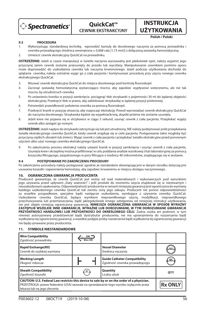

**QuickCat™ CEWNIK EKSTRAKCYJNY**

**UŻYTKOWANIA Polish / Polski**

**INSTRUKCJA** 

## **9.3 PROCEDURA**

- 1. Wykorzystując standardową technikę, wprowdzić kaniulę do docelowego naczynia za pomocą prowadnika i cewnika prowadzącego (średnica wewnętrzna ≥ 0,068 cala [1,73 mm]) z dołączoną zastawką hemostatyczną.
- 2. Umieścić cewnik ekstrakcyjny QuickCat na prowadniku.

**OSTRZEŻENIE:** Jeżeli w czasie manipulacji w świetle naczynia wyczuwalny jest jakikolwiek opór, należy wyjaśnić jego przyczynę zanim cewnik zostanie przesunięty do przodu lub wycofany. Manipulowanie cewnikiem pomimo oporu może doprowadzić do uszkodzenia cewnika lub naczynia krwionośnego. Jeżeli podczas użytkowania dochodzi do splątania cewnika, należy ostrożnie wyjąć go z ciała pacjenta i kontynuować procedurę przy użyciu nowego cewnika ekstrakcyjnego QuickCat.

- 3. Wsuwać cewnik ekstrakcyjny QuickCat do miejsca docelowego pod kontrolą fluoroskopii.
- 4. Zacisnąć zastawkę hemostatyczną wystarczająco mocno, aby zapobiec wypływowi wstecznemu, ale nie tak mocno, by utrudnićruch cewnika.
- 5. Po ustawieniu kranika w pozycji zamknięcia pociągnąć tłok strzykawki o pojemności 30 ml do żądanej objętości ekstrakcyjnej. Przekręcić tłok w prawo, aby zablokować strzykawkę w żądanej pozycji próżniowej.
- 6. Potwierdzić prawidłowość położenia cewnika za pomocą fluoroskopii.
- 7. Przekręcić kranik w pozycję otwarcia, aby rozpocząć ekstrakcję. Powoli wprowadzać cewnik ekstrakcyjny QuickCat do naczynia docelowego. Strzykawka będzie się wypełniaćkrwią, dopóki próżnia nie zostanie usunięta.
- 8. Jeżeli krew nie pojawia się w strzykawce w ciągu 5 sekund, usunąć cewnik z ciała pacjenta. Przepłukać wyjęty cewnik albo zastąpić go nowym.

**OSTRZEŻENIE:** Jeżeli napływ do strzykawki zatrzymuje się lub jest utrudniony, NIE należy podejmować prób przepłukania światła ekstrakcyjnego cewnika QuickCat, kiedy cewnik znajduje się w ciele pacjenta. Postępowanie takie mogłoby być przyczyną ciężkich obrażeń lub śmierci. Wyjąć cewnik z ciała pacjenta i przepłukać światło ekstrakcyjne przed ponownym użyciem albo użyć nowego cewnika ekstrakcyjnego QuickCat.

9. Po zakończeniu procesu ekstrakcji należy ustawić kranik w pozycji zamknięcia i usunąć cewnik z ciała pacjenta. Usunięta krew i skrzeplinę można przefiltrować w celu poddania analizie wzrokowej i/lub laboratoryjnej za pomocą koszyczka filtrującego, zaopatrzonego w pory filtrujące o średnicy 40 mikrometrów, znajdującego się w zestawie.

## **9.4 POSTĘPOWANIE PO ZAKOŃCZENIU PROCEDURY**

Po zakończeniu procedury należy postępować zgodnie ze standardami obowiązującymi w danym ośrodku dotyczącymi usuwania koszulki i zapewnienia hemostazy, aby zapobiec krwawieniu w miejscu dostępu naczyniowego.

## **10. OGRANICZONA GWARANCJA PRODUCENTA**

Producent gwarantuje, że cewnik QuickCat jest wolny od wad materiałowych i wykonawczych pod warunkiem jego używania przed upływem "Daty ważności" i jeśli produkt do momentu użycia znajdował się w nieotwartym i nieuszkodzonym opakowaniu. Odpowiedzialność producenta w ramach niniejszej gwarancji jest ograniczona do wymiany każdego uszkodzonego cewnika QuickCat lub zwrotu ceny jego zakupu. Producent nie ponosi odpowiedzialności za wszelkie przypadkowe, specjalne bądź następcze uszkodzenia, wynikające z używania cewnika QuickCat. Uszkodzenie cewnika QuickCat, będące wynikiem nieprawidłowego użycia, modyfikacji, nieprawidłowego przechowywania lub przemieszczania, bądź jakiegokolwiek innego odstępstwa od niniejszej instrukcji użytkowania, nie jest objęte niniejszą ograniczoną gwarancję. **NINIEJSZA OGRANICZONA GWARANCJA W SPOSÓB WYRAŹNY ZASTĘPUJE WSZELKIE INNE GWARANCJE, WYRAŹNE LUB DOROZUMIANE, W TYM DOROZUMIANE GWARANCJE PRZYDATNOŚCI HANDLOWEJ LUB PRZYDATNOŚCI DO OKREŚLONEGO CELU**. Żadna osoba ani podmiot, w tym również autoryzowany przedstawiciel bądź dystrybutor producenta, nie ma upoważnienia do rozszerzania bądź wydłużania tej ograniczonej gwarancji, a wszelkie podjęte próby rozszerzenia bądź wydłużenia tej ograniczonej gwarancji nie będą uznawane przez producenta.

#### **11. SYMBOLE NIESTANDARDOWE**

| <b>Wire Compatibility</b><br>Zgodność prowadnika                                                                                                                                                                     | $GW =$<br>Max OD |                                                                      |                |
|----------------------------------------------------------------------------------------------------------------------------------------------------------------------------------------------------------------------|------------------|----------------------------------------------------------------------|----------------|
| <b>Rapid Exchange(RX)</b><br>Cewnik do szybkiej wymiany                                                                                                                                                              |                  | <b>Vessel Diameter</b><br>Średnica naczynia                          | mm             |
| <b>Working Length</b><br>Długość robocza                                                                                                                                                                             |                  | <b>Guide Catheter Compatibility</b><br>Zgodność cewnika prowadzącego | GC             |
| <b>Sheath Compatibility</b><br>Zgodność koszulki                                                                                                                                                                     | SC               | Quantity<br>Liczba sztuk                                             | <b>OTY</b>     |
| CAUTION: U.S. Federal Law restricts this device to sale by or on the order of a physician.<br>PRZESTROGA: prawo federalne (USA) zezwala na sprzedawanie tego wyrobu wyłacznie przez<br>lekarza lub na jego zlecenie. |                  |                                                                      | <b>Rx ONLY</b> |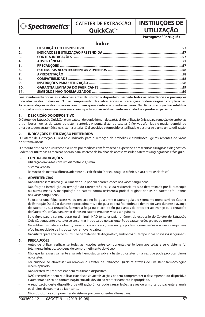**Spectranetics** 

**CATETER DE EXTRACÇÃO** 

## **QuickCat™**

## **UTILIZAÇÃO Portuguese/ Português**

**INSTRUÇÕES DE** 

## **Índice**

| $\mathbf{1}$ . |  |
|----------------|--|
| 2.             |  |
| 3.             |  |
| 4.             |  |
| 5.             |  |
| 6.             |  |
| 7.             |  |
| 8.             |  |
| 9.             |  |
| 10.            |  |
| 11.            |  |

**Leia atentamente todas as instruções antes de utilizar o dispositivo. Respeite todas as advertências e precauções indicadas nestas instruções. O não cumprimento das advertências e precauções poderá originar complicações. As recomendações nestas instruções constituem apenas linhas de orientação gerais. Não têm como objectivo substituir**  protocolos institucionais ou pareceres clínicos profissionais relativamente aos cuidados a prestar ao paciente.

## **1. DESCRIÇÃO DO DISPOSITIVO**

O Cateter de Extracção QuickCat é um cateter de duplo lúmen descartável, de utilização única, para remoção de embolias e tromboses ligeiras de vasos do sistema arterial. A ponta distal do cateter é flexível, afunilada e macia, permitindo uma passagem atraumática no sistema arterial. O dispositivo é fornecido esterilizado e destina-se a uma única utilização.

## **2. INDICAÇÕES E UTILIZAÇÃO PRETENDIDA**

O Cateter de Extracção QuickCat é indicado para a remoção de embolias e tromboses ligeiras recentes de vasos do sistema arterial.

O produto destina-se a utilização exclusiva por médicos com formação e experiência em técnicas cirúrgicas e diagnóstico. Podem ser utilizadas as técnicas padrão para inserção de bainhas de acesso vascular, cateteres angiográficos e fios quia.

## **3. CONTRA-INDICAÇÕES**

- Utilização em vasos com um diâmetro < 1,5 mm
- Sistema venoso
- Remoção de material fibroso, aderente ou calcificado (por ex. coágulo crónico, placa arteriosclerótica)

## **4. ADVERTÊNCIAS**

- Não utilizar sem um fio quia, uma vez que podem ocorrer lesões nos vasos sanguíneos.
- Não forçar a introdução ou remoção do cateter até a causa da resistência ter sido determinada por fluoroscopia ou outros meios. A manipulação do cateter contra resistência poderá originar dobras no cateter e/ou danos nos vasos sanguíneos.
- Se ocorrer uma folga excessiva ou um laço no fio-guia entre o cateter-guia e o segmento monocarril do Cateter de Extracção QuickCat durante o procedimento, o fio-quia poderá ficar dobrado dentro do vaso durante o avanço do cateter ou sua retracção. Remova a folga ou o laço do fio-guia antes de proceder ao avanço ou à retracção do Cateter QuickCat, para evitar danos no cateter e/ou nos vasos sanguíneos.
- Se o fluxo para a seringa parar ou diminuir, NÃO tente esvaziar o lúmen de extracção do Cateter de Extracção QuickCat enquanto o cateter se encontrar introduzido no paciente. Pode causar lesões graves ou morte.
- Não utilizar um cateter dobrado, curvado ou danificado, uma vez que podem ocorrer lesões nos vasos sanguíneos e/ou incapacidade de introduzir ou remover o cateter.
- Não utilizar para aplicação ou infusão de materiais de diagnóstico, embólicos ou terapêuticos nos vasos sanguíneos.

## **5. PRECAUÇÕES**

- Antes de utilizar, verificar se todas as ligações entre componentes estão bem apertadas e se o sistema foi totalmente irrigado, sob pena de comprometimento do vácuo.
- Não apertar excessivamente a válvula hemostática sobre a haste do cateter, uma vez que pode provocar danos no cateter.
- Ter cuidado ao atravessar ou remover o Cateter de Extracção QuickCat através de um stent farmacológico recém-aplicado.
- Não reesterilizar, reprocessar nem reutilizar o dispositivo.
- NÃO reesterilizar nem reutilizar este dispositivo; tais acções podem comprometer o desempenho do dispositivo e aumentar o risco de contaminação cruzada devido ao reprocessamento inapropriado.
- A reutilização deste dispositivo de utilização única pode causar lesões graves ou a morte do paciente e anula os direitos de garantia do fabricante.
- Não substituir os componentes do sistema por componentes alternativos.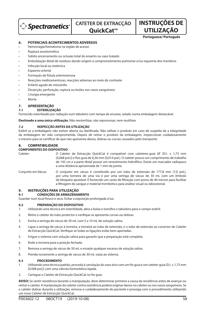$\hat{p}$  Spectranetics $\hat{p}$ 

**QuickCat™** 

**UTILIZAÇÃO Portuguese/ Português**

**INSTRUÇÕES DE** 

## **6. POTENCIAIS ACONTECIMENTOS ADVERSOS**

- Hemorragia/hematoma na região de acesso
- Ruptura anastomótica
- Súbito encerramento ou oclusão total do enxerto ou vaso tratado
- Embolização distal de resíduos dando origem a comprometimento pulmonar e/ou isquemia dos membros
- Infecção local ou sistémica
- Espasmo arterial
- Formação de fístula arteriovenosa
- Reacções medicamentosas, reacções adversas ao meio de contraste
- Enfarte agudo do miocárdio
- Dissecção, perfuração, ruptura ou lesões nos vasos sanguíneos
- Cirurgia emergente
- Morte

## **7. APRESENTAÇÃO**

## **7.1 ESTERILIZAÇÃO**

Fornecido esterilizado por radiação num tabuleiro com tampa de encaixe, selado numa embalagem destacável.

**Destinado a uma única utilização.** Não reesterilizar, não reprocessar, nem reutilizar.

### **7.2 INSPECÇÃO ANTES DA UTILIZAÇÃO**

Estéril se a embalagem não estiver aberta ou danificada. Não utilizar o produto em caso de suspeita de a integridade da embalagem ter sido comprometida. Depois de retirar o produto da embalagem, inspeccionar cuidadosamente o mesmo para se certificar de que não apresenta danos, dobras ou curvas causados pelo transporte.

## **8. COMPATIBILIDADE**

## **COMPONENTES DO DISPOSITIVO**

Cateter: O Cateter de Extracção QuickCat é compatível com cateteres-guia 6F [D.I. ≥ 1,73 mm [0,068 pol.]] e fios guia de 0,36 mm (0,014 pol.). O cateter possui um comprimento de trabalho de 145 cm e a parte distal possui um revestimento hidrofílico. Existe um marcador radiopaco a uma distância aproximada de 1 mm da ponta.

Conjunto em Vácuo: O conjunto em vácuo é constituído por um tubo de extensão de 177,8 mm (7,0 pol.), por uma torneira de uma via e por uma seringa de vácuo de 30 mL com um êmbolo de bloqueio ajustável. É fornecido um cesto de ltração com poros de 40 mícron para facilitar a filtragem do sangue e material trombótico para análise visual ou laboratorial.

## **9. INSTRUÇÕES PARA UTILIZAÇÃO**

#### **9.1 CONDIÇÕES DE ARMAZENAMENTO**

Guardar num local fresco e seco. Evitar a exposição prolongada à luz.

## **9.2 PREPARAÇÃO DO DISPOSITIVO**

- 1. Utilizando uma técnica em esterilidade, abra a bolsa e transfira o tabuleiro para o campo estéril.
- 2. Retire o cateter do tubo protector e verifique se apresenta curvas ou dobras.
- 3. Encha a seringa de vácuo de 30 mL com 5 a 10 mL de solução salina.
- 4. Ligue a seringa de vácuo à torneira, a torneira ao tubo de extensão, e o tubo de extensão ao conector do Cateter de Extracção QuickCat. Verifique se todas as ligações estão bem apertadas.
- 5. Irrigue o sistema com solução salina para garantir que a preparação está completa.
- 6. Rode a torneira para a posição fechada.
- 7. Remova a seringa de vácuo de 30 mL e esvazie qualquer excesso de solução salina.
- 8. Prenda novamente a seringa de vácuo de 30 mL vazia ao sistema.

#### **9.3 PROCEDIMENTO**

- 1. Utilizando uma técnica padrão, proceda à canulação do vaso alvo com um fio guia e um cateter-guia (D.I. ≥ 1,73 mm [0.068 pol.]) com uma válvula hemostática ligada.
- 2. Carregue o Cateter de Extracção QuickCat no fio quia.

**AVISO:** Se sentir resistência durante a manipulação, deve determinar primeiro a causa da resistência antes de avançar ou retirar o cateter. A manipulação do cateter contra resistência poderá originar danos no cateter ou nos vasos sanguíneos. Se o cateter dobrar durante a utilização, remova-o cuidadosamente do paciente e prossiga com o procedimento utilizando um novo Cateter de Extracção QuickCat.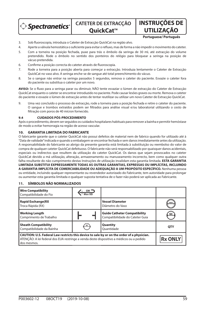> Spectranetics<sup>®</sup>

**CATETER DE EXTRACÇÃO QuickCat™** 

**UTILIZAÇÃO Portuguese/ Português**

**INSTRUÇÕES DE** 

- 3. Sob uoroscopia, introduza o Cateter de Extracção QuickCat na região alvo.
- 4. Aperte a válvula hemostática o suficiente para evitar o refluxo, mas de forma a não impedir o movimento do cateter.
- 5. Com a torneira na posição fechada, puxe para trás o êmbolo da seringa de 30 mL até extracção do volume pretendido. Rode o êmbolo no sentido dos ponteiros do relógio para bloquear a seringa na posição de vácuo pretendida.
- 6. Confirme a posição correcta do cateter através de fluoroscopia.
- 7. Rode a torneira para a posição aberta para começar a extracção. Introduza lentamente o Cateter de Extracção QuickCat no vaso alvo. A seringa enche-se de sangue até total preenchimento do vácuo.
- 8. Se o sangue não entrar na seringa passados 5 segundos, remova o cateter do paciente. Esvazie o cateter fora do paciente ou substitua o cateter por um novo.

AVISO: Se o fluxo para a seringa parar ou diminuir, NÃO tente esvaziar o lúmen de extracção do Cateter de Extracção QuickCat enquanto o cateter se encontrar introduzido no paciente. Pode causar lesões graves ou morte. Remova o cateter do paciente e esvazie o lúmen de extracção antes de tentar reutilizar ou utilizar um novo Cateter de Extracção QuickCat.

9. Uma vez concluído o processo de extracção, rode a torneira para a posição fechada e retire o cateter do paciente. O sangue e trombos extraídos podem ser ltrados para análise visual e/ou laboratorial utilizando o cesto de filtração com poros de 40 mícron fornecido.

#### **9.4 CUIDADOS PÓS-PROCEDIMENTO**

Após o procedimento, devem ser seguidos os cuidados hospitalares habituais para remover a bainha e permitir hemóstase de modo a evitar hemorragia na região de acesso vascular.

### **10. GARANTIA LIMITADA DO FABRICANTE**

O fabricante garante que o cateter QuickCat não possui defeitos de material nem de fabrico quando for utilizado até à "Data de validade" indicada e quando a embalagem se encontrar fechada e sem danos imediatamente antes da utilização. A responsabilidade do fabricante ao abrigo da presente garantia está limitada à substituição ou reembolso do valor de compra de qualquer cateter QuickCat defeituoso. O fabricante não será responsabilizado por quaisquer danos acidentais, especiais ou indirectos que resultem da utilização do cateter QuickCat. Os danos que sejam provocados no cateter QuickCat devido a má utilização, alteração, armazenamento ou manuseamento incorrecto, bem como qualquer outra falha resultante do não cumprimento destas Instruções de utilização invalidam esta garantia limitada. **ESTA GARANTIA LIMITADA SUBSTITUI EXPRESSAMENTE TODAS AS OUTRAS GARANTIAS, EXPRESSAS OU IMPLÍCITAS, INCLUINDO A GARANTIA IMPLÍCITA DE COMERCIABILIDADE OU ADEQUAÇÃO A UM PROPÓSITO ESPECÍFICO.** Nenhuma pessoa ou entidade, incluindo qualquer representante ou revendedor autorizado do Fabricante, tem autoridade para prolongar ou aumentar esta garantia limitada e qualquer suposta tentativa de o fazer não poderá ser aplicada ao Fabricante.

### **11. SÍMBOLOS NÃO NORMALIZADOS**

| <b>Wire Compatibility</b><br>Compatibilidade do Fio                                                                                                                                                   | $GW =$<br>Max OD |                                                                        |                |
|-------------------------------------------------------------------------------------------------------------------------------------------------------------------------------------------------------|------------------|------------------------------------------------------------------------|----------------|
| <b>Rapid Exchange(RX</b><br>Troca Rápida (RX)                                                                                                                                                         |                  | <b>Vessel Diameter</b><br>Diâmetro do Vaso                             | mm             |
| <b>Working Length</b><br>Comprimento de Trabalho                                                                                                                                                      |                  | <b>Guide Catheter Compatibility</b><br>Compatibilidade do Cateter Guia | GC             |
| <b>Sheath Compatibility</b><br>Compatibilidade da Bainha                                                                                                                                              | SC               | Quantity<br>Ouantidade                                                 | <b>OTY</b>     |
| CAUTION: U.S. Federal Law restricts this device to sale by or on the order of a physician.<br>ATENÇÃO: A lei federal dos EUA restringe a venda deste dispositivo a médicos ou a pedido<br>dos mesmos. |                  |                                                                        | <b>Rx ONLY</b> |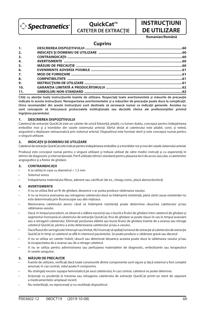

# **QuickCat™ CATETER DE EXTRACŢIE**

# **INSTRUCŢIUNI DE UTILIZARE**

**Romanian/Română**

## **Cuprins**

| 1.             |  |
|----------------|--|
| 2.             |  |
| 3.             |  |
| 4.             |  |
| 5.             |  |
| 6.             |  |
| 7.             |  |
| 8.             |  |
| 9 <sub>1</sub> |  |
| 10.            |  |
| 11.            |  |

**Citiţi cu atenţie toate instrucţiunile înainte de utilizare. Respectaţi toate avertismentele şi măsurile de precauţie indicate în aceste instrucţiuni. Nerespectarea avertismentelor şi a măsurilor de precauţie poate duce la complicaţii. Orice recomandări din aceste instrucţiuni sunt destinate să servească numai ca indicaţii generale. Acestea nu**  sunt concepute să înlocuiască protocoalele instituționale sau deciziile clinice ale profesioniștilor privind **îngrijirea pacientului.**

## **1. DESCRIEREA DISPOZITIVULUI**

Cateterul de extracţie QuickCat este un cateter de unică folosinţă, jetabil, cu lumen dublu, conceput pentru îndepărtarea embolilor moi şi a trombilor din vasele sistemului arterial. Vârful distal al cateterului este pliabil, conic şi neted, asigurând o deplasare netraumatică prin sistemul arterial. Dispozitivul este furnizat steril şi este conceput numai pentru o singură utilizare.

### **2. INDICAŢII ŞI DOMENIU DE UTILIZARE**

Cateterul de extracție QuickCat este indicat pentru îndepărtarea embolilor și a trombilor noi și moi din vasele sistemului arterial.

Produsul este conceput numai pentru o singură utilizare şi trebuie utilizat de către medici instruiţi şi cu experienţă în tehnici de diagnostic și intervenționale. Pot fi utilizate tehnici standard pentru plasarea tecii de acces vascular, a cateterelor angiografice și a firelor de ghidare.

## **3. CONTRAINDICAŢII**

- A se utiliza în vase cu diametrul < 1,5 mm
- Sistemul venos
- Îndepărtarea materialului fibros, aderent sau calcificat (de ex., cheag cronic, placă aterosclerotică)

## **4. AVERTISMENTE**

- A nu se utiliza fără un fir de ghidare, deoarece s-ar putea produce vătămarea vasului.
- A nu se încerca avansarea sau retragerea cateterului dacă se întâmpină rezistenţă, până când cauza rezistenţei nu este determinată prin fluoroscopie sau alte mijloace.
- Manevrarea cateterului atunci când se întâmpină rezistenţă poate determina răsucirea cateterului şi/sau vătămarea vasului.
- Dacă, în timpul procedurii, se observă o slăbire excesivă sau o buclă a firului de ghidare între cateterul de ghidare și segmentul monoșină al cateterului de extracție QuickCat, firul de ghidare se poate răsuci în vas în timpul avansării sau a retragerii cateterului. Eliminați porțiunea slăbită sau bucla firului de ghidare înainte de a avansa sau retrage cateterul QuickCat, pentru a evita deteriorarea cateterului şi/sau a vasului.
- Dacă fluxul din seringă este întrerupt sau limitat, NU încercați să spălați lumenul de extracție al cateterului de extracție QuickCat în timp ce cateterul se află în interiorul pacientului. Se poate produce o vătămare gravă sau decesul.
- A nu se utiliza un cateter îndoit, răsucit sau deteriorat deoarece aceasta poate duce la vătămarea vasului şi/sau la incapacitatea de a avansa sau de a retrage cateterul.
- A nu se utiliza pentru administrarea sau perfuzarea materialelor de diagnostic, embolizante sau terapeutice în vasele sanguine.

## **5. MĂSURI DE PRECAUŢIE**

- Înainte de utilizare, verificați dacă toate conexiunile dintre componente sunt sigure și dacă sistemul a fost complet amorsat; în caz contrat, vidul poate fi compromis.
- Nu strângeţi excesiv supapa hemostatică pe axul cateterului; în caz contrar, cateterul se poate deteriora.
- Actionati cu prudentă la trecerea sau retragerea cateterului de extractie QuickCat printr-un stent de separare a medicamentelor amplasat recent.
- Nu resterilizaţi, nu reprocesaţi şi nu reutilizaţi dispozitivul.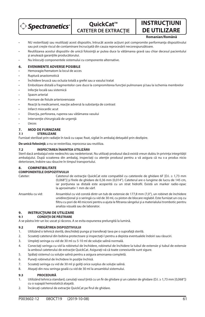

# **QuickCat™ CATETER DE EXTRACŢIE**

## **DE UTILIZARE Romanian/Română**

**INSTRUCŢIUNI** 

- NU resterilizați sau reutilizați acest dispozițiv, întrucât aceste acțiuni pot compromite performanța dispozitivului sau pot creşte riscul de contaminare încrucişată din cauza reprocesării necorespunzătoare.
- Reutilizarea acestui dispozitiv de unică folosinţă ar putea duce la vătămarea gravă sau chiar decesul pacientului și anulează garanțiile producătorului.
- Nu înlocuiţi componentele sistemului cu componente alternative.

## **6. EVENIMENTE ADVERSE POSIBILE**

- Hemoragie/hematom la locul de acces
- Ruptură anastomotică
- Închidere bruscă sau ocluzia totală a grefei sau a vasului tratat
- Embolizare distală a fragmentelor care duce la compromiterea funcției pulmonare și/sau la ischemia membrelor
- Infecție locală sau sistemică
- Spasm arterial
- Formare de fistule arteriovenoase
- Reacţii la medicament, reacţie adversă la substanţa de contrast
- Infarct miocardic acut
- Disecţia, perforarea, ruperea sau vătămarea vasului
- Intervenţie chirurgicală de urgenţă
- Deces

#### **7. MOD DE FURNIZARE**

#### **7.1 STERILIZARE**

Furnizat sterilizat prin radiație în tavă cu capac fixat, sigilat în ambalaj detaşabil prin dezlipire.

**De unică folosinţă**; a nu se resteriliza, reprocesa sau reutiliza.

## **7.2 INSPECTAREA ÎNAINTEA UTILIZĂRII**

Steril dacă ambalajul este nedeschis sau nedeteriorat. Nu utilizați produsul dacă există vreun dubiu în privința integrității ambalajului. După scoaterea din ambalaj, inspectaţi cu atenţie produsul pentru a vă asigura că nu s-a produs nicio deteriorare, îndoire sau răsucire în timpul transportului.

### **8. COMPATIBILITATE**

## **COMPONENTELE DISPOZITIVULUI**

- Cateter: Cateterul de extracție QuickCat este compatibil cu cateterele de ghidare 6F [D.I. ≥ 1,73 mm (0,068")] și firele de ghidare de 0,36 mm (0,014"). Cateterul are o lungime de lucru de 145 cm, iar porțiunea sa distală este acoperită cu un strat hidrofil. Există un marker radio-opac la aproximativ 1 mm de vârf.
- Ansamblu cu vid: Ansamblul cu vid constă dintr-un tub de extensie de 177,8 mm (7,0"), un robinet de închidere unidirecţional şi o seringă cu vid de 30 ml, cu piston de blocare reglabil. Este furnizat un coş cu filtru cu pori de 40 microni pentru a ajuta la filtrarea sângelui și a materialului trombotic pentru analiza vizuală sau de laborator.

## **9. INSTRUCŢIUNI DE UTILIZARE**

## **9.1 CONDIŢII DE PĂSTRARE**

A se păstra într-un loc uscat şi răcoros. A se evita expunerea prelungită la lumină.

## **9.2 PREGĂTIREA DISPOZITIVULUI**

- 1. Utilizând o tehnică sterilă, deschideți punga și transferați tava pe o suprafață sterilă.
- 2. Scoateţi cateterul din bobina protectoare şi inspectaţi-l pentru a depista eventualele îndoiri sau răsuciri.
- 3. Umpleţi seringa cu vid de 30 ml cu 5-10 ml de soluţie salină normală.
- 4. Conectați seringa cu vid la robinetul de închidere, robinetul de închidere la tubul de extensie și tubul de extensie la amboul cateterului de extracţie QuickCat. Asiguraţi-vă că toate conexiunile sunt sigure.
- 5. Spălaţi sistemul cu soluţie salină pentru a asigura amorsarea completă.
- 6. Puneţi robinetul de închidere în poziţie închisă.
- 7. Scoateţi seringa cu vid de 30 ml şi goliţi orice surplus de soluţie salină.
- 8. Ataşaţi din nou seringa goală cu vid de 30 ml la ansamblul sistemului.

#### **9.3 PROCEDURĂ**

- 1. Utilizând tehnica standard, canulați vasul țintă cu un fir de ghidare și un cateter de ghidare (D.I. ≥ 1,73 mm [0,068"]) cu o supapă hemostatică ataşată.
- 2. Încărcați cateterul de extracție QuickCat pe firul de ghidare.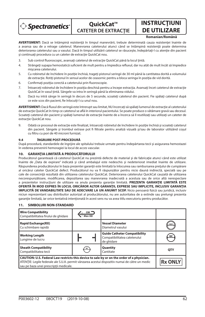

# **OuickCat™ CATETER DE EXTRACŢIE**

# **INSTRUCŢIUNI DE UTILIZARE**

## **Romanian/Română**

**AVERTISMENT:** Dacă se întâmpină rezistență în timpul manevrării, trebuie determinată cauza rezistenței înainte de a avansa sau de a retrage cateterul. Manevrarea cateterului atunci când se întâmpină rezistență poate determina deteriorarea cateterului sau a vasului. Dacă în timpul utilizării cateterul se răsuceşte, îndepărtaţi-l cu atenţie din pacient si continuați procedura cu un cateter de extracție QuickCat nou.

- 3. Sub control fluoroscopic, avansați cateterul de extracție QuickCat până la locul țintă.
- 4. Strângeți supapa hemostatică suficient de mult pentru a împiedica refluxul, dar nu atât de mult încât să împiedice mişcarea cateterului.
- 5. Cu robinetul de închidere în poziţie închisă, trageţi pistonul seringii de 30 ml până la cantitatea dorită a volumului de extracţie. Rotiţi pistonul în sensul acelor de ceasornic pentru a bloca seringa în poziţia de vid dorită.
- 6. Confirmați poziția corectă a cateterului prin fluoroscopie.
- 7. Întoarceți robinetul de închidere în poziția deschisă pentru a începe extracția. Avansați încet cateterul de extracție QuickCat în vasul ţintă. Sângele va intra în seringă până la eliminarea vidului.
- 8. Dacă nu intră sânge în seringă în decurs de 5 secunde, scoateți cateterul din pacient. Fie spălați cateterul după ce este scos din pacient, fie înlocuiți-l cu unul nou.

**AVERTISMENT:** Dacă fluxul din seringă este întrerupt sau limitat. NU încercați să spălați lumenul de extracție al cateterului de extractie QuickCat în timp ce cateterul se află în interiorul pacientului. Se poate produce o vătămare gravă sau decesul. Scoateți cateterul din pacient și spălați lumenul de extracție înainte de a încerca să îl reutilizați sau utilizați un cateter de extracție QuickCat nou.

9. Odată ce procesul de extracţie este nalizat, întoarceţi robinetul de închidere în poziţie închisă şi scoateţi cateterul din pacient. Sângele și trombul extrase pot fi filtrate pentru analiză vizuală și/sau de laborator utilizând coșul cu filtru cu pori de 40 microni furnizat.

## **9.4 ÎNGRIJIRE POST-PROCEDURĂ**

După procedură, standardele de îngrijire ale spitalului trebuie urmate pentru îndepărtarea tecii şi asigurarea hemostazei în vederea prevenirii hemoragiei la locul de acces vascular.

## **10. GARANŢIA LIMITATĂ A PRODUCĂTORULUI**

Producătorul garantează că cateterul QuickCat nu prezintă defecte de material şi de fabricaţie atunci când este utilizat înainte de "Data de expirare" indicată și când ambalajul este nedeschis și nedeteriorat imediat înainte de utilizare. Răspunderea producătorului în baza prezentei garanţii este limitată la înlocuirea sau rambursarea preţului de cumpărare al oricărui cateter QuickCat defect. Producătorul nu va fi răspunzător pentru nicio daună indirectă, specială sau pe cale de consecintă rezultată din utilizarea cateterului QuickCat. Deteriorarea cateterului QuickCat cauzată de utilizarea necorespunzătoare, modificarea, depozitarea sau manevrarea inadecvată a acestuia sau de orice altă nerespectare a prezentelor instrucţiuni de utilizare va anula prezenta garanţie limitată. **PREZENTA GARANŢIE LIMITATĂ ESTE OFERITĂ ÎN MOD EXPRES ÎN LOCUL ORICĂROR ALTOR GARANŢII, EXPRESE SAU IMPLICITE, INCLUSIV GARANŢIA IMPLICITĂ DE VANDABILITATE SAU DE ADECVARE LA UN ANUMIT SCOP.** Nicio persoană fizică sau juridică, inclusiv niciun reprezentant sau distribuitor autorizat al producătorului, nu are autoritatea de a extinde sau prelungi prezenta garanţie limitată, iar orice tentativă intenţionată în acest sens nu va avea titlu executoriu pentru producător.

## **11. SIMBOLURI NON-STANDARD**

| <b>Wire Compatibility</b><br>Compatibilitatea firului de ghidare                                                                                                                                                                       | $GW =$<br>Max OD |                                                                                   |                |
|----------------------------------------------------------------------------------------------------------------------------------------------------------------------------------------------------------------------------------------|------------------|-----------------------------------------------------------------------------------|----------------|
| <b>Rapid Exchange(RX)</b><br>Cu schimbare rapidă                                                                                                                                                                                       |                  | <b>Vessel Diameter</b><br>Diametrul vasului                                       | mm             |
| <b>Working Length</b><br>Lungime de lucru                                                                                                                                                                                              |                  | <b>Guide Catheter Compatibility</b><br>Compatibilitatea cateterului<br>de ghidare | GC             |
| <b>Sheath Compatibility</b><br>Compatibilitatea tecii                                                                                                                                                                                  |                  | Quantity<br>Cantitate                                                             | QTY            |
| CAUTION: U.S. Federal Law restricts this device to sale by or on the order of a physician.<br>ATENȚIE: Legile federale ale S.U.A. permit vânzarea acestui dispozitiv numai de către un medic<br>sau pe baza unei prescripții medicale. |                  |                                                                                   | <b>Rx ONLY</b> |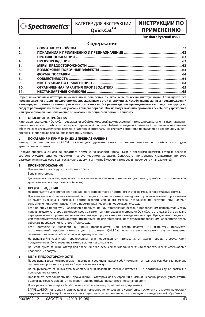

# **QuickCatTM**

# **ИНСТРУКЦИИ ПО ПРИМЕНЕНИЮ**

## **Russian / Pусский язык**

## **Содержание**

| 1.  |  |
|-----|--|
| 2.  |  |
| 3.  |  |
| 4.  |  |
| 5.  |  |
| 6.  |  |
| 7.  |  |
| 8.  |  |
| 9.  |  |
| 10. |  |
| 11. |  |

**Перед применением катетера внимательно и полностью ознакомьтесь со всеми инструкциями. Соблюдайте все предупреждения и меры предосторожности, указанные в этих инструкциях. Несоблюдение данных предупреждений и мер предосторожности может привести к осложнениям. Все рекомендации, приведенные в настоящих инструкциях, следует рассматривать только как указания общего порядка. Они не могут заменить протоколы лечебного учреждения или профессиональное заключение об оказании медицинской помощи пациенту.**

### **1. ОПИСАНИЕ УСТРОЙСТВА**

Катетер для экстракции QuickCat представляет собой одноразовый двухпросветный катетер, предназначенный для удаления мягких эмболов и тромбов из сосудов артериальной системы. Гибкий и гладкий конический дистальный наконечник обеспечивает атравматическое введение катетера в артериальную систему. Устройство поставляется в стерильном виде и предназначено только для одноразового применения.

#### **2. ПОКАЗАНИЯ К ПРИМЕНЕНИЮ И ПРЕДНАЗНАЧЕНИЕ**

Катетер для экстракции QuickCat показан для удаления свежих и мягких эмболов и тромбов из сосудов артериальной системы.

Продукт предназначен для однократного применения квалифицированными и опытными врачами, которые владеют соответствующими диагностическими и хирургическими методами. Допускается применение стандартных приемов размещения интродьюсера для сосудистого доступа, ангиографических катетеров и проволочных направителей.

#### **3. ПРОТИВОПОКАЗАНИЯ**

- Применение для сосудов диаметром < 1,5 мм.
- Венозная система.
- Удаление волокнистых, приросших или кальцифицированных материалов (например, тромбов при хроническом тромбозе, атеросклеротических бляшек).

#### **4. ПРЕДУПРЕЖДЕНИЯ**

- Не используйте устройство без проволочного направителя; в противном случае возможно повреждение сосуда.
- При наличии сопротивления не пытайтесь продвигать или отводить катетер до тех пор, пока причина сопротивления не будет выяснена с помощью рентгеноскопии или иного метода. Использование катетера при наличии сопротивления может привести к его перекручиванию и/или повреждению сосуда.
- Если во время процедуры наблюдается провисание или образование петель в проволочном направителе между направляющим катетером и монорельсовым сегментом катетера для экстракции QuickCat, то это может быть вызвано перекручиванием проволочного направителя при продвижении или отведении катетера. Прежде чем продвигать или отводить катетер QuickCat, устраните провисание или образовавшиеся петли в проволочном направителе, чтобы избежать повреждения катетера и/или сосуда.
- Если поступление жидкости в шприц прекращается или ограничивается, НЕ пытайтесь промывать экстракционный просвет катетера для экстракции QuickCat, пока катетер находится внутри пациента. Это может повлечь за собой серьезную травму или смерть.
- Не используйте изогнутый, перекрученный или поврежденный катетер, т.к. он может повредить сосуд, и/или продвижение либо извлечение катетера станет невозможным.
- Не используйте данный катетер для введения диагностических, эмболических или терапевтических материалов в кровеносные сосуды.

#### **5. МЕРЫ ПРЕДОСТОРОЖНОСТИ**

- Перед использованием проверьте, надежно ли соединены между собой компоненты, полностью ли была заправлена система, – в противном случае не будет обеспечен вакуум.
- Не закручивайте слишком туго гемостатический клапан на стержне катетера в противном случае возможно повреждение катетера.
- Проявляйте осторожность при прохождении катетером для экстракции QuickCat недавно развернутого стента, выделяющего лекарственный препарат, или при отведении катетера через такой стент.
- Повторная стерилизация, обработка или использование устройства не допускаются.
- ЗАПРЕЩАЕТСЯ повторная стерилизация и повторное использование устройства, поскольку это может привести к нарушению его функций и повысить риск перекрестного заражения после проведения ненадлежащей обработки.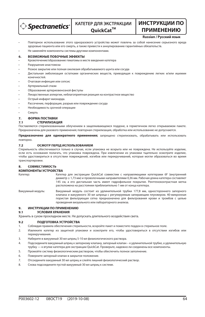

## **КАТЕТЕР ДЛЯ ЭКСТРАКЦИИ QuickCatTM**

# **ИНСТРУКЦИИ ПО ПРИМЕНЕНИЮ**

#### **Russian / Pусский язык**

- Повторное использование этого одноразового устройства может повлечь за собой нанесение серьезного вреда здоровью пациента или его смерть, а также привести к аннулированию гарантийных обязательств.
- Не заменяйте компоненты системы другими компонентами.

### **6. ВОЗМОЖНЫЕ ПОБОЧНЫЕ ЭФФЕКТЫ**

- Кровотечение/образование гематомы в месте введения катетера
- Разрушение анастомоза
- Резкое закрытие или полная окклюзия обрабатываемого шунта или сосуда
- Дистальная эмболизация остатками органических веществ, приводящая к повреждению легких и/или ишемии конечностей.
- Очаговая инфекция или сепсис
- Артериальный спазм
- Образование артериовенозной фистулы
- Лекарственные аллергии, неблагоприятная реакция на контрастное вещество
- Острый инфаркт миокарда.
- Рассечение, перфорация, разрыв или повреждение сосуда
- Необходимость срочной операции
- Смерть

## **7. ФОРМА ПОСТАВКИ**

#### **7.1 СТЕРИЛИЗАЦИЯ**

Поставляются стерилизованными облучением в защелкивающемся поддоне, в герметичном легко открываемом пакете. Предназначены для разового применения; повторная стерилизация, обработка или использование не допускаются.

**Предназначено для однократного применения;** запрещено стерилизовать, обрабатывать или использовать повторно.

#### **7.2 ОСМОТР ПЕРЕД ИСПОЛЬЗОВАНИЕМ**

Стерильность обеспечивается только в случае, если упаковка не вскрыта или не повреждена. Не используйте изделие, если есть основания полагать, что упаковка повреждена. При извлечении из упаковки тщательно осмотрите изделие, чтобы удостовериться в отсутствии повреждений, изгибов или перекручиваний, которые могли образоваться во время транспортировки.

## **8. СОВМЕСТИМОСТЬ**

- **КОМПОНЕНТЫ УСТРОЙСТВА** Катетер: Катетер для экстракции QuickCat совместим с направляющими катетерами 6F (внутренний диаметр ≥ 1,73 мм) и проволочными направителями 0,36 мм. Рабочая длина катетера составляет 145 см, а его дистальная часть имеет гидрофильное покрытие. Рентгеноконтрастная метка расположена на расстоянии приблизительно 1 мм от конца катетера. Вакуумный модуль: Вакуумный модуль состоит из удлинительной трубки 177,8 мм, одностороннего запорного
	- клапана и вакуумного 30 мл шприца с регулируемым запирающим плунжером. 40-микронная пористая фильтрующая сетка предназначена для фильтрования крови и тромбов с целью проведения визуального или лабораторного анализа.

## **9. ИНСТРУКЦИИ ПО ПРИМЕНЕНИЮ**

## **9.1 УСЛОВИЯ ХРАНЕНИЯ**

Хранить в сухом прохладном месте. Не допускать длительного воздействия света.

## **9.2 ПОДГОТОВКА УСТРОЙСТВА**

- 1. Соблюдая правила обеспечения стерильности, вскройте пакет и поместите поддон в стерильное поле.
- 2. Извлеките катетер из защитной упаковки и осмотрите его, чтобы удостовериться в отсутствии изгибов или перекручивания.
- 3. Наберите в вакуумный 30 мл шприц 5-10 мл физиологического раствора.
- 4. Подсоедините вакуумный шприц к запорному клапану, запорный клапан к удлинительной трубке, а удлинительную трубку — к втулке катетера для экстракции QuickCat. Проверьте, надежно ли соединены все компоненты.
- 5. Промойте систему физиологическим раствором, чтобы обеспечить полное заполнение.
- 6. Поверните запорный клапан в закрытое положение.
- 7. Отсоедините вакуумный 30 мл шприц и слейте лишний физиологический раствор.
- 8. Снова подсоедините пустой вакуумный 30 мл шприц к системе.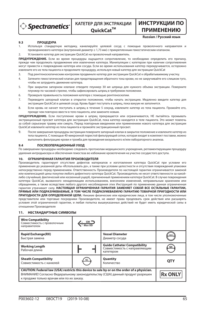

# **ИНСТРУКЦИИ ПО ПРИМЕНЕНИЮ**

## **Russian / Pусский язык**

#### **9.3 ПРОЦЕДУРА**

- 1. Используя стандартную методику, канюлируйте целевой сосуд с помощью проволочного направителя и проводникового катетера (внутренний диаметр ≥ 1,73 мм) с прикрепленным гемостатическим клапаном.
- 2. Установите катетер для экстракции QuickCat на проволочный направитель.

**ПРЕДУПРЕЖДЕНИЕ.** Если во время процедуры ощущается сопротивление, то необходимо определить его причину, прежде чем продолжать продвижение или извлечение катетера. Манипуляции с катетером при наличии сопротивления могут привести к повреждению катетера или сосуда. Если во время использования катетер перекручивается, осторожно извлеките его из тела пациента и продолжите процедуру, используя новый катетер для экстракции QuickCat

- 3. Под рентгеноскопическим контролем продвиньте катетер для экстракции QuickCat к обрабатываемому участку.
- 4. Затяните гемостатический клапан для предотвращения обратного тока крови, но не закручивайте его слишком туго, чтобы не затруднять движение катетера.
- 5. При закрытом запорном клапане отведите плунжер 30 мл шприца для нужного объема экстракции. Поверните плунжер по часовой стрелке, чтобы зафиксировать шприц в требуемом положении.
- 6. Проверьте правильность положения катетера с помощью рентгеноскопии.
- 7. Переведите запорный клапан в открытое положение, чтобы начать экстракцию. Медленно введите катетер для экстракции QuickCat в целевой сосуд. Кровь будет поступать в шприц, пока вакуум не заполнится.
- 8. Если кровь не начнет поступать в шприц в течение 5 секунд, извлеките катетер из тела пациента. Промойте его, прежде чем повторно ввести в тело пациента, или замените новым.

**ПРЕДУПРЕЖДЕНИЕ.** Если поступление крови в шприц прекращается или ограничивается, НЕ пытайтесь промывать экстракционный просвет катетера для экстракции QuickCat, пока катетер находится в теле пациента. Это может повлечь за собой серьезную травму или смерть. Перед повторным введением или применением нового катетера для экстракции QuickCat извлеките катетер из тела пациента и промойте экстракционный просвет.

9. После завершения процедуры экстракции поверните запорный клапан в закрытое положение и извлеките катетер из тела пациента. С помощью 40-микронной пористой фильтрующий сетки, которая входит в комплект поставки, можно выполнить фильтрацию крови и тромба для проведения визуального и/или лабораторного анализа.

### **9.4 ПОСЛЕОПЕРАЦИОННЫЙ УХОД**

По завершении процедуры необходимо следовать протоколам медицинского учреждения, регламентирующим процедуру удаления интродьюсера и обеспечения гемостаза во избежание кровотечения на участке сосудистого доступа.

#### **10. ОГРАНИЧЕННАЯ ГАРАНТИЯ ПРОИЗВОДИТЕЛЯ**

Производитель гарантирует отсутствие дефектов материалов и изготовления катетера QuickCat при условии его применения до указанной даты «Использовать до», а также при условии целостности и отсутствия повреждений упаковки непосредственно перед применением. Ответственность Производителя по настоящей гарантии ограничивается заменой или компенсацией цены покупки любого дефектного катетера QuickCat. Производитель не несет ответственности за какойлибо случайный, фактический или косвенный ущерб, причиненный применением катетера QuickCat. В случае повреждения катетера QuickCat, вызванного ненадлежащим использованием, внесением изменений, неправильным хранением или обращением, а также вследствие любого другого несоблюдения этих Инструкций по применению данная ограниченная гарантия утрачивает силу. **НАСТОЯЩАЯ ОГРАНИЧЕННАЯ ГАРАНТИЯ ЗАМЕНЯЕТ СОБОЙ ВСЕ ОСТАЛЬНЫЕ ГАРАНТИИ, ПРЯМЫЕ ИЛИ ПОДРАЗУМЕВАЕМЫЕ, В ТОМ ЧИСЛЕ ПОДРАЗУМЕВАЕМУЮ ГАРАНТИЮ ТОВАРНОЙ ПРИГОДНОСТИ ИЛИ ПРИГОДНОСТИ ДЛЯ ОПРЕДЕЛЕННОЙ ЦЕЛИ.** Никакие физические или юридические лица, в том числе уполномоченные

представители или торговые посредники Производителя, не имеют права продлевать срок действия или расширять условия этой ограниченной гарантии, и любая попытка вышеуказанных действий не будет иметь юридической силы в отношении Производителя

## **11. НЕСТАНДАРТНЫЕ СИМВОЛЫ**

| <b>Wire Compatibility</b><br>Совместимость с проволочным<br>направителем                                                                                                                                                   | $GW =$ |                                                                                  |                |
|----------------------------------------------------------------------------------------------------------------------------------------------------------------------------------------------------------------------------|--------|----------------------------------------------------------------------------------|----------------|
| <b>Rapid Exchange(RX)</b><br>Быстрая замена                                                                                                                                                                                |        | <b>Vessel Diameter</b><br>Диаметр сосуда                                         |                |
| <b>Working Length</b><br>Рабочая длина                                                                                                                                                                                     |        | <b>Guide Catheter Compatibility</b><br>Совместимость с направляющим<br>катетером | GC             |
| <b>Sheath Compatibility</b><br>Совместимость с канюлей                                                                                                                                                                     | SC     | Quantity<br>Количество                                                           | <b>QTY</b>     |
| CAUTION: Federal law (USA) restricts this device to sale by or on the order of a physician.<br>ВНИМАНИЕ! Согласно Федеральному законодательству (США) данный продукт разрешен<br>к продаже только врачам или по их заказу. |        |                                                                                  | <b>Rx ONLY</b> |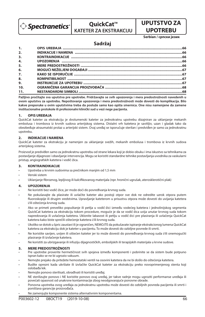

**QuickCat™ KATETER ZA EKSTRAKCIJU**

# **UPUTSTVO ZA UPOTREBU**

**Serbian / српски језик**

## **Sadržaj**

| 1.               |  |
|------------------|--|
| 2.               |  |
| 3.               |  |
| $\overline{4}$ . |  |
| 5.               |  |
| 6.               |  |
| $\overline{z}$ . |  |
| 8.               |  |
| 9.               |  |
| 10.              |  |
| 11.              |  |

**Pažljivo pročitajte sva uputstva pre upotrebe. Pridržavajte se svih upozorenja i mera predostrožnosti navedenih u ovom uputstvu za upotrebu. Nepoštovanje upozorenja i mera predostrožnosti može dovesti do komplikacija. Bilo kakve preporuke u ovim uputstvima treba da posluže samo kao opšta smernica. One nisu namenjene da zamene institucionalne protokole ili profesionalni klinički sud u vezi nege pacijenta.**

## **1. OPIS UREĐAJA**

QuickCat kateter za ekstrakciju je dvolumenski kateter za jednokratnu upotrebu dizajniran za uklanjanje mekanih embolusa i trombova iz krvnih sudova arterijskog sistema. Distalni vrh katetera je savitljiv, uzan i gladak tako da obezbeđuje atraumatski prolaz u arterijski sistem. Ovaj uređaj se isporučuje sterilan i predviđen je samo za jednokratnu upotrebu.

### **2. INDIKACIJE I NAMENA**

QuickCat kateter za ekstrakciju je namenjen za uklanjanje svežih, mekanih embolusa i trombova iz krvnih sudova arterijskog sistema.

Proizvod je predviđen samo za jednokratnu upotrebu od strane lekara koji je dobio obuku i ima iskustvo sa tehnikama za postavljanje dijagnoze i obavljanje intervencija. Моgu se koristiti standardne tehnike postavljanja uvodnika za vaskularni pristup, angiografskih katetera i vodič-žica.

## **3. KONTRAINDIKACIJE**

- Upotreba u krvnim sudovima sa prečnikom manjim od 1,5 mm
- Venski sistem
- Uklanjanje fibroznog, lepljivog ili kalcifikovanog materijala (npr. hronični ugrušak, aterosklerotični plak)

## **4. UPOZORENJA**

- Ne koristiti bez vodič-žice, jer može doći do povređivanja krvnog suda.
- Ne pokušavajte da plasirate ili uvlačite kateter ako postoji otpor sve dok ne odredite uzrok otpora putem uoroskopije ili drugim sredstvima. Upravljanje kateterom u prisustvu otpora može dovesti do uvijanja katetera i/ili oštećenja krvnog suda.
- Ako se primeti preveliko popuštanje ili petlja u vodič-žici između vodećeg katetera i jednolinijskog segmenta QuickCat katetera za ekstrakciju tokom procedure, moguće je da se vodič-žica uvija unutar krvnog suda tokom napredovanja ili uvlačenja katetera. Uklonite labavost ili petlju u vodič-žici pre plasiranja ili uvlačenja QuickCat katetera kako biste sprečili oštećenje katetera i/ili krvnog suda.
- Ukoliko se dotok u špric zaustavi ili је ograničеn, NEMOJTE da pokušavate ispiranje ekstrakcionog lumena QuickCat katetera za ekstrakciju dok je kateter u pacijentu. To može dovesti do ozbiljne povrede ili smrti.
- Ne koristite savijen, uvijen ili oštećen kateter jer to može dovesti do povređivanja krvnog suda i/ili onemogućiti plasiranje ili izvlačenje katetera.
- Ne koristiti za ubrizgavanje ili infuziju dijagnostičkih, embolijskih ili terapijskih materijala u krvne sudove.

## **5. MERE PREDOSTROŽNOSTI**

- Pre upotrebe proverite hermetičnost svih spojeva između komponenti i pobrinite se da sistem bude potpuno ispran kako se ne bi ugrozio vakuum.
- Nemojte prejako da pritežete hemostatski ventil na osovini katetera da ne bi došlo do oštećenja katetera.
- Budite oprezni kada ukrštate ili izvlačite QuickCat kateter za ekstrakciju preko novoprimenjenog stenta koji oslobađa lek.
- Nemojte ponovo sterilisati, obrađivati ili koristiti uređaj.
- NE sterilizujte ponovo i NE koristite ponovo ovaj uređaj, jer takve radnje mogu ugroziti performanse uređaja ili povećati opasnost od unakrsne kontaminacije zbog neodgovarajuće ponovne obrade.
- Ponovna upotreba ovog uređaja za jednokratnu upotrebu može dovesti do ozbiljnih povreda pacijenta ili smrti i poništava garancije proizvođača.
- Ne zamenjujte komponente sistema alternativnim komponentama.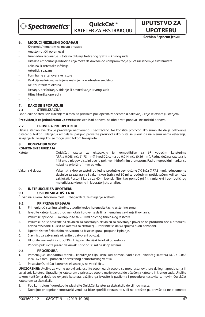

**UPOTREBU Serbian / српски језик**

**UPUTSTVO ZA** 

## **6. MOGUĆI NEŽELJENI DOGAĐAJI**

- Krvarenje/hematom na mestu pristupa
- Anastomotički poremećaj
- Iznenadno zatvaranje ili totalna okluzija tretiranog grafta ili krvnog suda
- Distalna embolizacija krhotina koja može da dovede do kompromitacije pluća i/ili ishemije ekstremiteta
- Lokalna ili sistemska infekcija
- Arterijski spazam
- Formiranie arteriovenske fistule
- Reakcije na lekove, neželjene reakcije na kontrastno sredstvo
- Akutni infarkt miokarda
- Isecanje, perforiranje, kidanje ili povređivanje krvnog suda
- Hitna hirurška operacija
- Smrt

## **7. KAKO SE ISPORUČUJE**

## **7.1 STERILIZACIJA**

Isporučuje se sterilisan zračenjem u tacni sa pritisnim poklopcem, zapečaćen u pakovanju koje se otvara ljuštenjem.

**Predviđen je za jednokratnu upotrebu;** ne sterilisati ponovo, ne obrađivati ponovo i ne koristiti ponovo.

### **7.2 PROVERA PRE UPOTREBE**

Оstaće sterilan sve dok je pakovanje neotvoreno i neoštećeno. Ne koristite proizvod ako sumnjate da je pakovanje oštećeno. Nakon uklanjanja ambalaže, pažljivo proverite proizvod kako biste se uverili da na njemu nema oštećenja, savijanja ili uvijanja koji se mogu javiti tokom transporta.

#### **8. KOMPATIBILNOST KOMPONENTE UREĐAJA**

Kateter: QuickCat kateter za ekstrakciju je kompatibilan sa 6F vodećim kateterima [U.P. ≥ 0,068 inča (1,73 mm)] i vodič-žicama od 0,014 inča (0,36 mm). Radna dužina katetera je 145 cm, a njegov distalni deo je pokriven hidrofilnim premazom. Radio-neprovidni marker se nalazi na približno 1 mm od vrha.

Vakumski sklop: Vakumski sklop se sastoji od jedne produžne cevi dužine 7,0 inča (177,8 mm), jednosmerne slavinice za zatvaranje i vakumskog šprica od 30 ml sa podesivim potiskivačem koji se može zaključati. Postoji i korpa za 40-mikronski filter kao pomoć pri filtriranju krvi i trombotičnog materijala za vizuelnu ili laboratorijsku analizu.

## **9. INSTRUKCIJE ZA UPOTREBU**

## **9.1 USLOVI SKLADIŠTENJA**

Čuvati na suvom i hladnom mestu. Izbegavati duže izlaganje svetlosti.

### **9.2 PRIPREMA UREĐAJA**

- 1. Primenjujući sterilnu tehniku, otvorite kesicu i prenesite tacnu u sterilnu zonu.
- 2. Izvadite kateter iz zaštitnog namotaja i proverite da li na njemu ima savijanja ili uvijanja.
- 3. Vakumski špric od 30 ml napunite sa 5-10 ml običnog fiziološkog rastvora.
- 4. Vakumski špric povežite na slavinicu za zatvaranje, slavinicu za zatvaranje povežite na produžnu cev, a produžnu cev na razvodnik QuickCat katetera za ekstrakciju. Pobrinite se da svi spojevi budu bezbedni.
- 5. Isperite sistem fiziološkim rastvorom da biste osigurali potpuno ispiranje.
- 6. Slavinicu za zatvaranje okrenite u zatvoreni položaj.
- 7. Uklonite vakumski špric od 30 ml i ispraznite višak fiziološkog rastvora.
- 8. Ponovo priključite prazan vakumski špric od 30 ml na sklop sistema.

#### **9.3 PROCEDURA**

- 1. Primenjujući standardnu tehniku, kanulirajte ciljni krvni sud pomoću vodič-žice i vodećeg katetera (U.P. ≥ 0,068 inča [1,73 mm]) pomoću pričvršćenog hemostatskog ventila.
- 2. Postavite QuickCat kateter za ekstrakciju na vodič-žicu.

**UPOZORENJE:** Ukoliko za vreme upravljanja osetite otpor, uzrok otpora se mora ustanoviti pre daljeg napredovanja ili izvlačenja katetera. Upravljanje kateterom u prisustvu otpora može dovesti do oštećenja katetera ili krvnog suda. Ukoliko tokom korišćenja dođe do uvijanja katetera, pažljivo ga izvucite iz pacijenta i proceduru nastavite sa novim QuickCat kateterom za ekstrakciju.

- 3. Pod kontrolom fluoroskopije, plasirajte QuickCat kateter za ekstrakciju do ciljnog mesta.
- 4. Dovoljno pritegnite hemostatski ventil da biste sprečili povratni tok, ali ne pritežite ga previše da ne bi ometao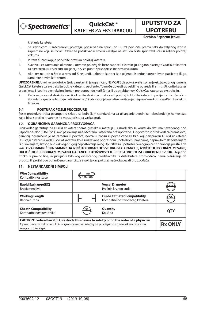

**QuickCat™ KATETER ZA EKSTRAKCIJU**

**UPOTREBU Serbian / српски језик**

**UPUTSTVO ZA** 

kretanje katetera.

- 5. Sa slavinicom u zatvorenom položaju, potiskivač na špricu od 30 ml povucite prema sebi do željenog iznosa zapremine koja se izvlači. Okrenite potiskivač u smeru kazaljke na satu da biste špric zaključali u željeni položaj vakuma.
- 6. Putem fluoroskopije potvrdite pravilan položaj katetera.
- 7. Slavinicu za zatvaranje okrenite u otvoren položaj da biste započeli ekstrakciju. Lagano plasirajte QuickCat kateter za ekstrakciju u krvni sud koji je cilj. Krv će puniti špric dok se ne istroši vakuum.
- 8. Ako krv ne uđe u špric u roku od 5 sekundi, uklonite kateter iz pacijenta. Isperite kateter izvan pacijenta ili ga zamenite novim kateterom.

**UPOZORENJE:** Ukoliko se dotok u špric zaustavi ili је ograničеn, NEMOJTE da pokušavate ispiranje ekstrakcionog lumena QuickCat katetera za ekstrakciju dok je kateter u pacijentu. To može dovesti do ozbiljne povrede ili smrti. Uklonite kateter iz pacijenta i isperite ekstrakcioni lumen pre ponovnog korišćenja ili upotrebite novi QuickCat kateter za ekstrakciju.

9. Kada se proces ekstrakcije završi, okrenite slavinicu u zatvoreni položaj i uklonite kateter iz pacijenta. Izvučena krv i tromb mogu da se ltriraju radi vizuelne i/ili laboratorijske analize korišćenjem isporučene korpe sa 40-mikronskim filterom

#### **9.4 POSTUPAK POSLE PROCEDURE**

Posle procedure treba postupati u skladu sa bolničkim standardima za uklanjanje uvodnika i obezbeđenje hemostaze kako bi se sprečilo krvarenje na mestu pristupa vaskulaturi.

## **10. OGRANIČENA GARANCIJA PROIZVOĐAČA**

Proizvođač garantuje da QuickCat kateter nema grešaka u materijalu i izradi ako se koristi do datuma navedenog pod "Upotrebiti do" ("Use By" ) i ako pakovanje nije otvoreno i oštećeno pre upotrebe. Odgovornost proizvođača prema ovoj garanciji ograničena je na zamenu ili povraćaj novca u iznosu kupovne cene za bilo koji neispravan QuickCat kateter. U slučaju oštećenja kod QuickCat katetera, koja su izazvana pogrešnom upotrebom, izmenama, nepravilnim skladištenjem ili rukovanjem, ili zbog bilo kakvog drugog nepoštovanja ovog Uputstva za upotrebu, ova ograničena garancija prestaje da važi. **OVA OGRANIČENA GARANCIJA IZRIČITO ODBACUJE SVE DRUGE GARANCIJE, IZRIČITE ILI PODRAZUMEVANE, UKLJUČUJUĆI I PODRAZUMEVANU GARANCIJU UTRŽIVOSTI ILI PRIKLADNOSTI ZA ODREĐENU SVRHU.** Nijedno fizičko ili pravno lice, uključujući i bilo kog ovlašćenog predstavnika ili distributera proizvođača, nema ovlašćenje da produži ili proširi ovu ograničenu garanciju, a svaki takav pokušaj neće obavezati proizvođača.

#### **Wire Compatibility**  $GW<sup>4</sup>$ Kompatibilnost žice Max OD **Vessel Diameter Rapid Exchange(RX)** Brzoizmenljivi Prečnik krvnog suda **Working Length Guide Catheter Compatibility** Radna dužina Kompatibilnost vodećeg katetera **Sheath Compatibility** sc **Quantity** Količina **QTY** Kompatibilnost uvodnika **CAUTION: Federal law (USA) restricts this device to sale by or on the order of a physician Rx ONLY** Oprez: Savezni zakon u SAD-u ograničava ovaj uređaj na prodaju od strane lekara ili prema njegovom nalogu.

#### **11. NESTANDARDNI SIMBOLI**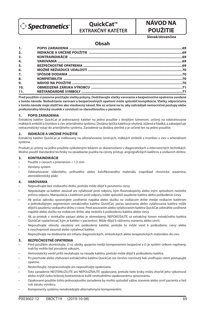

## **OuickCat™ EXTRAKČNÝ KATÉTER**

# **NÁVOD NA POUŽITIE**

### **Slovak/slovenčina**

## **Obsah**

| 1.               |  |
|------------------|--|
| 2.               |  |
| 3.               |  |
| $\overline{4}$ . |  |
| 5 <sub>1</sub>   |  |
| 6.               |  |
| $\overline{z}$   |  |
| 8.               |  |
| 9.               |  |
| 10.              |  |
| 11.              |  |

**Pred použitím si pozorne prečítajte všetky pokyny. Dodržiavajte všetky varovania a bezpečnostné opatrenia uvedené v tomto návode. Nedodržanie varovaní a bezpečnostných opatrení môže spôsobiť komplikácie. Všetky odporúčania v tomto návode majú slúžiť len ako všeobecný návod. Nie sú určené na to, aby nahrádzali nemocničné postupy alebo profesionálny klinický úsudok v súvislosti so starostlivosťou o pacienta.**

### **1. POPIS ZARIADENIA**

Extrakčný katéter QuickCat je jednorazový katéter na jedno použitie s dvojitým lúmenom, určený na odstraňovanie mäkkých embólií a trombov z ciev arteriálneho systému. Distálna špička katétra je ohybná, zúžená a hladká, a zabezpečuje netraumatický vstup do arteriálneho systému. Zariadenie sa dodáva sterilné a je určené len na jedno použitie.

## **2. INDIKÁCIE A URČENÉ POUŽITIE**

Extrakčný katéter QuickCat je indikovaný na odstraňovanie čerstvých, mäkkých embólií a trombov z ciev v arteriálnom systéme.

Produkt je určený na jedno použitie vyškolenými lekármi so skúsenosťami v diagnostických a intervenčných technikách. Možno použiť štandardné techniky na zavádzanie puzdra na cievny prístup, angiografických katétrov a vodiacich drôtov.

## **3. KONTRAINDIKÁCIE**

- Použite v cievach s priemerom < 1,5 mm
- Venózny systém
- Odstraňovanie vláknitého, priľnutého alebo kalcifikovaného materiálu (napríklad chronická zrazenina, aterosklerotický plak)

## **4. VAROVANIA**

- Nepoužívajte bez vodiaceho drôtu, pretože môže dôjsť k poraneniu cievy.
- Nepokúšajte sa katéter zasúvať ani vyťahovať proti odporu, kým fluoroskopicky alebo iným spôsobom nezistíte príčinu odporu. Manipulácia s katétrom proti odporu môže spôsobiť zauzlenie katétra alebo poškodenie cievy.
- Ak počas zákroku spozorujete uvoľnenie napätia alebo slučku na vodiacom drôte medzi vodiacim katétrom a jednokoľajným segmentom extrakčného katétra QuickCat, počas zasúvania alebo vyťahovania katétra môže dôjsť k zauzleniu vodiaceho drôtu v cieve. Pred zasúvaním alebo vyťahovaním katétra QuickCat odstráňte uvoľnené napätie alebo slučku na vodiacom drôte, aby nedošlo k poškodeniu katétra alebo cievy.
- Ak sa prietok v striekačke zastaví alebo je obmedzený, NEPOKÚŠAJTE sa extrakčný lúmen extrakčného katétra QuickCat vyplachovať, kým je katéter v pacientovi. Môže dôjsť k vážnemu zraneniu alebo smrti.
- Nepoužívajte ohnutý, zauzlený ani poškodený katéter, pretože to môže viesť k poškodeniu cievy alebo k neschopnosti zasunúť alebo vytiahnuť katéter.
- Nepoužívajte na dodávanie ani infúziu diagnostických, embolických alebo terapeutických materiálov do ciev.

## **5. BEZPEČNOSTNÉ OPATRENIA**

- Pred použitím skontrolujte, či sú všetky spojenia medzi komponentmi bezpečné a či je systém celkom naplnený, inak by mohlo byť porušené vákuum.
- Hemostatický ventil príliš neuťahujte na násade katétra, pretože môže dôjsť k poškodeniu katétra.
- Pri prechode alebo vťahovaní extrakčného katétra QuickCat cez čerstvo rozvinutý liek uvoľňujúci stent postupujte opatrne.
- Nesterilizujte, nespracovávajte ani nepoužívajte opakovane.
- Toto zariadenie NESTERILIZUJTE ani NEPOUŽÍVAJTE opakovane, pretože tieto kroky môžu zhoršiť jeho výkonnosť alebo zvýšiť riziko krížovej kontaminácie kvôli nevhodnému opakovanému spracovaniu.
- Opakované použitie tohto jednorazového zariadenia by mohlo spôsobiť vážne zranenie alebo smrť pacienta a tiež ruší záruku výrobcu.
- Komponenty systému nenahrádzajte alternatívnymi komponentmi.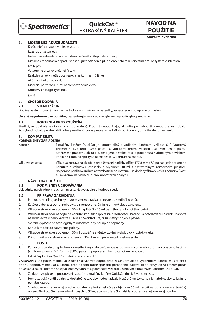

# **OuickCat™ EXTRAKČNÝ KATÉTER**

**POUŽITIE Slovak/slovenčina**

**NÁVOD NA** 

## **6. MOŽNÉ NEŽIADUCE UDALOSTI**

- Krvácanie/hematóm v mieste vstupu
- Rozstup anastomózy
- Náhle uzavretie alebo úplná oklúzia liečeného štepu alebo cievy
- Distálna embolizácia odpadu spôsobujúca oslabenie pľúc alebo ischémiu končatínLocal or systemic infection
- Kŕč tepny
- Vytvorenie artériovenóznej fistuly
- Reakcie na lieky, nežiaduca reakcia na kontrastnú látku
- Akútny infarkt myokardu
- Disekcia, perforácia, ruptúra alebo zranenie cievy
- Núdzový chirurgický zákrok
- Smrť

## **7. SPÔSOB DODANIA**

## **7.1 STERILIZÁCIA**

Dodávané sterilizované žiarením na tácke s vrchnákom na patentky, zapečatené v odlepovacom balení.

**Určené na jednorazové použitie;** nesterilizujte, nespracovávajte ani nepoužívajte opakovane.

## **7.2 KONTROLA PRED POUŽITÍM**

Sterilné, ak obal nie je otvorený ani poškodený. Produkt nepoužívajte, ak máte pochybnosti o neporušenosti obalu. Po vybratí z obalu produkt dôkladne prezrite, či počas prepravy nedošlo k poškodeniu, ohnutiu alebo zauzleniu.

## **8. KOMPATIBILITA**

## **KOMPONENTY ZARIADENIA**

Katéter: Extrakčný katéter QuickCat je kompatibilný s vodiacimi katétrami veľkosti 6 F [vnútorný priemer ≥ 1,73 mm (0,068 palca)] a vodiacimi drôtmi veľkosti 0,36 mm (0,014 palca). .<br>Katéter má pracovnú dĺžku 145 cm a jeho distálna časť je potiahnutá hydrofilným povlakom. Približne 1 mm od špičky sa nachádza RTG-kontrastná značka.

Vákuová zostava: Vákuová zostava sa skladá z predlžovacej hadičky dĺžky 177,8 mm (7,0 palca), jednocestného kohútika a vákuovej striekačky s objemom 30 ml s nastaviteľným zaisťovacím piestom. Na pomoc pri filtrovaní krvi a trombotického materiálu je dodaný filtrový košík s pórmi veľkosti 40 mikrónov na vizuálnu alebo laboratórnu analýzu.

# **9. NÁVOD NA POUŽITIE**

### **9.1 PODMIENKY UCHOVÁVANIA**

Uskladnite na chladnom, suchom mieste. Nevystavujte dlhodobo svetlu.

## **9.2 PRÍPRAVA ZARIADENIA**

- 1. Pomocou sterilnej techniky otvorte vrecko a tácku preneste do sterilného poľa.
- 2. Katéter vyberte z ochrannej cievky a skontrolujte, či nie je ohnutý alebo zauzlený.
- 3. Vákuovú striekačku s objemom 30 ml naplňte 5 10 ml bežného fyziologického roztoku.
- 4. Vákuovú striekačku napojte na kohútik, kohútik napojte na predlžovaciu hadičku a predlžovaciu hadičku napojte na hrdlo extrakčného katétra QuickCat. Skontrolujte, či sú všetky spojenia pevné.
- 5. Systém vypláchnite fyziologickým roztokom, aby bol úplne naplnený.
- 6. Kohútik otočte do zatvorenej polohy.
- 7. Vákuovú striekačku s objemom 30 ml odstráňte a všetok zvyšný fyziologický roztok vylejte.
- 8. Prázdnu vákuovú striekačku s objemom 30 ml znovu pripevnite k zostave systému.

#### **9.3 POSTUP**

- 1. Pomocou štandardnej techniky zaveďte kanylu do cieľovej cievy pomocou vodiaceho drôtu a vodiaceho katétra (vnútorný priemer ≥ 1,73 mm [0,068 palca]) s pripojeným hemostatickým ventilom.
- 2. Extrakčný katéter QuickCat založte na vodiaci drôt.

**VAROVANIE:** Ak počas manipulácie ucítite akýkoľvek odpor, pred zasunutím alebo vytiahnutím katétra musíte zistiť príčinu odporu. Manipulácia katétra proti odporu môže spôsobiť poškodenie katétra alebo cievy. Ak sa katéter počas používania zauzlí, opatrne ho z pacienta vytiahnite a pokračujte v zákroku s novým extrakčným katétrom QuickCat.

- 3. Za fluoroskopického pozorovania zasuňte extrakčný katéter QuickCat do cieľového miesta.
- 4. Hemostatický ventil utiahnite dostatočne tak, aby nedochádzalo k spätnému toku, no nie natoľko, aby to bránilo pohybu katétra.
- 5. S kohútikom v zatvorenej polohe potiahnite piest striekačky s objemom 30 ml naspäť na požadovaný extrakčný objem. Piest otočte v smere hodinových ručičiek, aby sa striekačka zaistila v požadovanej vákuovej polohe.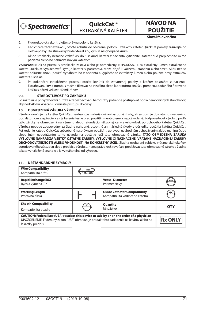

**QuickCat™ EXTRAKČNÝ KATÉTER**

**POUŽITIE Slovak/slovenčina**

**NÁVOD NA** 

- 6. Fluoroskopicky skontrolujte správnu polohu katétra.
- 7. Keď chcete začať extrakciu, otočte kohútik do otvorenej polohy. Extrakčný katéter QuickCat pomaly zasúvajte do cieľovej cievy. Do striekačky bude vtekať krv, kým sa nevyčerpá vákuum.
- 8. Ak do striekačky nezačne vtekať krv do 5 sekúnd, katéter z pacienta vytiahnite. Katéter buď prepláchnite mimo pacienta alebo ho nahraďte novým katétrom.

**VAROVANIE:** Ak sa prietok v striekačke zastaví alebo je obmedzený, NEPOKÚŠAJTE sa extrakčný lúmen extrakčného katétra QuickCat vyplachovať, kým je katéter v pacientovi. Môže dôjsť k vážnemu zraneniu alebo smrti. Skôr, než sa katéter pokúsite znovu použiť, vytiahnite ho z pacienta a vypláchnite extrakčný lúmen alebo použite nový extrakčný katéter QuickCat.

9. Po dokončení extrakčného procesu otočte kohútik do zatvorenej polohy a katéter odstráňte z pacienta. Extrahovanú krv a trombus možno filtrovať na vizuálnu alebo laboratórnu analýzu pomocou dodaného filtrového košíka s pórmi veľkosti 40 mikrónov.

## **9.4 STAROSTLIVOSŤ PO ZÁKROKU**

Po zákroku je pri vyťahovaní puzdra a zabezpečovaní hemostázy potrebné postupovať podľa nemocničných štandardov, aby nedošlo ku krvácaniu v mieste prístupu do cievy.

## **10. OBMEDZENÁ ZÁRUKA VÝROBCU**

Výrobca zaručuje, že katéter QuickCat neobsahuje materiálové ani výrobné chyby, ak sa použije do dátumu uvedeného pod dátumom exspirácie a ak je balenie tesne pred použitím neotvorené a nepoškodené. Zodpovednosť výrobcu podľa tejto záruky je obmedzená na výmenu alebo refundáciu nákupnej ceny akéhokoľvek poruchového katétra QuickCat. Výrobca nebude zodpovedný za žiadne náhodné, osobitné ani následné škody v dôsledku použitia katétra QuickCat. Poškodenie katétra QuickCat spôsobené nesprávnym použitím, úpravou, nevhodným uchovávaním alebo manipuláciou alebo iným nedodržaním tohto návodu na použitie ruší túto obmedzenú záruku. **TÁTO OBMEDZENÁ ZÁRUKA VÝSLOVNE NAHRÁDZA VŠETKY OSTATNÉ ZÁRUKY, VÝSLOVNÉ ČI NAZNAČENÉ, VRÁTANE NAZNAČENEJ ZÁRUKY OBCHODOVATEĽNOSTI ALEBO VHODNOSTI NA KONKRÉTNY ÚČEL.** Žiadna osoba ani subjekt, vrátane akéhokoľvek autorizovaného zástupcu alebo predajcu výrobcu, nemá právo rozširovať ani predlžovať túto obmedzenú záruku a žiadna takáto vynaložená snaha nie je vymáhateľná od výrobcu.

## **11. NEŠTANDARDNÉ SYMBOLY**

| <b>Wire Compatibility</b><br>Kompatibilita drôtu                                                                                                                                                            | Max OD    |                                                                        |                |
|-------------------------------------------------------------------------------------------------------------------------------------------------------------------------------------------------------------|-----------|------------------------------------------------------------------------|----------------|
| <b>Rapid Exchange(RX)</b><br>Rýchla výmena (RX)                                                                                                                                                             |           | <b>Vessel Diameter</b><br>Priemer cievy                                | mm             |
| <b>Working Length</b><br>Pracovná dĺžka                                                                                                                                                                     |           | <b>Guide Catheter Compatibility</b><br>Kompatibilita vodiaceho katétra | GC             |
| <b>Sheath Compatibility</b><br>Kompatibilita puzdra                                                                                                                                                         | <u>sc</u> | Quantity<br>Množstvo                                                   | <b>QTY</b>     |
| CAUTION: Federal law (USA) restricts this device to sale by or on the order of a physician<br>UPOZORNENIE: Federálny zákon (USA) obmedzuje predaj tohto zariadenia na lekárov alebo na<br>lekársky predpis. |           |                                                                        | <b>Rx ONLY</b> |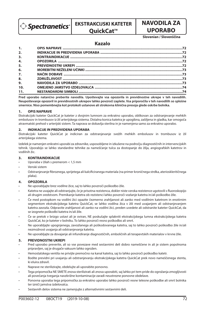$\hat{p}$  Spectranetics $\hat{p}$ 

# **EKSTRAKCIJSKI KATETER**

## **QuickCat™**

## **UPORABO Slovenian / Slovenščina**

**NAVODILA ZA** 

## **Kazalo**

| 1.               |  |
|------------------|--|
| 2.               |  |
| 3.               |  |
| 4.               |  |
| 5.               |  |
| 6.               |  |
| $\overline{z}$ . |  |
| 8.               |  |
| 9.               |  |
| 10.              |  |
| 11.              |  |

**Pred uporabo natančno preberite navodila. Upoštevajte vsa opozorila in previdnostne ukrepe v teh navodilih. Neupoštevanje opozoril in previdnostnih ukrepov lahko povzroči zaplete. Vsa priporočila v teh navodilih so splošne smernice. Niso pomembnejša kot protokoli ustanove ali strokovna klinična presoja glede oskrbe bolnika.**

## **1. OPIS NAPRAVE**

Ekstrakcijski kateter QuickCat je kateter z dvojnim lumnom za enkratno uporabo, oblikovan za odstranjevanje mehkih embolusov in trombusov iz žil arterijskega sistema. Distalna konica katetra je upogibna, zašiljena in gladka, kar omogoča atravmatski prehod v arterijski sistem. Ta naprava se dobavlja sterilna in je namenjena samo za enkratno uporabo.

### **2. INDIKACIJE IN PREDVIDENA UPORABA**

Ekstrakcijski kateter QuickCat je indiciran za odstranjevanje svežih mehkih embolusov in trombusov iz žil arterijskega sistema.

Izdelek je namenjen enkratni uporabi za zdravnike, usposobljene in izkušene na področju diagnostičnih in intervencijskih tehnik. Uporabijo se lahko standardne tehnike za nameščanje tulca za dostopanje do žilja, angiografskih katetrov in vodilnih žic.

## **3. KONTRAINDIKACIJE**

- Uporaba v žilah s premerom < 1,5 mm
- Venski sistem
- Odstranjevanje fibroznega, sprijetega ali kalcificiranega materiala (na primer kroničnega strdka, aterioskleritičnega plaka).

## **4. OPOZORILA**

- Ne uporabljajte brez vodilne žice, saj to lahko povzroči poškodbo žile.
- Katetra ne uvajajte ali odstranjujte, če je prisotna rezistenca, dokler niste vzroka rezistence ugotovili s fluoroskopijo ali drugim sredstvom. Premikanje katetra ob rezistenci lahko povzroči vozlanje katetra in/ali poškodbo žile.
- Če med postopkom na vodilni žici opazite čezmerno zrahljanost ali zanko med vodilnim katetrom in enotirnim segmentom ekstrakcijskega katetra QuickCat, se lahko vodilna žica v žili med uvajanjem ali odstranjevanjem katetra zavozla. Odpravite zrahljanost ali zanko na vodilni žici, preden uvedete ali odstranite kateter QuickCat, da se izognete poškodbi katetra in/ali žile.
- Če se pretok v brizgo ustavi ali je oviran, NE poskušajte splakniti ekstrakcijskega lumna ekstrakcijskega katetra QuickCat, ko je kateter v bolniku. To lahko povzroči resno poškodbo ali smrt.
- Ne uporabljajte upognjenega, zavozlanega ali poškodovanega katetra, saj to lahko povzroči poškodbo žile in/ali nezmožnost uvajanja ali odstranjevanja katetra.
- Ne uporabljajte za dovajanje ali infundiranje diagnostičnih, emboličnih ali terapevtskih materialov v krvne žile.

## **5. PREVIDNOSTNI UKREPI**

- Pred uporabo preverite, ali so vse povezave med sestavnimi deli dobro nameščene in ali je sistem popolnoma pripravljen, saj je drugače vakuum lahko ogrožen.
- Hemostatskega ventila ne privijte premočno na kanal katetra, saj to lahko povzroči poškodbo katetr.
- Bodite previdni pri uvajanju ali odstranjevanju ekstrakcijskega katetra QuickCat prek novo nameščenega stenta, ki eluira zdravil.
- Naprave ne sterilizirajte, obdelujte ali uporabite ponovno.
- Tega pripomočka NE SMETE znova sterilizirati ali znova uporabiti, saj lahko pri tem pride do ogrožanja zmogljivosti ali povečanja tveganja navzkrižne kontaminacije zaradi neustrezne ponovne obdelave.
- Ponovna uporaba tega pripomočka za enkratno uporabo lahko povzroči resne telesne poškodbe ali smrt bolnika ter izniči jamstva izdelovalca.
- Sestavnih delov sistema ne zamenjujte z alternativnimi sestavnimi deli.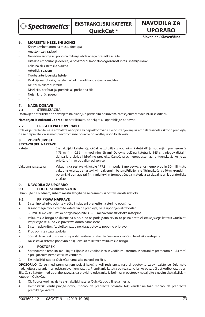$\hat{p}$  Spectranetics $\hat{p}$ 

## **EKSTRAKCIJSKI KATETER**

## **QuickCat™**

## **UPORABO Slovenian / Slovenščina**

**NAVODILA ZA** 

#### **6. MOREBITNI NEŽELENI UČINKI**

- Krvavitev/hematom na mestu dostopa
- Anastomozni razkroj
- Nenadno zaprtje ali popolna okluzija obdelanega presadka ali žile
- Distalna embolizacija debrija, ki povzroči pulmonalno ogroženost in/ali ishemijo udov.
- Lokalna ali sistemska okužba
- Arterijski spazem
- Tvorba arteriovenske fistule
- Reakcije na zdravila, neželeni učinki zaradi kontrastnega sredstva
- Akutni miokardni infarkt
- Disekcija, perforacija, predrtje ali poškodba žile
- Nujen kirurški poseg
- Smrt

#### **7. NAČIN DOBAVE**

#### **7.1 STERILIZACIJA**

Dostavljeno sterilizirano s sevanjem na pladnju s pritrjenim pokrovom, zatesnjenim v ovojnini, ki se odlepi.

**Namenjen je enkratni uporabi;** ne sterilizirajte, obdelujte ali uporabljajte ponovno.

#### **7.2 PREGLED PRED UPORABO**

Izdelek je sterilen le, če je embalaža neodprta ali nepoškodovana. Po odstranjevanju iz embalaže izdelek skrbno preglejte, da se prepričate, da se med prevozom niso pojavile poškodbe, upogibi ali vozli.

#### **8. ZDRUŽLJIVOST**

#### **SESTAVNI DELI NAPRAVE**

Kateter: Ekstrakcijski kateter QuickCat je združljiv z vodilnimi katetri 6F [z notranjim premerom ≥ 1,73 mm] in 0,36 mm vodilnimi žicami. Delovna dolžina katetra je 145 cm, njegov distalni del pa je prekrit s hidrofilno prevleko. Označevalec, neprepusten za rentgenske žarke, je za približno 1 mm oddaljen od konice.

Vakuumska sestava: Vakuumska sestava vključuje 177,8 mm podaljšano cevko, enosmerno pipo in 30-mililitrsko vakuumsko brizgo z nastavljivim zaklepnim batom. Priložena je filtrirna košara s 40-mikronskimi porami, ki pomaga pri filtriranju krvi in trombotičnega materiala za vizualne ali laboratorijske analize.

#### **9. NAVODILA ZA UPORABO**

#### **9.1 POGOJI SHRANJEVANJA**

Shranjujte na hladnem, suhem mestu. Izogibajte se čezmerni izpostavljenosti svetlobi.

#### **9.2 PRIPRAVA NAPRAVE**

- 1. S sterilno tehniko odprite vrečko in pladenj prenesite na sterilno površino.
- 2. Iz zaščitnega ovoja vzemite kateter in ga preglejte, če je upognjen ali zavozlan.
- 3. 30-mililitrsko vakuumsko brizgo napolnite s 5-10 ml navadne fiziološke raztopine.
- 4. Vakuumsko brizgo priključite na pipo, pipo na podaljšano cevko, to pa na pesto ekstrakcijskega katetra QuickCat. Prepričajte se, ali so vse povezave dobro nameščene.
- 5. Sistem splaknite s fiziološko raztopino, da zagotovite popolno pripravo.
- 6. Pipo obrnite v zaprt položaj.
- 7. 30-mililitrsko vakuumsko brizgo odstranite in odstranite čezmerno količino fiziološke raztopine.
- 8. Na sestavo sistema ponovno priključite 30-mililitrsko vakuumsko brizgo.

#### **9.3 POSTOPEK**

- 1. S standardno tehniko kanulirajte ciljno žilo z vodilno žico in vodilnim katetrom (z notranjim premerom ≥ 1,73 mm) s priključenim hemostatskim ventilom.
- 2. Ekstrakcijski kateter QuickCat namestite na vodilno žico.

**OPOZORILO:** Če se med premikanjem pojavi kakršna koli rezistenca, najprej ugotovite vzrok rezistence, šele nato nadaljujte z uvajanjem ali odstranjevanjem katetra. Premikanje katetra ob rezistenci lahko povzroči poškodbo katetra ali žile. Če se kateter med uporabo zavozla, ga previdno odstranite iz bolnika in postopek nadaljujte z novim ekstrakcijskim katetrom QuickCat.

- 3. Ob fluoroskopiji uvajajte ekstrakcijski kateter QuickCat do ciljnega mesta.
- 4. Hemostatski ventil privijte dovolj močno, da preprečite povratni tok, vendar ne tako močno, da preprečite premikanje katetra.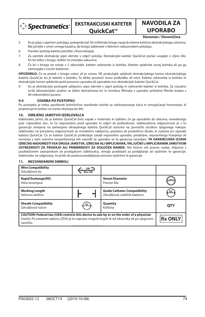> Spectranetics\*

## **NAVODILA ZA UPORABO**

#### **Slovenian / Slovenščina**

- 5. Ko je pipa v zaprtem položaju, potegnite bat 30-mililitrske brizge nazaj do želene količine ekstrakcijskega volumna. Bat privijte v smeri urnega kazalca, da brizgo zaklenete v želenem vakuumskem položaju.
- 6. Pravilen položaj katetra potrdite s fluoroskopijo.
- 7. Za začetek ekstrakcije pipo obrnite v odprt položaj. Ekstrakcijski kateter QuickCat počasi uvajajte v ciljno žilo. Kri bo tekla v brizgo, dokler ne zmanjka vakuuma.
- 8. Če kri v brizgo ne vstopi v 5 sekundah, kateter odstranite iz bolnika. Kateter splaknite zunaj bolnika ali pa ga zamenjajte z novim katetrom.

**OPOZORILO:** Če se pretok v brizgo ustavi ali je oviran, NE poskušajte splakniti ekstrakcijskega lumna ekstrakcijskega katetra QuickCat, ko je kateter v bolniku. To lahko povzroči resno poškodbo ali smrt. Kateter odstranite iz bolnika in ekstrakcijski lumen splaknite pred ponovno uporabo ali uporabite nov ekstrakcijski kateter QuickCat.

9. Ko je ekstrakcijski postopek zaključen, pipo obrnite v zaprt položaj in odstranite kateter iz bolnika. Za vizualno in/ali laboratorijsko analizo se lahko ekstrahirana kri in trombus filtrirata z uporabo priložene filtrske košare s 40-mikronskimi porami.

#### **9.4 OSKRBA PO POSTOPKU**

Po postopku je treba upoštevati bolnišnične standarde oskrbe za odstranjevanje tulca in omogočanje hemostaze, ki preprečuje krvavitev na mestu dostopa do žile.

#### **10. OMEJENO JAMSTVO IZDELOVALCA**

Izdelovalec jamči, da je kateter QuickCat brez napak v materialu in izdelavi, če ga uporabite do datuma, navedenega pod »Uporabno do«, in če neposredno pred uporabo ni odprt ali poškodovan. Izdelovalčeva odgovornost je s to garancijo omejena na zamenjavo okvarjenega katetra QuickCat oziroma na povračilo stroškov njegovega nakupa. Izdelovalec ne prevzema odgovornosti za morebitno naključno, posebno ali posledično škodo, ki nastane pri uporabi katetra QuickCat. Če se kateter QuickCat poškoduje zaradi nepravilne uporabe, predelave, nepravilnega hranjenja ali ravnanja z njim oziroma neupoštevanja teh navodil za uporabo, se ta garancija razveljavi. **TA GARANCIJSKA IZJAVA IZRECNO NADOMESTI VSA DRUGA JAMSTVA, IZRECNA ALI IMPLICIRANA, VKLJUČNO z IMPLICIRANIM JAMSTVOM**  USTREZNOSTI ZA PRODAJO ALI PRIMERNOSTI ZA DOLOČEN NAMEN. Niti fizične niti pravne osebe, vključno s pooblaščenim zastopnikom ali prodajalcem izdelovalca, nimajo pooblastil za podaljšanje ali razširitev te garancije. Izdelovalec ne odgovarja, če pride do poskusa podaljšanja oziroma razširitve te garancije.

#### **11. NESTANDARDNI SIMBOLI**

| <b>Wire Compatibility</b><br>Združljivost žic                                                                                                                                                           | $\mathsf{GW}$ $\overline{\phantom{0}}$<br>Max OD |                                                                       |                |
|---------------------------------------------------------------------------------------------------------------------------------------------------------------------------------------------------------|--------------------------------------------------|-----------------------------------------------------------------------|----------------|
| <b>Rapid Exchange(RX)</b><br>Hitra izmenjava                                                                                                                                                            |                                                  | <b>Vessel Diameter</b><br>Premer žile                                 | mm             |
| <b>Working Length</b><br>Delovna dolžina                                                                                                                                                                |                                                  | <b>Guide Catheter Compatibility</b><br>Združljivost vodilnih katetrov | GC             |
| <b>Sheath Compatibility</b><br>Združljivost tulcev                                                                                                                                                      | SC                                               | Quantity<br>Količina                                                  | <b>QTY</b>     |
| CAUTION: Federal law (USA) restricts this device to sale by or on the order of a physician<br>Svarilo: Po zveznem zakonu (ZDA) je to napravo mogoče kupiti le od zdravnika ali po njegovem<br>naročilu. |                                                  |                                                                       | <b>Rx ONLY</b> |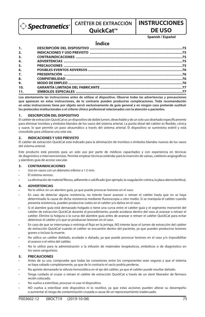> Spectranetics\*

## **CATÉTER DE EXTRACCIÓN**

## **QuickCat™**

### **DE USO Spanish / Español**

**INSTRUCCIONES** 

## **Índice**

| 1.11             |  |
|------------------|--|
| 2.               |  |
| 3.               |  |
| $\overline{4}$ . |  |
| 5.               |  |
| 6.               |  |
| 7.               |  |
| 8.               |  |
| 9.               |  |
| 10.              |  |
| 11.              |  |

**Lea atentamente las instrucciones antes de utilizar el dispositivo. Observe todas las advertencias y precauciones que aparecen en estas instrucciones, de lo contrario pueden producirse complicaciones. Toda recomendación en estas instrucciones tiene por objeto servir exclusivamente de guía general y en ningún caso pretende sustituir los protocolos institucionales o el criterio clínico profesional relacionados con la atención a pacientes.**

#### **1. DESCRIPCIÓN DEL DISPOSITIVO**

El catéter de extracción QuickCat es un dispositivo de doble lumen, desechable y de un solo uso diseñado específicamente para eliminar trombos y émbolos blandos de los vasos del sistema arterial. La punta distal del catéter es flexible, cónica y suave, lo que permite un paso atraumático a través del sistema arterial. El dispositivo se suministra estéril y está concebido para utilizarse una sola vez.

#### **2. INDICACIONES Y USO PREVISTO**

El catéter de extracción QuickCat está indicado para la eliminación de trombos o émbolos blandos nuevos de los vasos del sistema arterial.

Este producto está previsto para un solo uso por parte de médicos capacitados y con experiencia en técnicas de diagnóstico e intervencionistas. Permite emplear técnicas estándar para la inserción de vainas, catéteres angiográficos y alambres guía de acceso vascular.

#### **3. CONTRAINDICACIONES**

- Uso en vasos con un diámetro inferior a 1.5 mm.
- El sistema venoso.
- La eliminación de material fibroso, adherente o calcificado (por ejemplo, la coagulación crónica, la placa aterosclerótica).

#### **4. ADVERTENCIAS**

- No lo utilice sin un alambre guía, ya que puede provocar lesiones en el vaso.
- En caso de detectar alguna resistencia, no intente hacer avanzar o retraer el catéter hasta que no se haya determinado la causa de dicha resistencia mediante fluoroscopia u otro medio. Si se manipula el catéter cuando presenta resistencia, pueden producirse codos en el catéter y/o daños en el vaso.
- Si el alambre guía está demasiado holgado o tiene una curva entre el catéter guía y el segmento monorriel del catéter de extracción QuickCat durante el procedimiento, puede acodarse dentro del vaso al avanzar o retraer el catéter. Elimine la holgura o la curva del alambre guía antes de avanzar o retraer el catéter QuickCat para evitar deteriorar el catéter y/o que se produzcan lesiones en el vaso.
- En caso de que se interrumpa o restrinja el flujo en la jeringa, NO intente lavar el lumen de extracción del catéter de extracción QuickCat cuando el catéter se encuentre dentro del paciente, ya que pueden producirse lesiones graves o incluso la muerte.
- No utilice un catéter doblado, acodado o dañado, ya que puede provocar lesiones en el vaso y/o imposibilitar el avance o el retiro del catéter.
- No lo utilice para la administración o la infusión de materiales terapéuticos, embólicos o de diagnóstico en los vasos sanguíneos.

#### **5. PRECAUCIONES**

- Antes de su uso, compruebe que todas las conexiones entre los componentes sean seguras y que el sistema se haya cebado completamente, ya que de lo contrario el vacío podría perderse.
- No apriete demasiado la válvula hemostática en el eje del catéter, ya que el catéter puede resultar dañado.
- Tenga cuidado al cruzar o retraer el catéter de extracción QuickCat a través de un stent liberador de fármaco recién colocado.
- No vuelva a esterilizar, procesar ni usar el dispositivo.
- NO vuelva a esterilizar este dispositivo ni lo reutilice, ya que estas acciones pueden alterar su desempeño o aumentar el riesgo de contaminación cruzada a causa de un reprocesamiento inadecuado.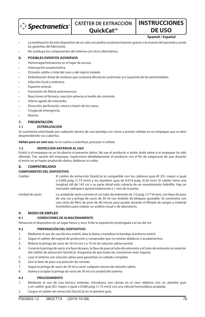> Spectranetics\*

## **CATÉTER DE EXTRACCIÓN**

## **QuickCat™**

## **DE USO Spanish / Español**

**INSTRUCCIONES** 

- La reutilización de este dispositivo de un solo uso podría ocasionar lesiones graves o la muerte del paciente y anula las garantías del fabricante.
- No sustituya los componentes del sistema con otros alternativos.

#### **6. POSIBLES EVENTOS ADVERSOS**

- Hemorragia/hematoma en el lugar de acceso.
- Interrupción anastomótica.
- Oclusión súbita o total del vaso o del injerto tratado.
- Embolización distal de residuos que ocasiona afectación pulmonar y/o isquemia de las extremidades.
- Infección local o sistémica.
- Espasmo arterial.
- Formación de fístula arteriovenosa.
- Reacciones al fármaco, reacción adversa al medio de contraste.
- Infarto agudo de miocardio.
- Disección, perforación, rotura o lesión de los vasos.
- Cirugía de emergencia.
- Muerte.

#### **7. PRESENTACIÓN**

#### **7.1 ESTERILIZACIÓN**

Se suministra esterilizado por radiación dentro de una bandeja con cierre a presión sellada en un empaque que se abre desprendiendo sus cubiertas.

**Válido para un solo uso**; no lo vuelva a esterilizar, procesar ni utilizar.

#### **7.2 INSPECCIÓN ANTERIOR AL USO**

Estéril si el empaque no se ha abierto ni presenta daños. No use el producto si existe duda sobre si el empaque ha sido alterado. Tras sacarlo del empaque, inspeccione detalladamente el producto con el fin de asegurarse de que durante el envío no se hayan producido daños, dobleces ni codos.

#### **8. COMPATIBILIDAD**

#### **COMPONENTES DEL DISPOSITIVO**

| Catéter:          | El catéter de extracción QuickCat es compatible con los catéteres quía 6F (D.I. mayor o igual<br>a 0.068 pulg. [1.73 mm]) y los alambres quía de 0.014 pulg. (0.36 mm). El catéter tiene una<br>longitud útil de 145 cm y su parte distal está cubierta de un revestimiento hidrófilo. Hay un<br>marcador radiopaco aproximadamente a 1 mm de la punta. |
|-------------------|---------------------------------------------------------------------------------------------------------------------------------------------------------------------------------------------------------------------------------------------------------------------------------------------------------------------------------------------------------|
| Llnidad de vacío: | La unidad do vacío consisto on un tubo do oxtonsión do 7.0 pula (177.8 mm), con llavo do paso.                                                                                                                                                                                                                                                          |

Unidad de vacío: La unidad de vacío consiste en un tubo de extensión de 7.0 pulg. (177.8 mm), c de una vía y jeringa de vacío de 30 ml con émbolo de bloqueo ajustable. Se suministra con una cesta de filtro de poro de 40 micras para ayudar durante el filtrado de sangre y material trombótico para realizar un análisis visual o de laboratorio.

#### **9. MODO DE EMPLEO**

#### **9.1 CONDICIONES DE ALMACENAMIENTO**

Almacene el dispositivo en un lugar fresco y seco. Evite la exposición prolongada a la luz del sol.

#### **9.2 PREPARACIÓN DEL DISPOSITIVO**

- 1. Mediante el uso de una técnica estéril, abra la bolsa y transfiera la bandeja al entorno estéril.
- 2. Saque el catéter del espiral de protección y compruebe que no existan dobleces o acodamientos.
- 3. Rellene la jeringa de vacío de 30 ml con 5 a 10 ml de solución salina normal.
- 4. Conecte la jeringa de vacío a la llave de paso, la llave de paso al tubo de extensión y el tubo de extensión al conector del catéter de extracción QuickCat. Asegúrese de que todas las conexiones sean seguras.
- 5. Lave el sistema con solución salina para garantizar un cebado completo.
- 6. Gire la llave de paso a la posición de cerrado.
- 7. Saque la jeringa de vacío de 30 ml y vacíe cualquier exceso de solución salina.
- 8. Vuelva a acoplar la jeringa de vacío de 30 ml a la unidad del sistema.

#### **9.3 PROCEDIMIENTO**

- 1. Mediante el uso de una técnica estándar, introduzca una cánula en el vaso objetivo con un alambre guía y un catéter guía (D.I. mayor o igual a 0.068 pulg. [1.73 mm]) con una válvula hemostática acoplada.
- 2. Cargue el catéter de extracción QuickCat en el alambre guía.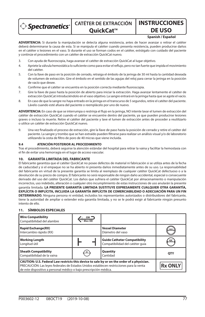

## **CATÉTER DE EXTRACCIÓN OuickCat™**

### **DE USO Spanish / Español**

**INSTRUCCIONES** 

**ADVERTENCIA:** Si durante la manipulación se detecta alguna resistencia, antes de hacer avanzar o retirar el catéter deberá determinarse la causa de esta. Si se manipula el catéter cuando presenta resistencia, pueden producirse daños en el catéter o lesiones en el vaso. Si durante el uso se forman codos en el catéter, extráigalo con cuidado del paciente y continúe el procedimiento con un catéter de extracción QuickCat nuevo.

- 3. Con ayuda de fluoroscopia, haga avanzar el catéter de extracción QuickCat al lugar objetivo.
- 4. Apriete la válvula hemostática lo suficiente como para evitar el refluio, pero no tan fuerte que impida el movimiento del catéter.
- 5. Con la llave de paso en la posición de cerrado, retraiga el émbolo de la jeringa de 30 ml hasta la cantidad deseada de volumen de extracción. Gire el émbolo en el sentido de las agujas del reloj para cerrar la jeringa en la posición de vacío que desee.
- 6. Confirme que el catéter se encuentra en la posición correcta mediante fluoroscopia.
- 7. Gire la llave de paso hasta la posición de abierto para iniciar la extracción. Haga avanzar lentamente el catéter de extracción QuickCat introduciéndolo en el vaso objetivo. La sangre entrará en la jeringa hasta que se agote el vacío.
- 8. En caso de que la sangre no haya entrado en la jeringa en el transcurso de 5 segundos, retire el catéter del paciente. Lávelo cuando esté afuera del paciente o reemplácelo por uno de nuevo.

ADVERTENCIA: En caso de que se interrumpa o restrinja el flujo en la jeringa, NO intente lavar el lumen de extracción del catéter de extracción QuickCat cuando el catéter se encuentre dentro del paciente, ya que pueden producirse lesiones graves o incluso la muerte. Retire el catéter del paciente y lave el lumen de extracción antes de proceder a reutilizarlo o utilice un catéter de extracción QuickCat nuevo.

9. Una vez finalizado el proceso de extracción, gire la llave de paso hasta la posición de cerrado y retire el catéter del paciente. La sangre y trombo que se han extraído pueden filtrarse para realizar un análisis visual y/o de laboratorio utilizando la cesta de filtro de poro de 40 micras que viene incluida.

#### **9.4 ATENCIÓN POSTERIOR AL PROCEDIMIENTO**

Tras el procedimiento, deberá seguirse la atención estándar del hospital para retirar la vaina y facilitar la hemostasia con el fin de evitar una hemorragia en el lugar de acceso vascular.

#### **10. GARANTÍA LIMITADA DEL FABRICANTE**

El fabricante garantiza que el catéter QuickCat no posee defectos de material ni fabricación si se utiliza antes de la fecha de caducidad y si el empaque no se ha abierto ni presenta daños inmediatamente antes de su uso. La responsabilidad del fabricante en virtud de la presente garantía se limita al reemplazo de cualquier catéter QuickCat defectuoso o a la devolución de su precio de compra. El fabricante no será responsable de ningún daño accidental, especial o consecuente derivado del uso del catéter QuickCat. Los daños que sufriera el catéter QuickCat por almacenamiento o manipulación incorrectos, uso indebido, alteración o cualquier otro incumplimiento de estas instrucciones de uso anularán la presente garantía limitada. **LA PRESENTE GARANTÍA LIMITADA SUSTITUYE EXPRESAMENTE CUALQUIER OTRA GARANTÍA, EXPLÍCITA O IMPLÍCITA, INCLUIDA LA GARANTÍA IMPLÍCITA DE COMERCIABILIDAD O ADECUACIÓN PARA UN FIN DETERMINADO.** Ninguna persona ni entidad, incluidos los representantes autorizados o distribuidores del fabricante, tiene la autoridad de ampliar o extender esta garantía limitada, y no se le podrá exigir al fabricante ningún presunto intento de ello.

#### **11. SÍMBOLOS ESPECIALES**

| <b>Wire Compatibility</b><br>Compatibilidad del alambre                                                                                                                                                                                                     | $\mathsf{GW} =$<br>Max OD |                                                                        |                |
|-------------------------------------------------------------------------------------------------------------------------------------------------------------------------------------------------------------------------------------------------------------|---------------------------|------------------------------------------------------------------------|----------------|
| <b>Rapid Exchange(RX)</b><br>Intercambio rápido (RX)                                                                                                                                                                                                        |                           | <b>Vessel Diameter</b><br>Diámetro del vaso                            | mm             |
| <b>Working Length</b><br>Longitud útil                                                                                                                                                                                                                      |                           | <b>Guide Catheter Compatibility</b><br>Compatibilidad del catéter quía | GC             |
| <b>Sheath Compatibility</b><br>Compatibilidad de la vaina                                                                                                                                                                                                   |                           | Quantity<br>Cantidad                                                   | <b>OTY</b>     |
| CAUTION: U.S. Federal Law restricts this device to sale by or on the order of a physician.<br>PRECAUCIÓN: Las leyes federales de Estados Unidos establecen restricciones para la venta<br>de este dispositivo a personal médico o bajo prescripción médica. |                           |                                                                        | <b>Rx ONLY</b> |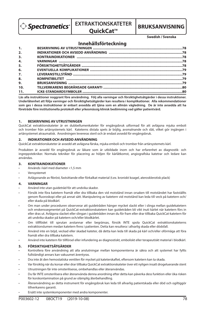$\hat{ }$  Spectranetics $\hat{ }$ 

## **EXTRAKTIONSKATETER**

# **QuickCat™** BRUKSANVISNING

**Swedish / Svenska**

### **Innehållsförteckning**

| 1.  |  |
|-----|--|
| 2.  |  |
| 3.  |  |
| 4.  |  |
| 5.  |  |
| 6.  |  |
| 7.  |  |
| 8.  |  |
| 9.  |  |
| 10. |  |
| 11. |  |

**Läs alla instruktioner noggrant före användning. Följ alla varningar och försiktighetsåtgärder i dessa instruktioner. Underlåtenhet att följa varningar och försiktighetsåtgärder kan resultera i komplikationer. Alla rekommendationer som ges i dessa instruktioner är enbart avsedda att tjäna som en allmän vägledning. De är inte avsedda att ha företräde före institutionella protokoll eller yrkesmässig klinisk bedömning vad gäller patientvård.**

#### **1. BESKRIVNING AV UTRUSTNINGEN**

QuickCat extraktionskateter är en dubbellumenkateter för engångsbruk utformad för att avlägsna mjuka emboli och tromber från artärsystemets kärl. Kateterns distala spets är böjlig, avsmalnande och slät, vilket gör ingången i artärsystemet atraumatisk. Anordningen levereras steril och är endast avsedd för engångsbruk.

#### **2. INDIKATIONER OCH AVSEDD ANVÄNDNING**

QuickCat extraktionskateter är avsedd att avlägsna färska, mjuka emboli och tromber från artärsystemets kärl.

Produkten är avsedd för engångsbruk av läkare som är utbildade inom och har erfarenhet av diagnostik- och ingreppstekniker. Normala tekniker för placering av höljen för kärlåtkomst, angiografiska katetrar och ledare kan användas.

#### **3. KONTRAINDIKATIONER**

- Används i kärl med diameter <1,5 mm
- **Vensystemet**
- Avlägsnande av bröst, fastsittande eller förkalkat material (t.ex. kroniskt koagel, aterosklerotisk plack)

#### **4. VARNINGAR**

- Använd inte utan guidetråd för att undvika skador.
- Försök inte föra katetern framåt eller dra tillbaka den vid motstånd innan orsaken till motståndet har fastställts genom uoroskopi eller på annat sätt. Manipulering av katetern vid motstånd kan leda till veck på katetern och/ eller skada på blodkärl.
- Om man under proceduren observerar att guidetråden hänger mycket slackt eller i slinga mellan guidekatetern och enskenssegmentet på QuickCat-extraktionskatetern kan guidetråden bli vikt inuti kärlet när katetern förs in eller dras ut. Avlägsna slacket eller slingan i guidetråden innan du för fram eller drar tillbaka QuickCat-katetern för att undvika skador på katetern och/eller blodkärlet.
- Om till ödet till sprutan avstannar eller begränsas, försök INTE spola QuickCat extraktionskateterns extraktionslumen medan katetern finns i patienten. Detta kan resultera i allvarlig skada eller dödsfall.
- Använd inte en böjd, veckad eller skadad kateter, då detta kan leda till skada på kärl och/eller oförmåga att föra framåt eller dra tillbaka katetern.
- Använd inte katetern för tillförsel eller infundering av diagnostiskt, emboliskt eller terapeutiskt material i blodkärl.

#### **5. FÖRSIKTIGHETSÅTGÄRDER**

- Kontrollera före användning att alla anslutningar mellan komponenterna är säkra och att systemet har fyllts fullständigt annars kan vakuumet äventyras.
- Dra inte åt den hemostatiska ventilen för mycket på kateterskaftet, eftersom katetern kan ta skada.
- Var försiktig när du korsar eller drar tillbaka QuickCat extraktionskateter över ett nyligen insatt drogeluerande stent
- Utrustningen får inte omsteriliseras, ombehandlas eller återanvändas.
- Du får INTE omsterilisera eller återanvända denna anordning efter detta kan påverka dess funktion eller öka risken för korskontamination på grund av olämplig återbehandling.
- Återanvändning av detta instrument för engångsbruk kan leda till allvarlig patientskada eller död och ogiltiggör tillverkarens garanti.
- Ersätt inte systemkomponenter med andra komponenter.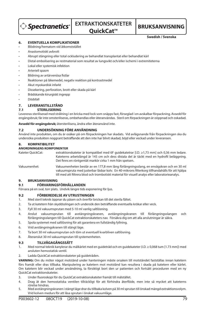

**QuickCat™** BRUKSANVISNING

**Swedish / Svenska**

#### **6. EVENTUELLA KOMPLIKATIONER**

- Blödning/hematom vid åtkomststället
- Anastomotiskt avbrott
- Abrupt stängning eller total ockludering av behandlat transplantat eller behandlat kärl
- Distal embolisering av restmaterial som resultat av lungsvikt och/eller ischemi i extremiteterna
- Lokal eller systemisk infektion
- Arteriell spasm
- Bildning av artärvenösa fistlar
- Reaktioner på läkemedel, negativ reaktion på kontrastmedel
- Akut myokardisk infarkt
- Dissekering, perforation, brott eller skada på kärl
- Brådskande kirurgiskt ingrepp
- Dödsfall

#### **7. LEVERANSTILLSTÅND**

#### **7.1 STERILISERING**

Levereras steriliserad med strålning i en bricka med lock som snäpps fast, förseglad i en avskalbar förpackning. Avsedd för engångsbruk; får inte omsteriliseras, ombehandlas eller återanvändas. Steril om förpackningen är oöppnad och oskadad.

**Avsedd för engångsbruk;** återsterilisera, ändra eller återanvänd inte.

#### **7.2 UNDERSÖKNING FÖRE ANVÄNDNING**

Använd inte produkten, om du är osäker på om förpackningen har skadats. Vid avlägsnande från förpackningen ska du undersöka produkten noggrant beträffande att den inte har blivit skadad, böjd eller veckad under leveransen.

#### **8. KOMPATIBILITET**

#### **ANORDNINGENS KOMPONENTER**

Kateter QuickCat: extraktionskateter är kompatibel med 6F guidekatetrar [I.D. ≥1,73 mm] och 0,36 mm ledare. Kateterns arbetslängd är 145 cm och dess distala del är täckt med en hydrofil beläggning. Det finns en röntgentät markör cirka 1 mm från spetsen.

Vakuumenhet: Vakuumenheten består av en 177,8 mm lång förlängningsslang, en envägskran och en 30 ml vakuumspruta med justerbar låsbar kolv. En 40-mikrons filterkorg tillhandahålls för att hjälpa till med att filtrera blod och trombotiskt material för visuell analys eller laboratorieanalys.

#### **9. BRUKSANVISNING**

#### **9.1 FÖRVARINGSFÖRHÅLLANDEN**

Förvara på en sval, torr plats. Undvik längre tids exponering för ljus.

#### **9.2 FÖRBEREDELSE AV UTRUSTNINGEN**

- 1. Med steril teknik öppnar du påsen och överför brickan till det sterila fältet.
- 2. Ta ut katetern från skyddsslingan och undersök den beträffande eventuella krökar eller veck.
- 3. Fyll 30 ml vakuumsprutan med 5-10 ml vanlig saltlösning.
- 4. Anslut vakuumsprutan till avstängningskranen, avstängningskranen till förlängningsslangen och förlängningsslangen till QuickCat extraktionskateters nav. Försäkra dig om att alla anslutningar är säkra.
- 5. Spola systemet med saltlösning för att garantera en fullständig fyllning.
- 6. Vrid avstängningskranen till stängt läge.
- 7. Ta bort 30 ml vakuumsprutan och töm ut eventuell kvarbliven saltlösning.
- 8. Återanslut 30 ml vakuumsprutan till systemenheten.

#### **9.3 TILLVÄGAGÅNGSSÄTT**

- 1. Med normal teknik kanylerar du målkärlet med en guidetråd och en guidekateter (I.D. ≥ 0,068 tum [1.73 mm]) med ansluten hemostatisk ventil.
- Ladda QuickCat extraktionskateter på guidetråden.

**VARNING:** Om du möter något motstånd under hanteringen måste orsaken till motståndet fastställas innan katetern förs framåt eller dras tillbaka. Manipulering av katetern mot motstånd kan resultera i skada på katetern eller kärlet. Om katetern blir veckad under användning, ta försiktigt bort den ur patienten och fortsätt proceduren med en ny QuickCat extraktionskateter.

- 3. Under fluoroskopi för du QuickCat extraktionskateter framåt till målstället.
- 4. Drag åt den hemostatiska ventilen tillräckligt för att förhindra återflöde, men inte så mycket att kateterns rörelse hindras.
- 5. Med avstängningskranen i stängt läge drar du tillbaka kolven på 30 ml sprutan till önskad mängd extraktionsvolym. Vrid kolven medurs för att låsa sprutan i önskat vakuumläge.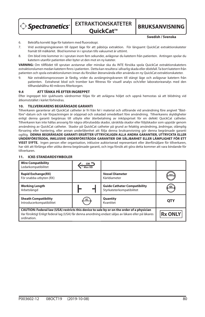> Spectranetics<sup>®</sup>

**EXTRAKTIONSKATETER QuickCat™** BRUKSANVISNING

**Swedish / Svenska**

- 6. Bekräfta korrekt läge för katetern med fluoroskopi.
- 7. Vrid avstängningskranen till öppet läge för att påbörja extraktion. För långsamt QuickCat extraktionskateter framåt till målkärlet. Blod kommer in i sprutan tills vakuumet är uttömt.
- 8. Om blod inte kommer in i sprutan inom fem sekunder, avlägsnar du katetern från patienten. Antingen spolar du katetern utanför patienten eller byter ut den mot en ny kateter.

**VARNING:** Om till ödet till sprutan avstannar eller minskar ska du INTE försöka spola QuickCat extraktionskateters extraktionslumen medan katetern finns i patienten. Detta kan resultera i allvarlig skada eller dödsfall. Ta bort katetern från patienten och spola extraktionslumen innan du försöker återanvända eller använda en ny QuickCat extraktionskateter.

9. När extraktionsprocessen är färdig, vrider du avstängningskranen till stängt läge och avlägsnar katetern från patienten. Extraherat blod och tromber kan filtreras för visuell analys och/eller laboratorieanalys med den tillhandahållna 40-mikrons filterkorgen.

#### **9.4 ATT TÄNKA PÅ EFTER INGREPPET**

Efter ingreppet bör sjukhusets vårdnormer följas för att avlägsna höljet och uppnå hemostas så att blödning vid åtkomststället i kärlet förhindras.

#### **10. TILLVERKARENS BEGRÄNSADE GARANTI**

Tillverkaren garanterar att QuickCat catheter är fri från fel i material och utförande vid användning före angivet "Bästföre"-datum och när förpackningen är oöppnad och oskadad omedelbart före användning. Tillverkarens skyldigheter enligt denna garanti begränsas till utbyte eller återbetalning av inköpspriset för en defekt QuickCat catheter. Tillverkaren kan inte hållas ansvarig för några oförutsedda skador, särskilda skador eller följdskador som uppstår genom användning av QuickCat catheter. Skador på QuickCat catheter på grund av felaktig användning, ändringar, olämplig förvaring eller hantering, eller annan underlåtenhet att följa denna bruksanvisning gör denna begränsade garanti ogiltig. **DENNA BEGRÄNSADE GARANTI ERSÄTTER UTTRYCKLIGEN ALLA ANDRA GARANTIER, UTTRYCKTA ELLER UNDERFÖRSTÅDDA, INKLUSIVE UNDERFÖRSTÅDDA GARANTIER OM SÄLJBARHET ELLER LÄMPLIGHET FÖR ETT VISST SYFTE.** Ingen person eller organisation, inklusive auktoriserad representant eller återförsäljare för tillverkaren, har rätt att förlänga eller utöka denna begränsade garanti, och inga försök att göra detta kommer att vara bindande för tillverkaren.

#### **11. ICKE-STANDARDSYMBOLER**

| <b>Wire Compatibility</b><br>Ledarkompatibilitet                                                                                                                                                                  | Max OD |                                                                  |                |
|-------------------------------------------------------------------------------------------------------------------------------------------------------------------------------------------------------------------|--------|------------------------------------------------------------------|----------------|
| <b>Rapid Exchange(RX)</b><br>För snabba utbyten (RX)                                                                                                                                                              |        | <b>Vessel Diameter</b><br>Kärldiameter                           | mm             |
| <b>Working Length</b><br>Arbetslängd                                                                                                                                                                              |        | <b>Guide Catheter Compatibility</b><br>Styrkateterkompatibilitet | GC             |
| <b>Sheath Compatibility</b><br>Introducerkompatibilitet                                                                                                                                                           | SC     | Quantity<br>Kvantitet                                            | <b>QTY</b>     |
| CAUTION: Federal law (USA) restricts this device to sale by or on the order of a physician<br>Var försiktig! Enligt federal lag (USA) får denna anordning endast säljas av läkare eller på läkares<br>ordination. |        |                                                                  | <b>Rx ONLY</b> |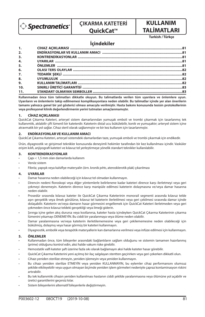

# **ÇIKARMA KATETERİ**

## **QuickCat™**

## **KULLANIM TALİMATLARI**

**Turkish / Türkçe**

## **İçindekiler**

| 1.               |  |
|------------------|--|
| 2.               |  |
| 3.               |  |
| 4.               |  |
| 5.               |  |
| 6.               |  |
| $\overline{z}$ . |  |
| 8.               |  |
| 9.               |  |
| 10.              |  |
| 11.              |  |

**Kullanmadan önce tüm talimatları dikkatle okuyun. Bu talimatlarda verilen tüm uyarılara ve önlemlere uyun. Uyarıların ve önlemlerin takip edilmemesi komplikasyonlara neden olabilir. Bu talimatlar içinde yer alan önerilerin tamamı yalnızca genel bir yol gösterici olması amacıyla verilmiştir. Hasta bakımı konusunda tesisin protokollerinin veya profesyonel klinik değerlendirmenin yerini tutmaları amaçlanmamıştır.**

#### **1. CİHAZ AÇIKLAMASI**

QuickCat Çıkarma Kateteri, arteryel sistem damarlarından yumuşak emboli ve trombi çıkarmak için tasarlanmış tek kullanımlık, atılabilir çift lümenli bir kateterdir. Kateterin distal ucu bükülebilir, konik ve yumuşaktır; arteryel sistem içine atravmatik bir yol sağlar. Cihaz steril olarak sağlanmıştır ve bir kez kullanım için tasarlanmıştır.

#### **2. ENDİKASYONLAR VE KULLANIM AMACI**

QuickCat Çıkarma Kateteri, arteryel sistemdeki damarlardan taze, yumuşak emboli ve trombi çıkarmak için endikedir.

Ürün, diyagnostik ve girişimsel teknikler konusunda deneyimli hekimler tarafından bir kez kullanılması içindir. Vasküler erişim kılıfı, anjiyografi kateteri ve kılavuz tel yerleştirmeye yönelik standart teknikler kullanılabilir.

#### **3. KONTRENDİKASYONLAR**

- Çapı < 1,5 mm olan damarlarda kullanım
- Venöz sistem
- Fibröz, yapışık veya kalsifiye materyalin (örn. kronik pıhtı, aterosklerotik plak) çıkarılması

#### **4. UYARILAR**

- Damar hasarına neden olabileceği için kılavuz tel olmadan kullanmayın.
- Direncin nedeni floroskopi veya diğer yöntemlerle belirlenene kadar kateteri dirence karşı ilerletmeyi veya geri çekmeyi denemeyin. Kateterin dirence karşı manipüle edilmesi kateterin dolaşmasına ve/veya damar hasarına neden olabilir.
- Prosedür sırasında kılavuz kateter ile QuickCat Çıkarma Kateterinin monorail segmenti arasında kılavuz telde aşırı gevşeklik veya ilmek görülürse, kılavuz tel kateterin ilerletilmesi veya geri çekilmesi sırasında damar içinde dolaşabilir. Kateterin ve/veya damarın hasar görmesini engellemek için QuickCat Kateteri ilerletmeden veya geri çekmeden önce kılavuz teldeki gevşekliği veya ilmeği giderin.
- Şırınga içine gelen akış durursa veya kısıtlanırsa, kateter hasta içindeyken QuickCat Çıkarma Kateterinin çıkarma lümenini yıkamayı DENEMEYİN. Bu ciddi bir yaralanmaya veya ölüme neden olabilir.
- Damar yaralanmasına ve/veya kateterin ilerletilememesine veya geri çekilememesine neden olabileceği için bükülmüş, dolaşmış veya hasar görmüş bir kateteri kullanmayın.
- Diyagnostik, embolik veya terapötik materyallerin kan damarlarına verilmesi veya infüze edilmesi için kullanmayın.

#### **5. ÖNLEMLER**

- Kullanmadan önce, tüm bileşenler arasındaki bağlantıların sağlam olduğunu ve sistemin tamamen hazırlanmış (prime) olduğunu kontrol edin, aksi halde vakum riske girebilir.
- Hemostatik valfi kateter şaft üzerine fazla sıkı olarak bağlamayın aksi halde kateter hasar görebilir.
- QuickCat Çıkarma Kateterini yeni açılmış bir ilaç salgılayan stentten geçirirken veya geri çekerken dikkatli olun.
- Cihazı yeniden sterilize etmeyin, yeniden işlemeyin veya yeniden kullanmayın.
- Bu cihazı yeniden sterilize ETMEYİN veya yeniden KULLANMAYIN, bu eylemler cihaz performansını olumsuz şekilde etkileyebilir veya uygun olmayan biçimde yeniden işlem görmeleri nedeniyle çapraz kontaminasyon riskini artırabilir.
- Bu tek kullanımlık cihazın yeniden kullanılması hastanın ciddi şekilde yaralanmasına veya ölümüne yol açabilir ve üretici garantilerini geçersiz kılar.
- Sistem bileşenlerini alternatif bileşenlerle değiştirmeyin.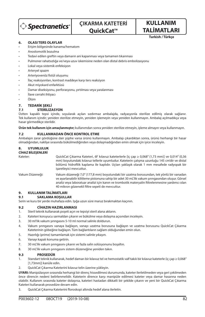

## **KULLANIM TALİMATLARI**

**Turkish / Türkçe**

#### **6. OLASI TERS OLAYLAR**

- Erişim bölgesinde kanama/hematom
- Anostomotik bozulma
- Tedavi edilen greftin veya damarın ani kapanması veya tamamen tıkanması
- Pulmoner rahatsızlığa ve/veya uzuv iskemisine neden olan distal debris embolizasyonu
- Lokal veya sistemik enfeksiyon
- Arteryel spazm
- Arteriyovenöz fistül oluşumu
- İlaç reaksiyonları, kontrast maddeye karşı ters reaksiyon
- Akut miyokard enfarktüsü
- Damar diseksiyonu, perforasyonu, yırtılması veya yaralanması
- İlave cerrahi ihtiyacı
- Ölüm

#### **7. TEDARİK ŞEKLİ**

#### **7.1 STERİLİZASYON**

Üstten kapaklı tepsi içinde, soyularak açılan sızdırmaz ambalajda, radyasyonla sterilize edilmiş olarak sağlanır. Tek kullanım içindir; yeniden sterilize etmeyin, yeniden işlemeyin veya yeniden kullanmayın. Ambalaj açılmadıkça veya hasar görmedikçe sterildir.

**Ürün tek kullanım için amaçlanmıştır;** kullanımdan sonra yeniden sterilize etmeyin, işleme almayın veya kullanmayın.

#### **7.2 KULLANMADAN ÖNCE KONTROL ETME**

Ambalajın zarar gördüğüne dair şüphe varsa ürünü kullanmayın. Ambalajı çıkardıktan sonra, ürünü herhangi bir hasar olmadığından, nakliye sırasında bükülmediğinden veya dolaşmadığından emin olmak için iyice inceleyin.

#### **8. UYUMLULUK**

**CİHAZ BİLEŞENLERİ** Kateter: QuickCat Çıkarma Kateteri, 6F kılavuz kateterlerle [iç çap ≥ 0,068" (1,73 mm)] ve 0,014" (0,36 mm) boyutundaki kılavuz tellerle uyumludur. Kateterin çalışma uzunluğu 145 cm'dir ve distal bölümü hidrofilik kaplama ile kaplıdır. Uçtan yaklaşık olarak 1 mm mesafede radyopak bir işaretleyici mevcuttur. Vakum Düzeneği: Vakum düzeneği 7,0" (177,8 mm) boyutundaki bir uzatma borusundan, tek yönlü bir vanadan ve ayarlanabilir kilitleme pistonuna sahip bir adet 30 mL'lik vakum şırıngasından oluşur. Görsel analiz veya laboratuar analizi için kanın ve trombotik materyalin filtrelenmesine yardımcı olan 40 mikron gözenekli filtre sepeti de mevcuttur. **9. KULLANIM TALİMATLARI**

**9.1 SAKLAMA KOŞULLAR**

Serin ve kuru bir yerde muhafaza edin. Işığa uzun süre maruz bırakmaktan kaçının.

#### **9.2 CİHAZIN HAZIRLANMASI**

- 1. Steril teknik kullanarak poşeti açın ve tepsiyi steril alana aktarın.
- 2. Kateteri koruyucu sarmaldan çıkarın ve bükülme veya dolaşma açısından inceleyin.
- 3. 30 ml'lik vakum şırıngasını 5-10 ml normal salinle doldurun.
- 4. Vakum şırıngasını vanaya bağlayın, vanayı uzatma borusuna bağlayın ve uzatma borusunu QuickCat Çıkarma Kateterinin göbeğine bağlayın. Tüm bağlantıların sağlam olduğundan emin olun.
- 5. Hazırlığı (prime) tamamlamak için sistemi salinle yıkayın.
- 6. Vanayı kapalı konuma getirin.
- 7. 30 mL'lik vakum şırıngasını çıkarın ve fazla salin solüsyonunu boşaltın.
- 8. 30 mL'lik vakum şırıngasını sistem düzeneğine yeniden takın.

#### **9.3 PROSEDÜR**

- 1. Standart teknik kullanarak, hedef damarı bir kılavuz tel ve hemostatik valf takılı bir kılavuz kateterle (iç çap ≥ 0,068" [1,73mm]) kanüle edin.
- 2. QuickCat Çıkarma Kateterini kılavuz telin üzerine yükleyin.

**UYARI:** Manipülasyon sırasında herhangi bir direnç hissedilmesi durumunda, kateter ilerletilmeden veya geri çekilmeden önce direncin nedeni belirlenmelidir. Kateterin dirence karşı manipüle edilmesi kateter veya damar hasarına neden olabilir. Kullanım sırasında kateter dolaşırsa, kateteri hastadan dikkatli bir şekilde çıkarın ve yeni bir QuickCat Çıkarma Kateteri kullanarak prosedüre devam edin.

3. QuickCat Çıkarma Kateterini floroskopi altında hedef alana ilerletin.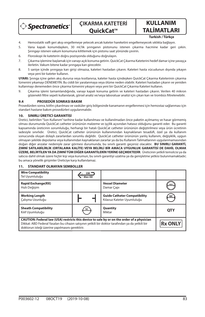

## **KULLANIM TALİMATLARI**

**Turkish / Türkçe**

- 4. Hemostatik valfi geri akışı engellemeye yetecek ancak kateter hareketini engellemeyecek sıklıkta bağlayın.
- 5. Vana kapalı konumdayken, 30 mL'lik şırınganın pistonunu istenen çıkarma hacmine kadar geri çekin. Şırıngayı istenen vakum konumuna kilitlemek için pistonu saat yönünde çevirin.
- 6. Floroskopi ile kateterin doğru pozisyonda olduğunu doğrulayın.
- 7. Çıkarma işlemine başlamak için vanayı açık konuma getirin. QuickCat Çıkarma Kateterini hedef damar içine yavaşça ilerletin. Vakum bitene kadar şırıngaya kan girecektir.
- 8. 5 saniye içinde şırıngaya kan girişi olmazsa, kateteri hastadan çıkarın. Kateteri hasta vücudunun dışında yıkayın veya yeni bir kateter kullanın.

**UYARI:** Şırınga içine gelen akış durursa veya kısıtlanırsa, kateter hasta içindeyken QuickCat Çıkarma Kateterinin çıkarma lümenini yıkamayı DENEMEYİN. Bu ciddi bir yaralanmaya veya ölüme neden olabilir. Kateteri hastadan çıkarın ve yeniden kullanmayı denemeden önce çıkarma lümenini yıkayın veya yeni bir QuickCat Çıkarma Kateteri kullanın.

9. Çıkarma işlemi tamamlandığında, vanayı kapalı konuma getirin ve kateteri hastadan çıkarın. Verilen 40 mikron gözenekli filtre sepeti kullanılarak, görsel analiz ve/veya laboratuar analizi için çıkan kan ve trombüs filtrelenebilir.

#### **9.4 PROSEDÜR SONRASI BAKIM**

Prosedürden sonra, kılıfın çıkarılması ve vasküler giriş bölgesinde kanamanın engellenmesi için hemostaz sağlanması için standart hastane bakım prosedürleri uygulanmalıdır.

#### **10. SINIRLI ÜRETİCİ GARANTİSİ**

Üretici, belirtilen "Son Kullanım" tarihine kadar kullanılması ve kullanılmadan önce paketin açılmamış ve hasar görmemiş olması durumunda QuickCat catheter ürününün malzeme ve işçilik açısından hatasız olduğunu garanti eder. Bu garanti kapsamında üreticinin sorumluluğu, herhangi bir hatalı QuickCat catheter ürününün değiştirilmesi veya ürün ücretinin iadesiyle sınırlıdır. Üretici, QuickCat catheter ürününün kullanımından kaynaklanan tesadüfi, özel ya da kullanım sonucunda oluşan dolaylı zararlardan sorumlu değildir. QuickCat catheter ürününün yanlış kullanım, değişiklik, uygun olmayan şekilde depolama veya kullanımdan kaynaklanan zararlar ya da bu Kullanım Talimatlarının uygulanmamasından doğan diğer arızalar nedeniyle zarar görmesi durumunda, bu sınırlı garanti geçersiz olacaktır. **BU SINIRLI GARANTİ, ZIMNİ SATILABİLİRLİK (ORTALAMA KALİTE) VEYA BELİRLİ BİR AMACA UYGUNLUK GARANTİSİ DE DAHİL OLMAK ÜZERE, BELİRTİLEN YA DA ZIMNİ TÜM DİĞER GARANTİLERİN YERİNE GEÇMEKTEDİR**. Üreticinin yetkili temsilcisi ya da satıcısı dahil olmak üzere hiçbir kişi veya kurumun, bu sınırlı garantiyi uzatma ya da genişletme yetkisi bulunmamaktadır; bu amaca yönelik girişimler Üreticiye karşı kullanılamaz.

#### **Wire Compatibility** GW<sup>\*</sup>  $\frac{v}{\uparrow}$  Max OD Tel Uyumluluğu **Rapid Exchange(RX) Vessel Diameter** Hızlı Değişim Damar Çapı **Working Length Guide Catheter Compatibility** Çalışma Uzunluğu Kılavuz Kateter Uyumluluğu **Sheath Compatibility Quantity Quantity QTY**<br>Miktar **QTY** Kılıf Uyumluluğu **CAUTION: Federal law (USA) restricts this device to sale by or on the order of a physician Rx ONLY** Dikkat: ABD Federal Yasaları bu cihazın satışının yetkili bir doktor tarafından ya da yetkili bir doktorun isteği üzerine yapılmasını gerektirir.

#### **11. STANDART OLMAYAN SEMBOLLER**